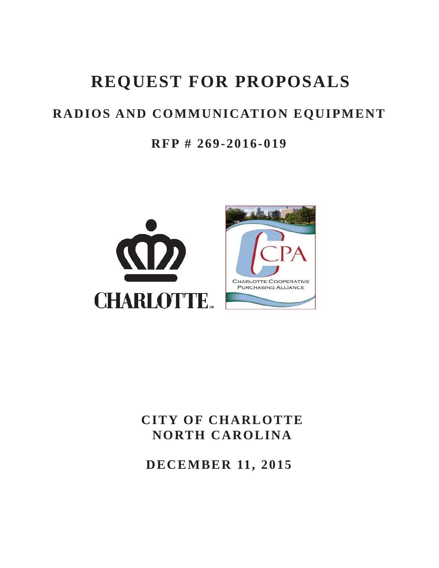# **REQUEST FOR PROPOSALS**

# **RADIOS AND COMMUNICATION EQUIPMENT**

### **RFP # 269-2016-019**



# **CITY OF CHARLOTTE NORTH CAROLINA**

**DECEMBER 11, 2015**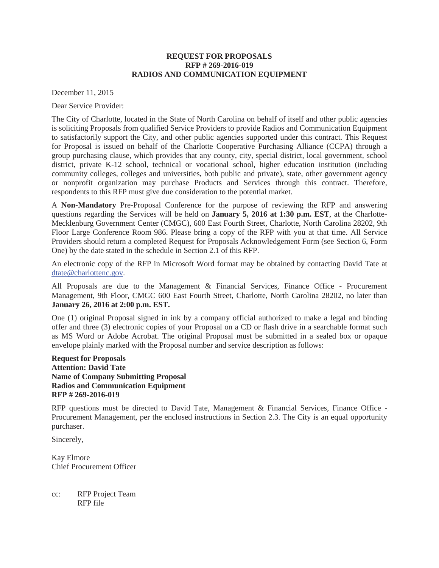#### **REQUEST FOR PROPOSALS RFP # 269-2016-019 RADIOS AND COMMUNICATION EQUIPMENT**

December 11, 2015

Dear Service Provider:

The City of Charlotte, located in the State of North Carolina on behalf of itself and other public agencies is soliciting Proposals from qualified Service Providers to provide Radios and Communication Equipment to satisfactorily support the City, and other public agencies supported under this contract. This Request for Proposal is issued on behalf of the Charlotte Cooperative Purchasing Alliance (CCPA) through a group purchasing clause, which provides that any county, city, special district, local government, school district, private K-12 school, technical or vocational school, higher education institution (including community colleges, colleges and universities, both public and private), state, other government agency or nonprofit organization may purchase Products and Services through this contract. Therefore, respondents to this RFP must give due consideration to the potential market.

A **Non-Mandatory** Pre-Proposal Conference for the purpose of reviewing the RFP and answering questions regarding the Services will be held on **January 5, 2016 at 1:30 p.m. EST**, at the Charlotte-Mecklenburg Government Center (CMGC), 600 East Fourth Street, Charlotte, North Carolina 28202, 9th Floor Large Conference Room 986. Please bring a copy of the RFP with you at that time. All Service Providers should return a completed Request for Proposals Acknowledgement Form (see Section 6, Form One) by the date stated in the schedule in Section 2.1 of this RFP.

An electronic copy of the RFP in Microsoft Word format may be obtained by contacting David Tate at dtate@charlottenc.gov.

All Proposals are due to the Management & Financial Services, Finance Office - Procurement Management, 9th Floor, CMGC 600 East Fourth Street, Charlotte, North Carolina 28202, no later than **January 26, 2016 at 2:00 p.m. EST.**

One (1) original Proposal signed in ink by a company official authorized to make a legal and binding offer and three (3) electronic copies of your Proposal on a CD or flash drive in a searchable format such as MS Word or Adobe Acrobat. The original Proposal must be submitted in a sealed box or opaque envelope plainly marked with the Proposal number and service description as follows:

**Request for Proposals Attention: David Tate Name of Company Submitting Proposal Radios and Communication Equipment RFP # 269-2016-019**

RFP questions must be directed to David Tate, Management & Financial Services, Finance Office - Procurement Management, per the enclosed instructions in Section 2.3. The City is an equal opportunity purchaser.

Sincerely,

Kay Elmore Chief Procurement Officer

cc: RFP Project Team RFP file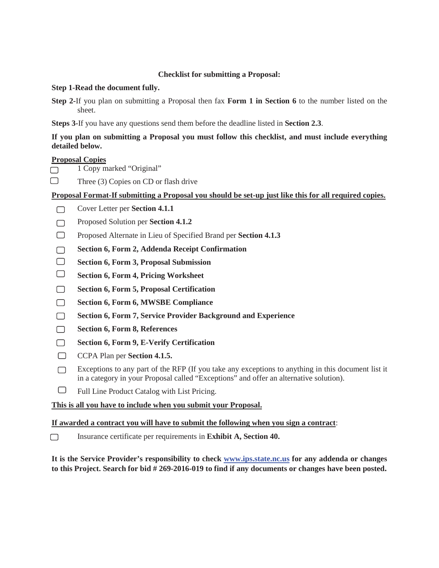#### **Checklist for submitting a Proposal:**

#### **Step 1-Read the document fully.**

**Step 2-**If you plan on submitting a Proposal then fax **Form 1 in Section 6** to the number listed on the sheet.

**Steps 3-**If you have any questions send them before the deadline listed in **Section 2.3**.

#### **If you plan on submitting a Proposal you must follow this checklist, and must include everything detailed below.**

#### **Proposal Copies**

- 1 Copy marked "Original"  $\Box$
- $\Box$ Three (3) Copies on CD or flash drive

#### **Proposal Format-If submitting a Proposal you should be set-up just like this for all required copies.**

- Cover Letter per **Section 4.1.1**  $\Box$
- Proposed Solution per **Section 4.1.2**  $\Box$
- Proposed Alternate in Lieu of Specified Brand per **Section 4.1.3**  $\Box$
- **Section 6, Form 2, Addenda Receipt Confirmation**  $\Box$
- $\Box$ **Section 6, Form 3, Proposal Submission**
- $\Box$ **Section 6, Form 4, Pricing Worksheet**
- **Section 6, Form 5, Proposal Certification**  $\Box$
- $\Box$ **Section 6, Form 6, MWSBE Compliance**
- $\Box$ **Section 6, Form 7, Service Provider Background and Experience**
- **Section 6, Form 8, References**  $\Box$
- **Section 6, Form 9, E-Verify Certification**  $\Box$
- $\Box$ CCPA Plan per **Section 4.1.5.**
- Exceptions to any part of the RFP (If you take any exceptions to anything in this document list it  $\Box$ in a category in your Proposal called "Exceptions" and offer an alternative solution).
- $\Box$ Full Line Product Catalog with List Pricing.

#### **This is all you have to include when you submit your Proposal.**

#### **If awarded a contract you will have to submit the following when you sign a contract**:

Insurance certificate per requirements in **Exhibit A, Section 40.**  $\Box$ 

**It is the Service Provider's responsibility to check www.ips.state.nc.us for any addenda or changes to this Project. Search for bid # 269-2016-019 to find if any documents or changes have been posted.**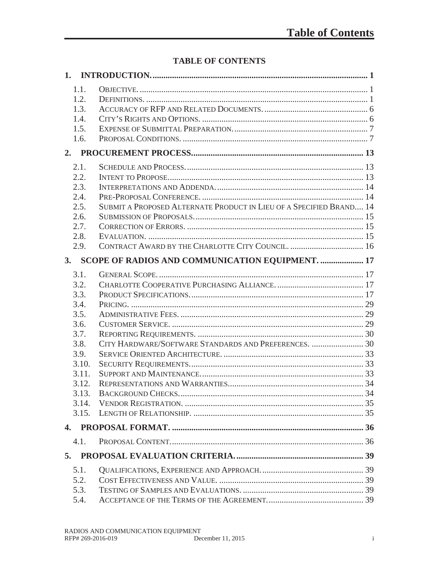### **TABLE OF CONTENTS**

| 1.1.         |                                                                     |  |
|--------------|---------------------------------------------------------------------|--|
| 1.2.         |                                                                     |  |
| 1.3.         |                                                                     |  |
| 1.4.         |                                                                     |  |
| 1.5.         |                                                                     |  |
| 1.6.         |                                                                     |  |
| 2.           |                                                                     |  |
| 2.1.         |                                                                     |  |
| 2.2.         |                                                                     |  |
| 2.3.         |                                                                     |  |
| 2.4.         |                                                                     |  |
| 2.5.         | SUBMIT A PROPOSED ALTERNATE PRODUCT IN LIEU OF A SPECIFIED BRAND 14 |  |
| 2.6.         |                                                                     |  |
| 2.7.         |                                                                     |  |
| 2.8.         |                                                                     |  |
| 2.9.         |                                                                     |  |
| 3.           | SCOPE OF RADIOS AND COMMUNICATION EQUIPMENT.  17                    |  |
| 3.1.         |                                                                     |  |
| 3.2.         |                                                                     |  |
| 3.3.         |                                                                     |  |
| 3.4.         |                                                                     |  |
| 3.5.         |                                                                     |  |
| 3.6.         |                                                                     |  |
| 3.7.         |                                                                     |  |
| 3.8.         |                                                                     |  |
| 3.9.         |                                                                     |  |
| 3.10.        |                                                                     |  |
| 3.11.        |                                                                     |  |
| 3.12.        |                                                                     |  |
| 3.13.        |                                                                     |  |
| 3.14.        |                                                                     |  |
| 3.15.        |                                                                     |  |
| $\mathbf{4}$ |                                                                     |  |
| 4.1.         |                                                                     |  |
| 5.           |                                                                     |  |
| 5.1.         |                                                                     |  |
| 5.2.         |                                                                     |  |
| 5.3.         |                                                                     |  |
| 5.4.         |                                                                     |  |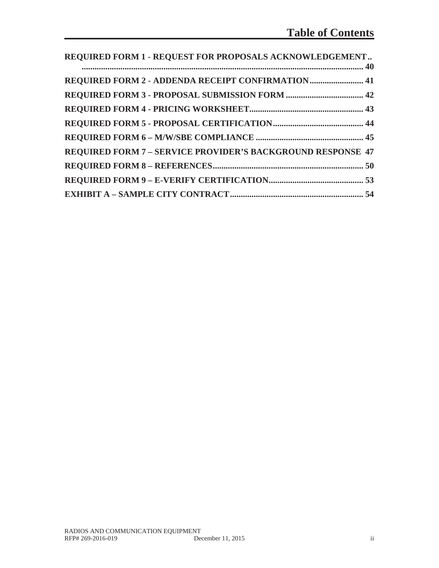| REQUIRED FORM 1 - REQUEST FOR PROPOSALS ACKNOWLEDGEMENT            |  |
|--------------------------------------------------------------------|--|
|                                                                    |  |
| REQUIRED FORM 2 - ADDENDA RECEIPT CONFIRMATION 41                  |  |
|                                                                    |  |
|                                                                    |  |
|                                                                    |  |
|                                                                    |  |
| <b>REQUIRED FORM 7 - SERVICE PROVIDER'S BACKGROUND RESPONSE 47</b> |  |
|                                                                    |  |
|                                                                    |  |
|                                                                    |  |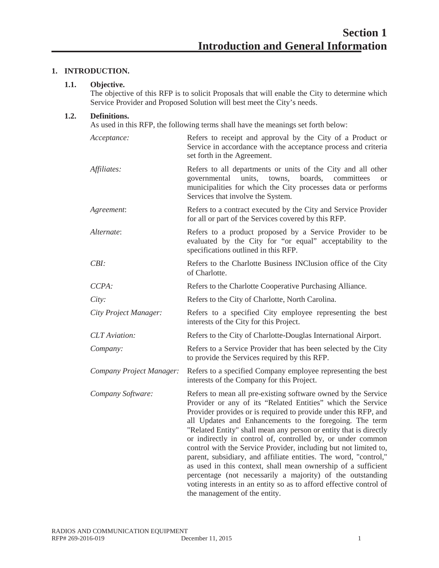#### **1. INTRODUCTION.**

#### **1.1. Objective.**

The objective of this RFP is to solicit Proposals that will enable the City to determine which Service Provider and Proposed Solution will best meet the City's needs.

#### **1.2. Definitions.**

As used in this RFP, the following terms shall have the meanings set forth below:

| Acceptance:              | Refers to receipt and approval by the City of a Product or<br>Service in accordance with the acceptance process and criteria<br>set forth in the Agreement.                                                                                                                                                                                                                                                                                                                                                                                                                                                                                                                                                                                                                  |
|--------------------------|------------------------------------------------------------------------------------------------------------------------------------------------------------------------------------------------------------------------------------------------------------------------------------------------------------------------------------------------------------------------------------------------------------------------------------------------------------------------------------------------------------------------------------------------------------------------------------------------------------------------------------------------------------------------------------------------------------------------------------------------------------------------------|
| Affiliates:              | Refers to all departments or units of the City and all other<br>governmental units, towns, boards, committees<br><b>or</b><br>municipalities for which the City processes data or performs<br>Services that involve the System.                                                                                                                                                                                                                                                                                                                                                                                                                                                                                                                                              |
| Agreement:               | Refers to a contract executed by the City and Service Provider<br>for all or part of the Services covered by this RFP.                                                                                                                                                                                                                                                                                                                                                                                                                                                                                                                                                                                                                                                       |
| Alternate:               | Refers to a product proposed by a Service Provider to be<br>evaluated by the City for "or equal" acceptability to the<br>specifications outlined in this RFP.                                                                                                                                                                                                                                                                                                                                                                                                                                                                                                                                                                                                                |
| $CBI$ :                  | Refers to the Charlotte Business INClusion office of the City<br>of Charlotte.                                                                                                                                                                                                                                                                                                                                                                                                                                                                                                                                                                                                                                                                                               |
| CCPA:                    | Refers to the Charlotte Cooperative Purchasing Alliance.                                                                                                                                                                                                                                                                                                                                                                                                                                                                                                                                                                                                                                                                                                                     |
| City:                    | Refers to the City of Charlotte, North Carolina.                                                                                                                                                                                                                                                                                                                                                                                                                                                                                                                                                                                                                                                                                                                             |
| City Project Manager:    | Refers to a specified City employee representing the best<br>interests of the City for this Project.                                                                                                                                                                                                                                                                                                                                                                                                                                                                                                                                                                                                                                                                         |
| <b>CLT</b> Aviation:     | Refers to the City of Charlotte-Douglas International Airport.                                                                                                                                                                                                                                                                                                                                                                                                                                                                                                                                                                                                                                                                                                               |
| Company:                 | Refers to a Service Provider that has been selected by the City<br>to provide the Services required by this RFP.                                                                                                                                                                                                                                                                                                                                                                                                                                                                                                                                                                                                                                                             |
| Company Project Manager: | Refers to a specified Company employee representing the best<br>interests of the Company for this Project.                                                                                                                                                                                                                                                                                                                                                                                                                                                                                                                                                                                                                                                                   |
| Company Software:        | Refers to mean all pre-existing software owned by the Service<br>Provider or any of its "Related Entities" which the Service<br>Provider provides or is required to provide under this RFP, and<br>all Updates and Enhancements to the foregoing. The term<br>"Related Entity" shall mean any person or entity that is directly<br>or indirectly in control of, controlled by, or under common<br>control with the Service Provider, including but not limited to,<br>parent, subsidiary, and affiliate entities. The word, "control,"<br>as used in this context, shall mean ownership of a sufficient<br>percentage (not necessarily a majority) of the outstanding<br>voting interests in an entity so as to afford effective control of<br>the management of the entity. |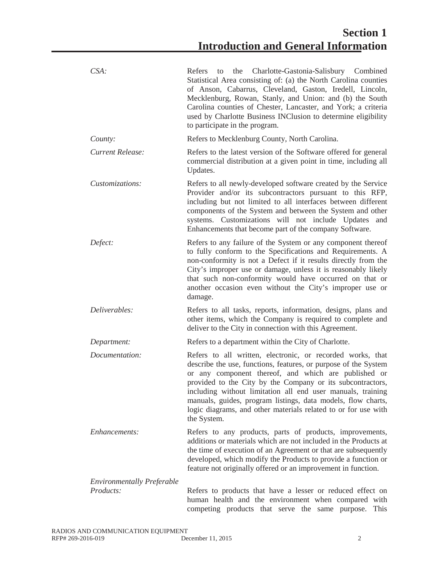| $CSA$ :                           | Charlotte-Gastonia-Salisbury Combined<br>Refers<br>the<br>to<br>Statistical Area consisting of: (a) the North Carolina counties<br>of Anson, Cabarrus, Cleveland, Gaston, Iredell, Lincoln,<br>Mecklenburg, Rowan, Stanly, and Union: and (b) the South<br>Carolina counties of Chester, Lancaster, and York; a criteria<br>used by Charlotte Business INClusion to determine eligibility<br>to participate in the program.                                         |
|-----------------------------------|---------------------------------------------------------------------------------------------------------------------------------------------------------------------------------------------------------------------------------------------------------------------------------------------------------------------------------------------------------------------------------------------------------------------------------------------------------------------|
| County:                           | Refers to Mecklenburg County, North Carolina.                                                                                                                                                                                                                                                                                                                                                                                                                       |
| Current Release:                  | Refers to the latest version of the Software offered for general<br>commercial distribution at a given point in time, including all<br>Updates.                                                                                                                                                                                                                                                                                                                     |
| Customizations:                   | Refers to all newly-developed software created by the Service<br>Provider and/or its subcontractors pursuant to this RFP,<br>including but not limited to all interfaces between different<br>components of the System and between the System and other<br>systems. Customizations will not include Updates and<br>Enhancements that become part of the company Software.                                                                                           |
| Defect:                           | Refers to any failure of the System or any component thereof<br>to fully conform to the Specifications and Requirements. A<br>non-conformity is not a Defect if it results directly from the<br>City's improper use or damage, unless it is reasonably likely<br>that such non-conformity would have occurred on that or<br>another occasion even without the City's improper use or<br>damage.                                                                     |
| Deliverables:                     | Refers to all tasks, reports, information, designs, plans and<br>other items, which the Company is required to complete and<br>deliver to the City in connection with this Agreement.                                                                                                                                                                                                                                                                               |
| Department:                       | Refers to a department within the City of Charlotte.                                                                                                                                                                                                                                                                                                                                                                                                                |
| Documentation:                    | Refers to all written, electronic, or recorded works, that<br>describe the use, functions, features, or purpose of the System<br>or any component thereof, and which are published or<br>provided to the City by the Company or its subcontractors,<br>including without limitation all end user manuals, training<br>manuals, guides, program listings, data models, flow charts,<br>logic diagrams, and other materials related to or for use with<br>the System. |
| Enhancements:                     | Refers to any products, parts of products, improvements,<br>additions or materials which are not included in the Products at<br>the time of execution of an Agreement or that are subsequently<br>developed, which modify the Products to provide a function or<br>feature not originally offered or an improvement in function.                                                                                                                                    |
| <b>Environmentally Preferable</b> |                                                                                                                                                                                                                                                                                                                                                                                                                                                                     |
| Products:                         | Refers to products that have a lesser or reduced effect on<br>human health and the environment when compared with<br>This<br>competing products that serve the same purpose.                                                                                                                                                                                                                                                                                        |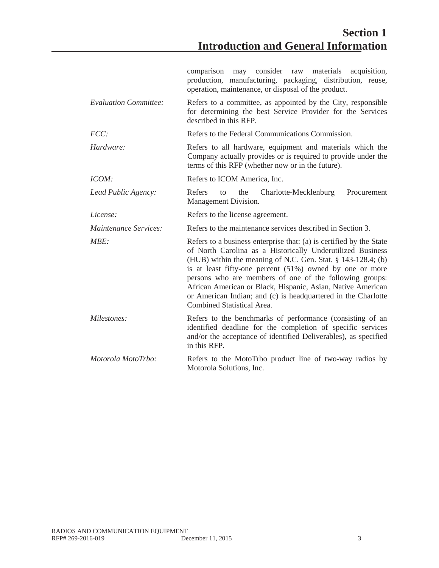|                                                                                                            | comparison may consider raw materials<br>acquisition,<br>production, manufacturing, packaging, distribution, reuse,<br>operation, maintenance, or disposal of the product.                                                                                                                                                                                                                                                                                                             |  |  |  |
|------------------------------------------------------------------------------------------------------------|----------------------------------------------------------------------------------------------------------------------------------------------------------------------------------------------------------------------------------------------------------------------------------------------------------------------------------------------------------------------------------------------------------------------------------------------------------------------------------------|--|--|--|
| <b>Evaluation Committee:</b>                                                                               | Refers to a committee, as appointed by the City, responsible<br>for determining the best Service Provider for the Services<br>described in this RFP.                                                                                                                                                                                                                                                                                                                                   |  |  |  |
| FCC:                                                                                                       | Refers to the Federal Communications Commission.                                                                                                                                                                                                                                                                                                                                                                                                                                       |  |  |  |
| Hardware:                                                                                                  | Refers to all hardware, equipment and materials which the<br>Company actually provides or is required to provide under the<br>terms of this RFP (whether now or in the future).                                                                                                                                                                                                                                                                                                        |  |  |  |
| ICOM:                                                                                                      | Refers to ICOM America, Inc.                                                                                                                                                                                                                                                                                                                                                                                                                                                           |  |  |  |
| Lead Public Agency:                                                                                        | Refers<br>the<br>Charlotte-Mecklenburg<br>Procurement<br>to<br>Management Division.                                                                                                                                                                                                                                                                                                                                                                                                    |  |  |  |
| License:                                                                                                   | Refers to the license agreement.                                                                                                                                                                                                                                                                                                                                                                                                                                                       |  |  |  |
| Maintenance Services:                                                                                      | Refers to the maintenance services described in Section 3.                                                                                                                                                                                                                                                                                                                                                                                                                             |  |  |  |
| MBF:                                                                                                       | Refers to a business enterprise that: (a) is certified by the State<br>of North Carolina as a Historically Underutilized Business<br>(HUB) within the meaning of N.C. Gen. Stat. § 143-128.4; (b)<br>is at least fifty-one percent (51%) owned by one or more<br>persons who are members of one of the following groups:<br>African American or Black, Hispanic, Asian, Native American<br>or American Indian; and (c) is headquartered in the Charlotte<br>Combined Statistical Area. |  |  |  |
| Milestones:                                                                                                | Refers to the benchmarks of performance (consisting of an<br>identified deadline for the completion of specific services<br>and/or the acceptance of identified Deliverables), as specified<br>in this RFP.                                                                                                                                                                                                                                                                            |  |  |  |
| Motorola MotoTrbo:<br>Refers to the MotoTrbo product line of two-way radios by<br>Motorola Solutions, Inc. |                                                                                                                                                                                                                                                                                                                                                                                                                                                                                        |  |  |  |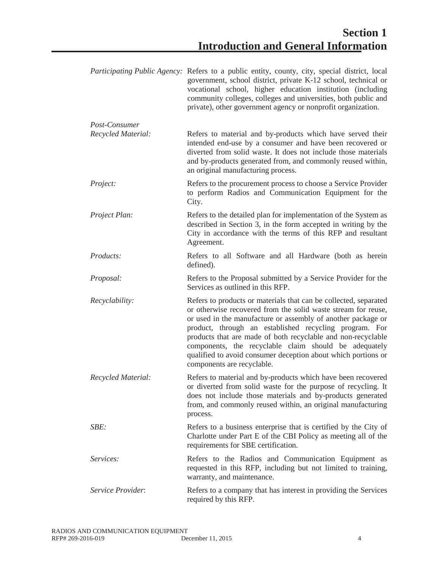|                          | <i>Participating Public Agency:</i> Refers to a public entity, county, city, special district, local<br>government, school district, private K-12 school, technical or<br>vocational school, higher education institution (including<br>community colleges, colleges and universities, both public and<br>private), other government agency or nonprofit organization.                                                                                                              |
|--------------------------|-------------------------------------------------------------------------------------------------------------------------------------------------------------------------------------------------------------------------------------------------------------------------------------------------------------------------------------------------------------------------------------------------------------------------------------------------------------------------------------|
| Post-Consumer            |                                                                                                                                                                                                                                                                                                                                                                                                                                                                                     |
| Recycled Material:       | Refers to material and by-products which have served their<br>intended end-use by a consumer and have been recovered or<br>diverted from solid waste. It does not include those materials<br>and by-products generated from, and commonly reused within,<br>an original manufacturing process.                                                                                                                                                                                      |
| Project:                 | Refers to the procurement process to choose a Service Provider<br>to perform Radios and Communication Equipment for the<br>City.                                                                                                                                                                                                                                                                                                                                                    |
| Project Plan:            | Refers to the detailed plan for implementation of the System as<br>described in Section 3, in the form accepted in writing by the<br>City in accordance with the terms of this RFP and resultant<br>Agreement.                                                                                                                                                                                                                                                                      |
| Products:                | Refers to all Software and all Hardware (both as herein<br>defined).                                                                                                                                                                                                                                                                                                                                                                                                                |
| Proposal:                | Refers to the Proposal submitted by a Service Provider for the<br>Services as outlined in this RFP.                                                                                                                                                                                                                                                                                                                                                                                 |
| Recyclability:           | Refers to products or materials that can be collected, separated<br>or otherwise recovered from the solid waste stream for reuse,<br>or used in the manufacture or assembly of another package or<br>product, through an established recycling program. For<br>products that are made of both recyclable and non-recyclable<br>components, the recyclable claim should be adequately<br>qualified to avoid consumer deception about which portions or<br>components are recyclable. |
| Recycled Material:       | Refers to material and by-products which have been recovered<br>or diverted from solid waste for the purpose of recycling. It<br>does not include those materials and by-products generated<br>from, and commonly reused within, an original manufacturing<br>process.                                                                                                                                                                                                              |
| SBE:                     | Refers to a business enterprise that is certified by the City of<br>Charlotte under Part E of the CBI Policy as meeting all of the<br>requirements for SBE certification.                                                                                                                                                                                                                                                                                                           |
| Services:                | Refers to the Radios and Communication Equipment as<br>requested in this RFP, including but not limited to training,<br>warranty, and maintenance.                                                                                                                                                                                                                                                                                                                                  |
| <i>Service Provider:</i> | Refers to a company that has interest in providing the Services<br>required by this RFP.                                                                                                                                                                                                                                                                                                                                                                                            |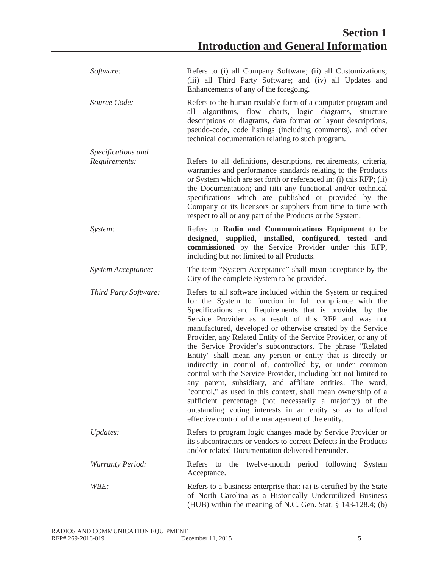| Software:               | Refers to (i) all Company Software; (ii) all Customizations;<br>(iii) all Third Party Software; and (iv) all Updates and<br>Enhancements of any of the foregoing.                                                                                                                                                                                                                                                                                                                                                                                                                                                                                                                                                                                                                                                                                                                                                                                      |  |  |  |  |
|-------------------------|--------------------------------------------------------------------------------------------------------------------------------------------------------------------------------------------------------------------------------------------------------------------------------------------------------------------------------------------------------------------------------------------------------------------------------------------------------------------------------------------------------------------------------------------------------------------------------------------------------------------------------------------------------------------------------------------------------------------------------------------------------------------------------------------------------------------------------------------------------------------------------------------------------------------------------------------------------|--|--|--|--|
| Source Code:            | Refers to the human readable form of a computer program and<br>algorithms, flow charts, logic diagrams,<br>structure<br>all<br>descriptions or diagrams, data format or layout descriptions,<br>pseudo-code, code listings (including comments), and other<br>technical documentation relating to such program.                                                                                                                                                                                                                                                                                                                                                                                                                                                                                                                                                                                                                                        |  |  |  |  |
| Specifications and      |                                                                                                                                                                                                                                                                                                                                                                                                                                                                                                                                                                                                                                                                                                                                                                                                                                                                                                                                                        |  |  |  |  |
| Requirements:           | Refers to all definitions, descriptions, requirements, criteria,<br>warranties and performance standards relating to the Products<br>or System which are set forth or referenced in: (i) this RFP; (ii)<br>the Documentation; and (iii) any functional and/or technical<br>specifications which are published or provided by the<br>Company or its licensors or suppliers from time to time with<br>respect to all or any part of the Products or the System.                                                                                                                                                                                                                                                                                                                                                                                                                                                                                          |  |  |  |  |
| System:                 | Refers to Radio and Communications Equipment to be<br>designed, supplied, installed, configured, tested and<br>commissioned by the Service Provider under this RFP,<br>including but not limited to all Products.                                                                                                                                                                                                                                                                                                                                                                                                                                                                                                                                                                                                                                                                                                                                      |  |  |  |  |
| System Acceptance:      | The term "System Acceptance" shall mean acceptance by the<br>City of the complete System to be provided.                                                                                                                                                                                                                                                                                                                                                                                                                                                                                                                                                                                                                                                                                                                                                                                                                                               |  |  |  |  |
| Third Party Software:   | Refers to all software included within the System or required<br>for the System to function in full compliance with the<br>Specifications and Requirements that is provided by the<br>Service Provider as a result of this RFP and was not<br>manufactured, developed or otherwise created by the Service<br>Provider, any Related Entity of the Service Provider, or any of<br>the Service Provider's subcontractors. The phrase "Related<br>Entity" shall mean any person or entity that is directly or<br>indirectly in control of, controlled by, or under common<br>control with the Service Provider, including but not limited to<br>any parent, subsidiary, and affiliate entities. The word,<br>"control," as used in this context, shall mean ownership of a<br>sufficient percentage (not necessarily a majority) of the<br>outstanding voting interests in an entity so as to afford<br>effective control of the management of the entity. |  |  |  |  |
| Updates:                | Refers to program logic changes made by Service Provider or<br>its subcontractors or vendors to correct Defects in the Products<br>and/or related Documentation delivered hereunder.                                                                                                                                                                                                                                                                                                                                                                                                                                                                                                                                                                                                                                                                                                                                                                   |  |  |  |  |
| <b>Warranty Period:</b> | the twelve-month period following<br>System<br>Refers to<br>Acceptance.                                                                                                                                                                                                                                                                                                                                                                                                                                                                                                                                                                                                                                                                                                                                                                                                                                                                                |  |  |  |  |
| WBE:                    | Refers to a business enterprise that: (a) is certified by the State<br>of North Carolina as a Historically Underutilized Business<br>(HUB) within the meaning of N.C. Gen. Stat. § 143-128.4; (b)                                                                                                                                                                                                                                                                                                                                                                                                                                                                                                                                                                                                                                                                                                                                                      |  |  |  |  |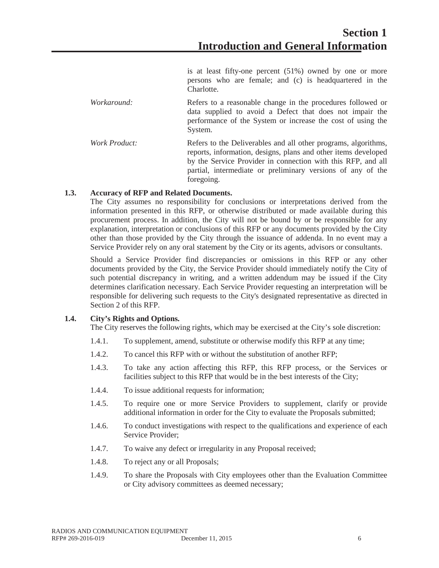is at least fifty-one percent (51%) owned by one or more persons who are female; and (c) is headquartered in the Charlotte.

- *Workaround:* Refers to a reasonable change in the procedures followed or data supplied to avoid a Defect that does not impair the performance of the System or increase the cost of using the System.
- *Work Product:* Refers to the Deliverables and all other programs, algorithms, reports, information, designs, plans and other items developed by the Service Provider in connection with this RFP, and all partial, intermediate or preliminary versions of any of the foregoing.

#### **1.3. Accuracy of RFP and Related Documents.**

The City assumes no responsibility for conclusions or interpretations derived from the information presented in this RFP, or otherwise distributed or made available during this procurement process. In addition, the City will not be bound by or be responsible for any explanation, interpretation or conclusions of this RFP or any documents provided by the City other than those provided by the City through the issuance of addenda. In no event may a Service Provider rely on any oral statement by the City or its agents, advisors or consultants.

Should a Service Provider find discrepancies or omissions in this RFP or any other documents provided by the City, the Service Provider should immediately notify the City of such potential discrepancy in writing, and a written addendum may be issued if the City determines clarification necessary. Each Service Provider requesting an interpretation will be responsible for delivering such requests to the City's designated representative as directed in Section 2 of this RFP.

#### **1.4. City's Rights and Options.**

The City reserves the following rights, which may be exercised at the City's sole discretion:

- 1.4.1. To supplement, amend, substitute or otherwise modify this RFP at any time;
- 1.4.2. To cancel this RFP with or without the substitution of another RFP;
- 1.4.3. To take any action affecting this RFP, this RFP process, or the Services or facilities subject to this RFP that would be in the best interests of the City;
- 1.4.4. To issue additional requests for information;
- 1.4.5. To require one or more Service Providers to supplement, clarify or provide additional information in order for the City to evaluate the Proposals submitted;
- 1.4.6. To conduct investigations with respect to the qualifications and experience of each Service Provider;
- 1.4.7. To waive any defect or irregularity in any Proposal received;
- 1.4.8. To reject any or all Proposals;
- 1.4.9. To share the Proposals with City employees other than the Evaluation Committee or City advisory committees as deemed necessary;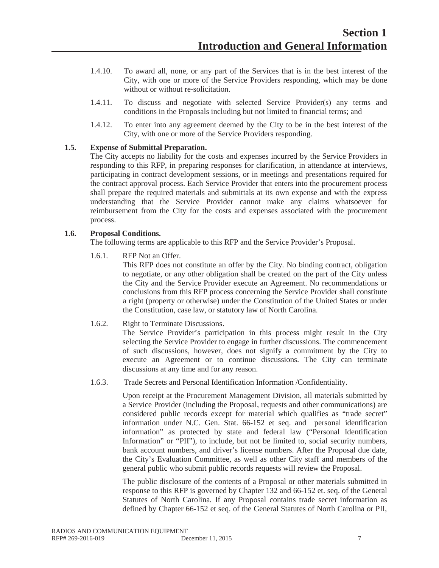- 1.4.10. To award all, none, or any part of the Services that is in the best interest of the City, with one or more of the Service Providers responding, which may be done without or without re-solicitation.
- 1.4.11. To discuss and negotiate with selected Service Provider(s) any terms and conditions in the Proposals including but not limited to financial terms; and
- 1.4.12. To enter into any agreement deemed by the City to be in the best interest of the City, with one or more of the Service Providers responding.

#### **1.5. Expense of Submittal Preparation.**

The City accepts no liability for the costs and expenses incurred by the Service Providers in responding to this RFP, in preparing responses for clarification, in attendance at interviews, participating in contract development sessions, or in meetings and presentations required for the contract approval process. Each Service Provider that enters into the procurement process shall prepare the required materials and submittals at its own expense and with the express understanding that the Service Provider cannot make any claims whatsoever for reimbursement from the City for the costs and expenses associated with the procurement process.

#### **1.6. Proposal Conditions.**

The following terms are applicable to this RFP and the Service Provider's Proposal.

1.6.1. RFP Not an Offer.

This RFP does not constitute an offer by the City. No binding contract, obligation to negotiate, or any other obligation shall be created on the part of the City unless the City and the Service Provider execute an Agreement. No recommendations or conclusions from this RFP process concerning the Service Provider shall constitute a right (property or otherwise) under the Constitution of the United States or under the Constitution, case law, or statutory law of North Carolina.

#### 1.6.2. Right to Terminate Discussions.

The Service Provider's participation in this process might result in the City selecting the Service Provider to engage in further discussions. The commencement of such discussions, however, does not signify a commitment by the City to execute an Agreement or to continue discussions. The City can terminate discussions at any time and for any reason.

1.6.3. Trade Secrets and Personal Identification Information /Confidentiality.

Upon receipt at the Procurement Management Division, all materials submitted by a Service Provider (including the Proposal, requests and other communications) are considered public records except for material which qualifies as "trade secret" information under N.C. Gen. Stat. 66-152 et seq. and personal identification information" as protected by state and federal law ("Personal Identification Information" or "PII"), to include, but not be limited to, social security numbers, bank account numbers, and driver's license numbers. After the Proposal due date, the City's Evaluation Committee, as well as other City staff and members of the general public who submit public records requests will review the Proposal.

The public disclosure of the contents of a Proposal or other materials submitted in response to this RFP is governed by Chapter 132 and 66-152 et. seq. of the General Statutes of North Carolina. If any Proposal contains trade secret information as defined by Chapter 66-152 et seq. of the General Statutes of North Carolina or PII,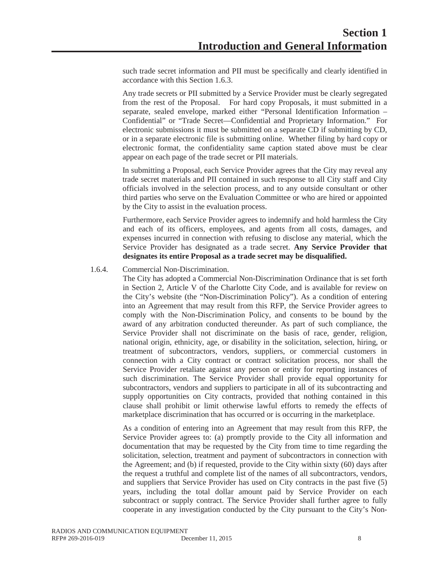such trade secret information and PII must be specifically and clearly identified in accordance with this Section 1.6.3.

Any trade secrets or PII submitted by a Service Provider must be clearly segregated from the rest of the Proposal. For hard copy Proposals, it must submitted in a separate, sealed envelope, marked either "Personal Identification Information – Confidential" or "Trade Secret—Confidential and Proprietary Information." For electronic submissions it must be submitted on a separate CD if submitting by CD, or in a separate electronic file is submitting online. Whether filing by hard copy or electronic format, the confidentiality same caption stated above must be clear appear on each page of the trade secret or PII materials.

In submitting a Proposal, each Service Provider agrees that the City may reveal any trade secret materials and PII contained in such response to all City staff and City officials involved in the selection process, and to any outside consultant or other third parties who serve on the Evaluation Committee or who are hired or appointed by the City to assist in the evaluation process.

Furthermore, each Service Provider agrees to indemnify and hold harmless the City and each of its officers, employees, and agents from all costs, damages, and expenses incurred in connection with refusing to disclose any material, which the Service Provider has designated as a trade secret. **Any Service Provider that designates its entire Proposal as a trade secret may be disqualified.**

#### 1.6.4. Commercial Non-Discrimination.

The City has adopted a Commercial Non-Discrimination Ordinance that is set forth in Section 2, Article V of the Charlotte City Code, and is available for review on the City's website (the "Non-Discrimination Policy"). As a condition of entering into an Agreement that may result from this RFP, the Service Provider agrees to comply with the Non-Discrimination Policy, and consents to be bound by the award of any arbitration conducted thereunder. As part of such compliance, the Service Provider shall not discriminate on the basis of race, gender, religion, national origin, ethnicity, age, or disability in the solicitation, selection, hiring, or treatment of subcontractors, vendors, suppliers, or commercial customers in connection with a City contract or contract solicitation process, nor shall the Service Provider retaliate against any person or entity for reporting instances of such discrimination. The Service Provider shall provide equal opportunity for subcontractors, vendors and suppliers to participate in all of its subcontracting and supply opportunities on City contracts, provided that nothing contained in this clause shall prohibit or limit otherwise lawful efforts to remedy the effects of marketplace discrimination that has occurred or is occurring in the marketplace.

As a condition of entering into an Agreement that may result from this RFP, the Service Provider agrees to: (a) promptly provide to the City all information and documentation that may be requested by the City from time to time regarding the solicitation, selection, treatment and payment of subcontractors in connection with the Agreement; and (b) if requested, provide to the City within sixty (60) days after the request a truthful and complete list of the names of all subcontractors, vendors, and suppliers that Service Provider has used on City contracts in the past five (5) years, including the total dollar amount paid by Service Provider on each subcontract or supply contract. The Service Provider shall further agree to fully cooperate in any investigation conducted by the City pursuant to the City's Non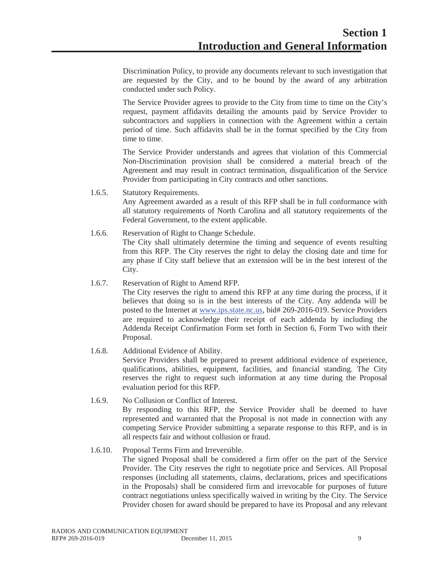Discrimination Policy, to provide any documents relevant to such investigation that are requested by the City, and to be bound by the award of any arbitration conducted under such Policy.

The Service Provider agrees to provide to the City from time to time on the City's request, payment affidavits detailing the amounts paid by Service Provider to subcontractors and suppliers in connection with the Agreement within a certain period of time. Such affidavits shall be in the format specified by the City from time to time.

The Service Provider understands and agrees that violation of this Commercial Non-Discrimination provision shall be considered a material breach of the Agreement and may result in contract termination, disqualification of the Service Provider from participating in City contracts and other sanctions.

1.6.5. Statutory Requirements.

Any Agreement awarded as a result of this RFP shall be in full conformance with all statutory requirements of North Carolina and all statutory requirements of the Federal Government, to the extent applicable.

1.6.6. Reservation of Right to Change Schedule. The City shall ultimately determine the timing and sequence of events resulting from this RFP. The City reserves the right to delay the closing date and time for any phase if City staff believe that an extension will be in the best interest of the City.

#### 1.6.7. Reservation of Right to Amend RFP.

The City reserves the right to amend this RFP at any time during the process, if it believes that doing so is in the best interests of the City. Any addenda will be posted to the Internet at www.ips.state.nc.us, bid# 269-2016-019. Service Providers are required to acknowledge their receipt of each addenda by including the Addenda Receipt Confirmation Form set forth in Section 6, Form Two with their Proposal.

- 1.6.8. Additional Evidence of Ability. Service Providers shall be prepared to present additional evidence of experience, qualifications, abilities, equipment, facilities, and financial standing. The City reserves the right to request such information at any time during the Proposal evaluation period for this RFP.
- 1.6.9. No Collusion or Conflict of Interest. By responding to this RFP, the Service Provider shall be deemed to have represented and warranted that the Proposal is not made in connection with any competing Service Provider submitting a separate response to this RFP, and is in all respects fair and without collusion or fraud.

#### 1.6.10. Proposal Terms Firm and Irreversible.

The signed Proposal shall be considered a firm offer on the part of the Service Provider. The City reserves the right to negotiate price and Services. All Proposal responses (including all statements, claims, declarations, prices and specifications in the Proposals) shall be considered firm and irrevocable for purposes of future contract negotiations unless specifically waived in writing by the City. The Service Provider chosen for award should be prepared to have its Proposal and any relevant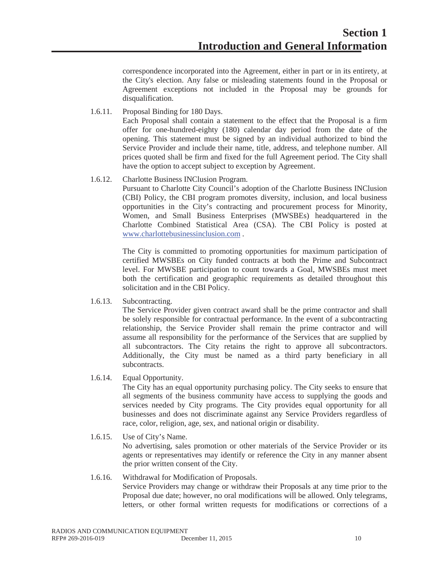correspondence incorporated into the Agreement, either in part or in its entirety, at the City's election. Any false or misleading statements found in the Proposal or Agreement exceptions not included in the Proposal may be grounds for disqualification.

1.6.11. Proposal Binding for 180 Days.

Each Proposal shall contain a statement to the effect that the Proposal is a firm offer for one-hundred-eighty (180) calendar day period from the date of the opening. This statement must be signed by an individual authorized to bind the Service Provider and include their name, title, address, and telephone number. All prices quoted shall be firm and fixed for the full Agreement period. The City shall have the option to accept subject to exception by Agreement.

1.6.12. Charlotte Business INClusion Program.

Pursuant to Charlotte City Council's adoption of the Charlotte Business INClusion (CBI) Policy, the CBI program promotes diversity, inclusion, and local business opportunities in the City's contracting and procurement process for Minority, Women, and Small Business Enterprises (MWSBEs) headquartered in the Charlotte Combined Statistical Area (CSA). The CBI Policy is posted at www.charlottebusinessinclusion.com .

The City is committed to promoting opportunities for maximum participation of certified MWSBEs on City funded contracts at both the Prime and Subcontract level. For MWSBE participation to count towards a Goal, MWSBEs must meet both the certification and geographic requirements as detailed throughout this solicitation and in the CBI Policy.

1.6.13. Subcontracting.

The Service Provider given contract award shall be the prime contractor and shall be solely responsible for contractual performance. In the event of a subcontracting relationship, the Service Provider shall remain the prime contractor and will assume all responsibility for the performance of the Services that are supplied by all subcontractors. The City retains the right to approve all subcontractors. Additionally, the City must be named as a third party beneficiary in all subcontracts.

1.6.14. Equal Opportunity.

The City has an equal opportunity purchasing policy. The City seeks to ensure that all segments of the business community have access to supplying the goods and services needed by City programs. The City provides equal opportunity for all businesses and does not discriminate against any Service Providers regardless of race, color, religion, age, sex, and national origin or disability.

- 1.6.15. Use of City's Name. No advertising, sales promotion or other materials of the Service Provider or its agents or representatives may identify or reference the City in any manner absent the prior written consent of the City.
- 1.6.16. Withdrawal for Modification of Proposals. Service Providers may change or withdraw their Proposals at any time prior to the Proposal due date; however, no oral modifications will be allowed. Only telegrams, letters, or other formal written requests for modifications or corrections of a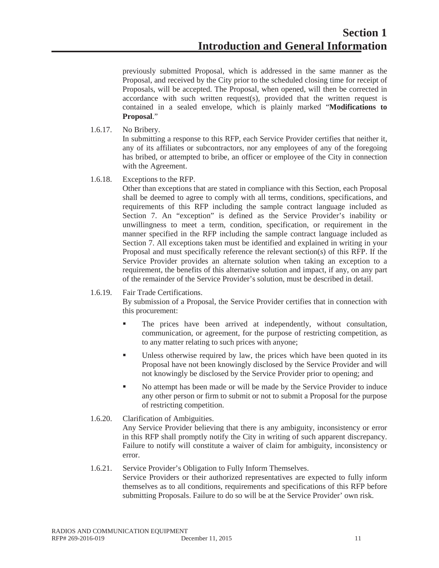previously submitted Proposal, which is addressed in the same manner as the Proposal, and received by the City prior to the scheduled closing time for receipt of Proposals, will be accepted. The Proposal, when opened, will then be corrected in accordance with such written request(s), provided that the written request is contained in a sealed envelope, which is plainly marked "**Modifications to Proposal**."

1.6.17. No Bribery.

In submitting a response to this RFP, each Service Provider certifies that neither it, any of its affiliates or subcontractor*s*, nor any employees of any of the foregoing has bribed, or attempted to bribe, an officer or employee of the City in connection with the Agreement.

1.6.18. Exceptions to the RFP.

Other than exceptions that are stated in compliance with this Section, each Proposal shall be deemed to agree to comply with all terms, conditions, specifications, and requirements of this RFP including the sample contract language included as Section 7. An "exception" is defined as the Service Provider's inability or unwillingness to meet a term, condition, specification, or requirement in the manner specified in the RFP including the sample contract language included as Section 7. All exceptions taken must be identified and explained in writing in your Proposal and must specifically reference the relevant section(s) of this RFP. If the Service Provider provides an alternate solution when taking an exception to a requirement, the benefits of this alternative solution and impact, if any, on any part of the remainder of the Service Provider's solution, must be described in detail.

#### 1.6.19. Fair Trade Certifications.

By submission of a Proposal, the Service Provider certifies that in connection with this procurement:

- The prices have been arrived at independently, without consultation, communication, or agreement, for the purpose of restricting competition, as to any matter relating to such prices with anyone;
- Unless otherwise required by law, the prices which have been quoted in its Proposal have not been knowingly disclosed by the Service Provider and will not knowingly be disclosed by the Service Provider prior to opening; and
- No attempt has been made or will be made by the Service Provider to induce any other person or firm to submit or not to submit a Proposal for the purpose of restricting competition.
- 1.6.20. Clarification of Ambiguities.

Any Service Provider believing that there is any ambiguity, inconsistency or error in this RFP shall promptly notify the City in writing of such apparent discrepancy. Failure to notify will constitute a waiver of claim for ambiguity, inconsistency or error.

#### 1.6.21. Service Provider's Obligation to Fully Inform Themselves. Service Providers or their authorized representatives are expected to fully inform themselves as to all conditions, requirements and specifications of this RFP before submitting Proposals. Failure to do so will be at the Service Provider' own risk.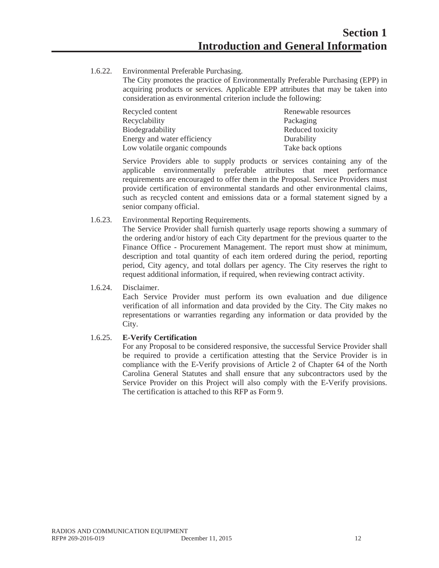1.6.22. Environmental Preferable Purchasing.

The City promotes the practice of Environmentally Preferable Purchasing (EPP) in acquiring products or services. Applicable EPP attributes that may be taken into consideration as environmental criterion include the following:

| Recycled content               | Renewable resources |
|--------------------------------|---------------------|
| Recyclability                  | Packaging           |
| Biodegradability               | Reduced toxicity    |
| Energy and water efficiency    | Durability          |
| Low volatile organic compounds | Take back options   |

Service Providers able to supply products or services containing any of the applicable environmentally preferable attributes that meet performance requirements are encouraged to offer them in the Proposal. Service Providers must provide certification of environmental standards and other environmental claims, such as recycled content and emissions data or a formal statement signed by a senior company official.

1.6.23. Environmental Reporting Requirements.

The Service Provider shall furnish quarterly usage reports showing a summary of the ordering and/or history of each City department for the previous quarter to the Finance Office - Procurement Management. The report must show at minimum, description and total quantity of each item ordered during the period, reporting period, City agency, and total dollars per agency. The City reserves the right to request additional information, if required, when reviewing contract activity.

1.6.24. Disclaimer.

Each Service Provider must perform its own evaluation and due diligence verification of all information and data provided by the City. The City makes no representations or warranties regarding any information or data provided by the City.

#### 1.6.25. **E-Verify Certification**

For any Proposal to be considered responsive, the successful Service Provider shall be required to provide a certification attesting that the Service Provider is in compliance with the E-Verify provisions of Article 2 of Chapter 64 of the North Carolina General Statutes and shall ensure that any subcontractors used by the Service Provider on this Project will also comply with the E-Verify provisions. The certification is attached to this RFP as Form 9.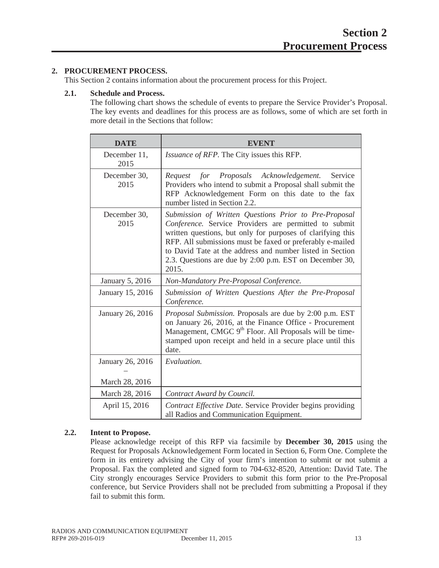#### **2. PROCUREMENT PROCESS.**

This Section 2 contains information about the procurement process for this Project.

#### **2.1. Schedule and Process.**

The following chart shows the schedule of events to prepare the Service Provider's Proposal. The key events and deadlines for this process are as follows, some of which are set forth in more detail in the Sections that follow:

| <b>DATE</b>            | <b>EVENT</b>                                                                                                                                                                                                                                                                                                                                                                |
|------------------------|-----------------------------------------------------------------------------------------------------------------------------------------------------------------------------------------------------------------------------------------------------------------------------------------------------------------------------------------------------------------------------|
| December 11,<br>2015   | <i>Issuance of RFP.</i> The City issues this RFP.                                                                                                                                                                                                                                                                                                                           |
| December 30,<br>2015   | Service<br>for Proposals Acknowledgement.<br>Request<br>Providers who intend to submit a Proposal shall submit the<br>RFP Acknowledgement Form on this date to the fax<br>number listed in Section 2.2.                                                                                                                                                                     |
| December 30,<br>2015   | Submission of Written Questions Prior to Pre-Proposal<br>Conference. Service Providers are permitted to submit<br>written questions, but only for purposes of clarifying this<br>RFP. All submissions must be faxed or preferably e-mailed<br>to David Tate at the address and number listed in Section<br>2.3. Questions are due by 2:00 p.m. EST on December 30,<br>2015. |
| <b>January 5, 2016</b> | Non-Mandatory Pre-Proposal Conference.                                                                                                                                                                                                                                                                                                                                      |
| January 15, 2016       | Submission of Written Questions After the Pre-Proposal<br>Conference.                                                                                                                                                                                                                                                                                                       |
| January 26, 2016       | Proposal Submission. Proposals are due by 2:00 p.m. EST<br>on January 26, 2016, at the Finance Office - Procurement<br>Management, CMGC 9 <sup>th</sup> Floor. All Proposals will be time-<br>stamped upon receipt and held in a secure place until this<br>date.                                                                                                           |
| January 26, 2016       | Evaluation.                                                                                                                                                                                                                                                                                                                                                                 |
| March 28, 2016         |                                                                                                                                                                                                                                                                                                                                                                             |
| March 28, 2016         | Contract Award by Council.                                                                                                                                                                                                                                                                                                                                                  |
| April 15, 2016         | Contract Effective Date. Service Provider begins providing<br>all Radios and Communication Equipment.                                                                                                                                                                                                                                                                       |

#### **2.2. Intent to Propose.**

Please acknowledge receipt of this RFP via facsimile by **December 30, 2015** using the Request for Proposals Acknowledgement Form located in Section 6, Form One. Complete the form in its entirety advising the City of your firm's intention to submit or not submit a Proposal. Fax the completed and signed form to 704-632-8520, Attention: David Tate. The City strongly encourages Service Providers to submit this form prior to the Pre-Proposal conference, but Service Providers shall not be precluded from submitting a Proposal if they fail to submit this form.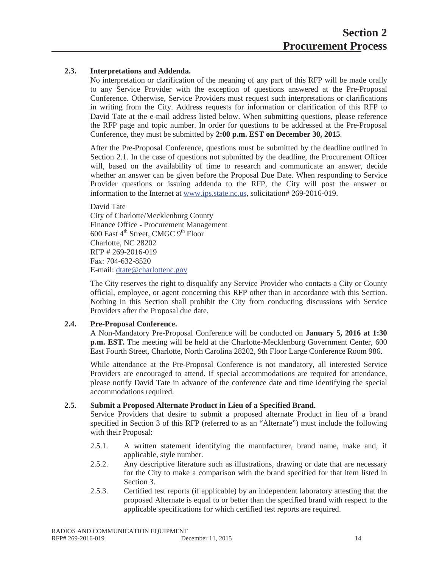#### **2.3. Interpretations and Addenda.**

No interpretation or clarification of the meaning of any part of this RFP will be made orally to any Service Provider with the exception of questions answered at the Pre-Proposal Conference. Otherwise, Service Providers must request such interpretations or clarifications in writing from the City. Address requests for information or clarification of this RFP to David Tate at the e-mail address listed below. When submitting questions, please reference the RFP page and topic number. In order for questions to be addressed at the Pre-Proposal Conference, they must be submitted by **2:00 p.m. EST on December 30, 2015**.

After the Pre-Proposal Conference, questions must be submitted by the deadline outlined in Section 2.1. In the case of questions not submitted by the deadline, the Procurement Officer will, based on the availability of time to research and communicate an answer, decide whether an answer can be given before the Proposal Due Date. When responding to Service Provider questions or issuing addenda to the RFP, the City will post the answer or information to the Internet at www.ips.state.nc.us, solicitation# 269-2016-019.

David Tate City of Charlotte/Mecklenburg County Finance Office - Procurement Management 600 East  $4<sup>th</sup>$  Street, CMGC  $9<sup>th</sup>$  Floor Charlotte, NC 28202 RFP # 269-2016-019 Fax: 704-632-8520 E-mail: dtate@charlottenc.gov

The City reserves the right to disqualify any Service Provider who contacts a City or County official, employee, or agent concerning this RFP other than in accordance with this Section. Nothing in this Section shall prohibit the City from conducting discussions with Service Providers after the Proposal due date.

#### **2.4. Pre-Proposal Conference.**

A Non-Mandatory Pre-Proposal Conference will be conducted on **January 5, 2016 at 1:30 p.m. EST.** The meeting will be held at the Charlotte-Mecklenburg Government Center, 600 East Fourth Street, Charlotte, North Carolina 28202, 9th Floor Large Conference Room 986.

While attendance at the Pre-Proposal Conference is not mandatory, all interested Service Providers are encouraged to attend. If special accommodations are required for attendance, please notify David Tate in advance of the conference date and time identifying the special accommodations required.

#### **2.5. Submit a Proposed Alternate Product in Lieu of a Specified Brand.**

Service Providers that desire to submit a proposed alternate Product in lieu of a brand specified in Section 3 of this RFP (referred to as an "Alternate") must include the following with their Proposal:

- 2.5.1. A written statement identifying the manufacturer, brand name, make and, if applicable, style number.
- 2.5.2. Any descriptive literature such as illustrations, drawing or date that are necessary for the City to make a comparison with the brand specified for that item listed in Section 3.
- 2.5.3. Certified test reports (if applicable) by an independent laboratory attesting that the proposed Alternate is equal to or better than the specified brand with respect to the applicable specifications for which certified test reports are required.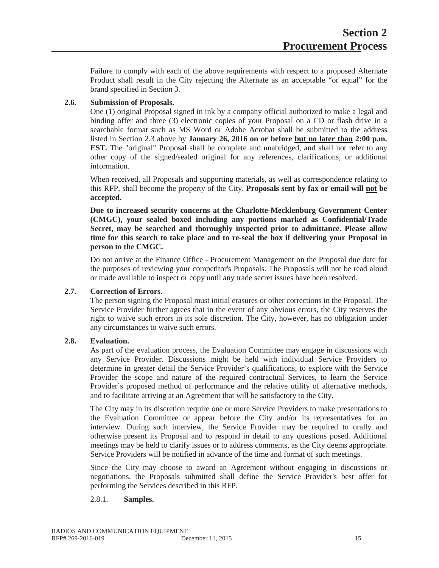Failure to comply with each of the above requirements with respect to a proposed Alternate Product shall result in the City rejecting the Alternate as an acceptable "or equal" for the brand specified in Section 3.

#### **2.6. Submission of Proposals.**

One (1) original Proposal signed in ink by a company official authorized to make a legal and binding offer and three (3) electronic copies of your Proposal on a CD or flash drive in a searchable format such as MS Word or Adobe Acrobat shall be submitted to the address listed in Section 2.3 above by **January 26, 2016 on or before but no later than 2:00 p.m. EST.** The "original" Proposal shall be complete and unabridged, and shall not refer to any other copy of the signed/sealed original for any references, clarifications, or additional information.

When received, all Proposals and supporting materials, as well as correspondence relating to this RFP, shall become the property of the City. **Proposals sent by fax or email will not be accepted.**

**Due to increased security concerns at the Charlotte-Mecklenburg Government Center (CMGC), your sealed boxed including any portions marked as Confidential/Trade Secret, may be searched and thoroughly inspected prior to admittance. Please allow time for this search to take place and to re-seal the box if delivering your Proposal in person to the CMGC.**

Do not arrive at the Finance Office - Procurement Management on the Proposal due date for the purposes of reviewing your competitor's Proposals. The Proposals will not be read aloud or made available to inspect or copy until any trade secret issues have been resolved.

#### **2.7. Correction of Errors.**

The person signing the Proposal must initial erasures or other corrections in the Proposal. The Service Provider further agrees that in the event of any obvious errors, the City reserves the right to waive such errors in its sole discretion. The City, however, has no obligation under any circumstances to waive such errors.

#### **2.8. Evaluation.**

As part of the evaluation process, the Evaluation Committee may engage in discussions with any Service Provider. Discussions might be held with individual Service Providers to determine in greater detail the Service Provider's qualifications, to explore with the Service Provider the scope and nature of the required contractual Services, to learn the Service Provider's proposed method of performance and the relative utility of alternative methods, and to facilitate arriving at an Agreement that will be satisfactory to the City.

The City may in its discretion require one or more Service Providers to make presentations to the Evaluation Committee or appear before the City and/or its representatives for an interview. During such interview, the Service Provider may be required to orally and otherwise present its Proposal and to respond in detail to any questions posed. Additional meetings may be held to clarify issues or to address comments, as the City deems appropriate. Service Providers will be notified in advance of the time and format of such meetings.

Since the City may choose to award an Agreement without engaging in discussions or negotiations, the Proposals submitted shall define the Service Provider's best offer for performing the Services described in this RFP.

#### 2.8.1. **Samples.**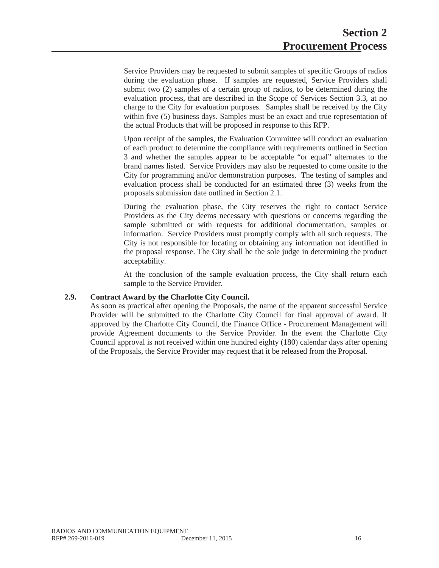Service Providers may be requested to submit samples of specific Groups of radios during the evaluation phase. If samples are requested, Service Providers shall submit two (2) samples of a certain group of radios, to be determined during the evaluation process, that are described in the Scope of Services Section 3.3, at no charge to the City for evaluation purposes. Samples shall be received by the City within five (5) business days. Samples must be an exact and true representation of the actual Products that will be proposed in response to this RFP.

Upon receipt of the samples, the Evaluation Committee will conduct an evaluation of each product to determine the compliance with requirements outlined in Section 3 and whether the samples appear to be acceptable "or equal" alternates to the brand names listed. Service Providers may also be requested to come onsite to the City for programming and/or demonstration purposes. The testing of samples and evaluation process shall be conducted for an estimated three (3) weeks from the proposals submission date outlined in Section 2.1.

During the evaluation phase, the City reserves the right to contact Service Providers as the City deems necessary with questions or concerns regarding the sample submitted or with requests for additional documentation, samples or information. Service Providers must promptly comply with all such requests. The City is not responsible for locating or obtaining any information not identified in the proposal response. The City shall be the sole judge in determining the product acceptability.

At the conclusion of the sample evaluation process, the City shall return each sample to the Service Provider.

#### **2.9. Contract Award by the Charlotte City Council.**

As soon as practical after opening the Proposals, the name of the apparent successful Service Provider will be submitted to the Charlotte City Council for final approval of award. If approved by the Charlotte City Council, the Finance Office - Procurement Management will provide Agreement documents to the Service Provider. In the event the Charlotte City Council approval is not received within one hundred eighty (180) calendar days after opening of the Proposals, the Service Provider may request that it be released from the Proposal.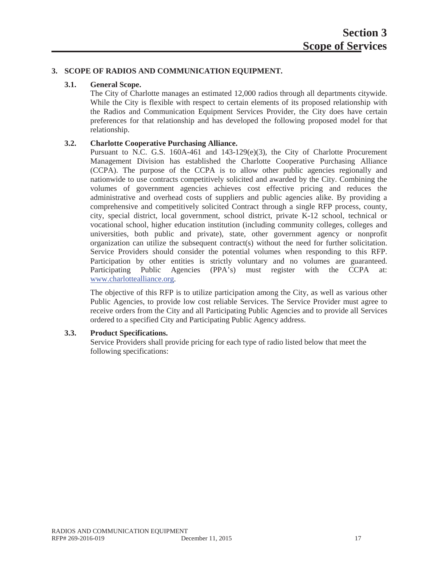#### **3. SCOPE OF RADIOS AND COMMUNICATION EQUIPMENT.**

#### **3.1. General Scope.**

The City of Charlotte manages an estimated 12,000 radios through all departments citywide. While the City is flexible with respect to certain elements of its proposed relationship with the Radios and Communication Equipment Services Provider, the City does have certain preferences for that relationship and has developed the following proposed model for that relationship.

#### **3.2. Charlotte Cooperative Purchasing Alliance.**

Pursuant to N.C. G.S. 160A-461 and  $143-129(e)(3)$ , the City of Charlotte Procurement Management Division has established the Charlotte Cooperative Purchasing Alliance (CCPA). The purpose of the CCPA is to allow other public agencies regionally and nationwide to use contracts competitively solicited and awarded by the City. Combining the volumes of government agencies achieves cost effective pricing and reduces the administrative and overhead costs of suppliers and public agencies alike. By providing a comprehensive and competitively solicited Contract through a single RFP process, county, city, special district, local government, school district, private K-12 school, technical or vocational school, higher education institution (including community colleges, colleges and universities, both public and private), state, other government agency or nonprofit organization can utilize the subsequent contract(s) without the need for further solicitation. Service Providers should consider the potential volumes when responding to this RFP. Participation by other entities is strictly voluntary and no volumes are guaranteed. Participating Public Agencies (PPA's) must register with the CCPA at: www.charlottealliance.org.

The objective of this RFP is to utilize participation among the City, as well as various other Public Agencies, to provide low cost reliable Services. The Service Provider must agree to receive orders from the City and all Participating Public Agencies and to provide all Services ordered to a specified City and Participating Public Agency address.

#### **3.3. Product Specifications.**

Service Providers shall provide pricing for each type of radio listed below that meet the following specifications: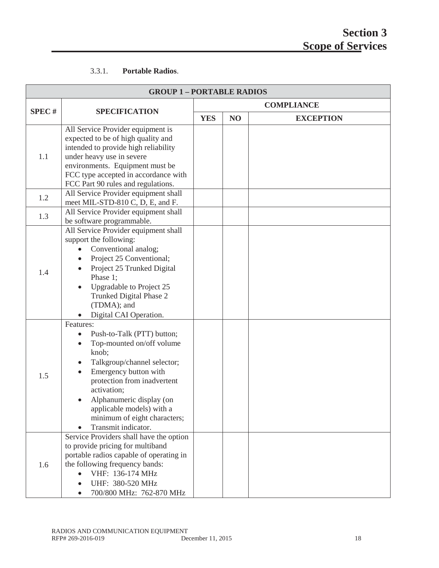#### 3.3.1. **Portable Radios**.

| <b>GROUP 1-PORTABLE RADIOS</b> |                                                                                                                                                                                                                                                                                                                                                                          |            |                   |                  |  |
|--------------------------------|--------------------------------------------------------------------------------------------------------------------------------------------------------------------------------------------------------------------------------------------------------------------------------------------------------------------------------------------------------------------------|------------|-------------------|------------------|--|
|                                | <b>SPECIFICATION</b>                                                                                                                                                                                                                                                                                                                                                     |            | <b>COMPLIANCE</b> |                  |  |
| <b>SPEC#</b>                   |                                                                                                                                                                                                                                                                                                                                                                          | <b>YES</b> | NO                | <b>EXCEPTION</b> |  |
| 1.1                            | All Service Provider equipment is<br>expected to be of high quality and<br>intended to provide high reliability<br>under heavy use in severe<br>environments. Equipment must be<br>FCC type accepted in accordance with<br>FCC Part 90 rules and regulations.                                                                                                            |            |                   |                  |  |
| 1.2                            | All Service Provider equipment shall<br>meet MIL-STD-810 C, D, E, and F.                                                                                                                                                                                                                                                                                                 |            |                   |                  |  |
| 1.3                            | All Service Provider equipment shall<br>be software programmable.                                                                                                                                                                                                                                                                                                        |            |                   |                  |  |
| 1.4                            | All Service Provider equipment shall<br>support the following:<br>Conventional analog;<br>Project 25 Conventional;<br>Project 25 Trunked Digital<br>Phase 1;<br>Upgradable to Project 25<br>Trunked Digital Phase 2<br>(TDMA); and<br>Digital CAI Operation.                                                                                                             |            |                   |                  |  |
| 1.5                            | Features:<br>Push-to-Talk (PTT) button;<br>Top-mounted on/off volume<br>$\bullet$<br>knob;<br>Talkgroup/channel selector;<br>$\bullet$<br>Emergency button with<br>protection from inadvertent<br>activation;<br>Alphanumeric display (on<br>applicable models) with a<br>minimum of eight characters;<br>Transmit indicator.<br>Service Providers shall have the option |            |                   |                  |  |
| 1.6                            | to provide pricing for multiband<br>portable radios capable of operating in<br>the following frequency bands:<br>VHF: 136-174 MHz<br>UHF: 380-520 MHz<br>700/800 MHz: 762-870 MHz                                                                                                                                                                                        |            |                   |                  |  |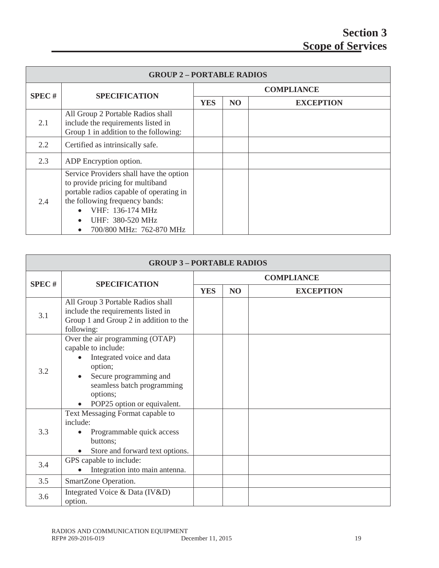| <b>GROUP 2-PORTABLE RADIOS</b> |                                                                                                                                                                                                                                                        |                   |                |                  |  |
|--------------------------------|--------------------------------------------------------------------------------------------------------------------------------------------------------------------------------------------------------------------------------------------------------|-------------------|----------------|------------------|--|
| <b>SPEC#</b>                   | <b>SPECIFICATION</b>                                                                                                                                                                                                                                   | <b>COMPLIANCE</b> |                |                  |  |
|                                |                                                                                                                                                                                                                                                        | <b>YES</b>        | N <sub>O</sub> | <b>EXCEPTION</b> |  |
| 2.1                            | All Group 2 Portable Radios shall<br>include the requirements listed in<br>Group 1 in addition to the following:                                                                                                                                       |                   |                |                  |  |
| 2.2                            | Certified as intrinsically safe.                                                                                                                                                                                                                       |                   |                |                  |  |
| 2.3                            | ADP Encryption option.                                                                                                                                                                                                                                 |                   |                |                  |  |
| 2.4                            | Service Providers shall have the option<br>to provide pricing for multiband<br>portable radios capable of operating in<br>the following frequency bands:<br>VHF: 136-174 MHz<br>UHF: 380-520 MHz<br>$\bullet$<br>700/800 MHz: 762-870 MHz<br>$\bullet$ |                   |                |                  |  |

| <b>GROUP 3-PORTABLE RADIOS</b> |                                                                                                                                                                                                   |                   |    |                  |  |
|--------------------------------|---------------------------------------------------------------------------------------------------------------------------------------------------------------------------------------------------|-------------------|----|------------------|--|
| <b>SPEC#</b>                   | <b>SPECIFICATION</b>                                                                                                                                                                              | <b>COMPLIANCE</b> |    |                  |  |
|                                |                                                                                                                                                                                                   | <b>YES</b>        | NO | <b>EXCEPTION</b> |  |
| 3.1                            | All Group 3 Portable Radios shall<br>include the requirements listed in<br>Group 1 and Group 2 in addition to the<br>following:                                                                   |                   |    |                  |  |
| 3.2                            | Over the air programming (OTAP)<br>capable to include:<br>Integrated voice and data<br>option;<br>Secure programming and<br>seamless batch programming<br>options;<br>POP25 option or equivalent. |                   |    |                  |  |
| 3.3                            | Text Messaging Format capable to<br>include:<br>Programmable quick access<br>buttons;<br>Store and forward text options.                                                                          |                   |    |                  |  |
| 3.4                            | GPS capable to include:<br>Integration into main antenna.                                                                                                                                         |                   |    |                  |  |
| 3.5                            | SmartZone Operation.                                                                                                                                                                              |                   |    |                  |  |
| 3.6                            | Integrated Voice & Data (IV&D)<br>option.                                                                                                                                                         |                   |    |                  |  |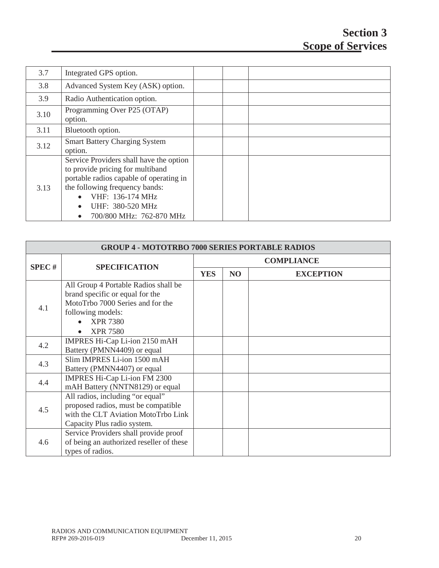| 3.7  | Integrated GPS option.                                                                                                                                                                                                                                 |  |  |
|------|--------------------------------------------------------------------------------------------------------------------------------------------------------------------------------------------------------------------------------------------------------|--|--|
| 3.8  | Advanced System Key (ASK) option.                                                                                                                                                                                                                      |  |  |
| 3.9  | Radio Authentication option.                                                                                                                                                                                                                           |  |  |
| 3.10 | Programming Over P25 (OTAP)<br>option.                                                                                                                                                                                                                 |  |  |
| 3.11 | Bluetooth option.                                                                                                                                                                                                                                      |  |  |
| 3.12 | <b>Smart Battery Charging System</b><br>option.                                                                                                                                                                                                        |  |  |
| 3.13 | Service Providers shall have the option<br>to provide pricing for multiband<br>portable radios capable of operating in<br>the following frequency bands:<br>VHF: 136-174 MHz<br>UHF: 380-520 MHz<br>$\bullet$<br>700/800 MHz: 762-870 MHz<br>$\bullet$ |  |  |

|              | <b>GROUP 4 - MOTOTRBO 7000 SERIES PORTABLE RADIOS</b>                                                                                                                  |                   |    |                  |  |
|--------------|------------------------------------------------------------------------------------------------------------------------------------------------------------------------|-------------------|----|------------------|--|
| <b>SPEC#</b> |                                                                                                                                                                        | <b>COMPLIANCE</b> |    |                  |  |
|              | <b>SPECIFICATION</b>                                                                                                                                                   | <b>YES</b>        | NO | <b>EXCEPTION</b> |  |
| 4.1          | All Group 4 Portable Radios shall be<br>brand specific or equal for the<br>MotoTrbo 7000 Series and for the<br>following models:<br><b>XPR 7380</b><br><b>XPR 7580</b> |                   |    |                  |  |
| 4.2          | IMPRES Hi-Cap Li-ion 2150 mAH<br>Battery (PMNN4409) or equal                                                                                                           |                   |    |                  |  |
| 4.3          | Slim IMPRES Li-ion 1500 mAH<br>Battery (PMNN4407) or equal                                                                                                             |                   |    |                  |  |
| 4.4          | IMPRES Hi-Cap Li-ion FM 2300<br>mAH Battery (NNTN8129) or equal                                                                                                        |                   |    |                  |  |
| 4.5          | All radios, including "or equal"<br>proposed radios, must be compatible<br>with the CLT Aviation MotoTrbo Link<br>Capacity Plus radio system.                          |                   |    |                  |  |
| 4.6          | Service Providers shall provide proof<br>of being an authorized reseller of these<br>types of radios.                                                                  |                   |    |                  |  |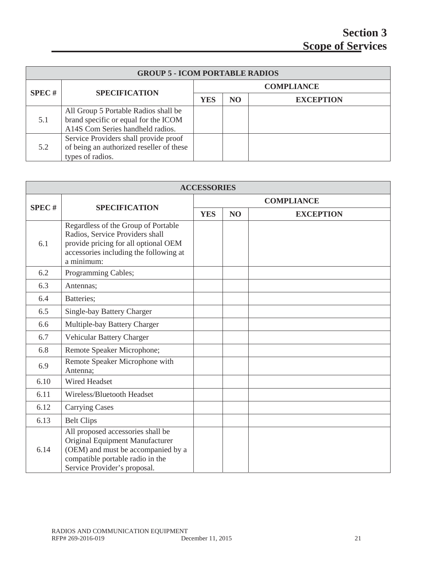| <b>GROUP 5 - ICOM PORTABLE RADIOS</b> |                                                                                                                  |            |                   |                  |  |  |
|---------------------------------------|------------------------------------------------------------------------------------------------------------------|------------|-------------------|------------------|--|--|
| SPEC#                                 |                                                                                                                  |            | <b>COMPLIANCE</b> |                  |  |  |
|                                       | <b>SPECIFICATION</b>                                                                                             | <b>YES</b> | <b>NO</b>         | <b>EXCEPTION</b> |  |  |
| 5.1                                   | All Group 5 Portable Radios shall be<br>brand specific or equal for the ICOM<br>A14S Com Series handheld radios. |            |                   |                  |  |  |
| 5.2                                   | Service Providers shall provide proof<br>of being an authorized reseller of these<br>types of radios.            |            |                   |                  |  |  |

| <b>ACCESSORIES</b> |                                                                                                                                                                                |                   |                |                  |  |
|--------------------|--------------------------------------------------------------------------------------------------------------------------------------------------------------------------------|-------------------|----------------|------------------|--|
| <b>SPEC#</b>       |                                                                                                                                                                                | <b>COMPLIANCE</b> |                |                  |  |
|                    | <b>SPECIFICATION</b>                                                                                                                                                           | <b>YES</b>        | N <sub>O</sub> | <b>EXCEPTION</b> |  |
| 6.1                | Regardless of the Group of Portable<br>Radios, Service Providers shall<br>provide pricing for all optional OEM<br>accessories including the following at<br>a minimum:         |                   |                |                  |  |
| 6.2                | Programming Cables;                                                                                                                                                            |                   |                |                  |  |
| 6.3                | Antennas;                                                                                                                                                                      |                   |                |                  |  |
| 6.4                | Batteries;                                                                                                                                                                     |                   |                |                  |  |
| 6.5                | Single-bay Battery Charger                                                                                                                                                     |                   |                |                  |  |
| 6.6                | Multiple-bay Battery Charger                                                                                                                                                   |                   |                |                  |  |
| 6.7                | Vehicular Battery Charger                                                                                                                                                      |                   |                |                  |  |
| 6.8                | Remote Speaker Microphone;                                                                                                                                                     |                   |                |                  |  |
| 6.9                | Remote Speaker Microphone with<br>Antenna:                                                                                                                                     |                   |                |                  |  |
| 6.10               | <b>Wired Headset</b>                                                                                                                                                           |                   |                |                  |  |
| 6.11               | Wireless/Bluetooth Headset                                                                                                                                                     |                   |                |                  |  |
| 6.12               | <b>Carrying Cases</b>                                                                                                                                                          |                   |                |                  |  |
| 6.13               | <b>Belt Clips</b>                                                                                                                                                              |                   |                |                  |  |
| 6.14               | All proposed accessories shall be<br>Original Equipment Manufacturer<br>(OEM) and must be accompanied by a<br>compatible portable radio in the<br>Service Provider's proposal. |                   |                |                  |  |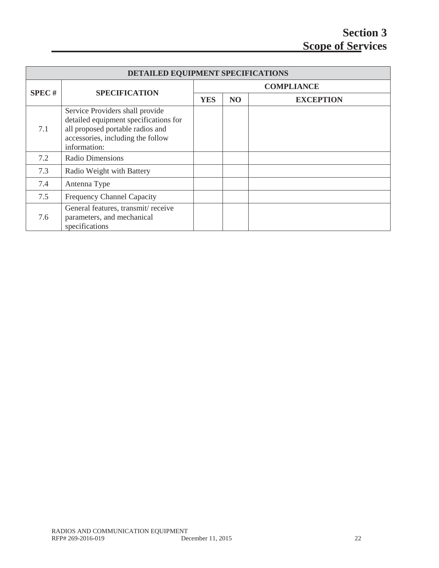| DETAILED EQUIPMENT SPECIFICATIONS |                                                                                                                                                                   |            |                   |                  |  |  |
|-----------------------------------|-------------------------------------------------------------------------------------------------------------------------------------------------------------------|------------|-------------------|------------------|--|--|
| SPEC#                             | <b>SPECIFICATION</b>                                                                                                                                              |            | <b>COMPLIANCE</b> |                  |  |  |
|                                   |                                                                                                                                                                   | <b>YES</b> | N <sub>O</sub>    | <b>EXCEPTION</b> |  |  |
| 7.1                               | Service Providers shall provide<br>detailed equipment specifications for<br>all proposed portable radios and<br>accessories, including the follow<br>information: |            |                   |                  |  |  |
| 7.2                               | Radio Dimensions                                                                                                                                                  |            |                   |                  |  |  |
| 7.3                               | Radio Weight with Battery                                                                                                                                         |            |                   |                  |  |  |
| 7.4                               | Antenna Type                                                                                                                                                      |            |                   |                  |  |  |
| 7.5                               | <b>Frequency Channel Capacity</b>                                                                                                                                 |            |                   |                  |  |  |
| 7.6                               | General features, transmit/receive<br>parameters, and mechanical<br>specifications                                                                                |            |                   |                  |  |  |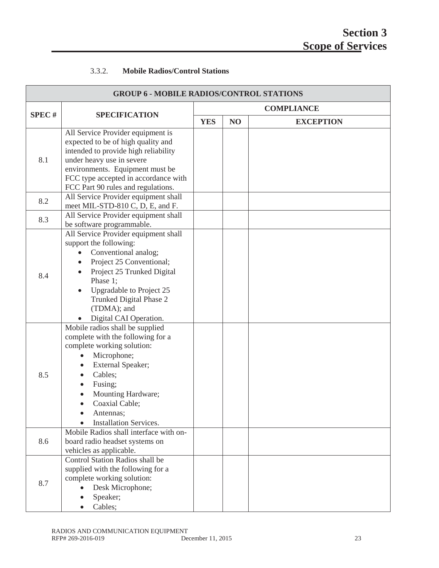#### 3.3.2. **Mobile Radios/Control Stations**

| <b>GROUP 6 - MOBILE RADIOS/CONTROL STATIONS</b> |                                                                                                                                                                                                                                                                                        |            |                |                   |
|-------------------------------------------------|----------------------------------------------------------------------------------------------------------------------------------------------------------------------------------------------------------------------------------------------------------------------------------------|------------|----------------|-------------------|
|                                                 |                                                                                                                                                                                                                                                                                        |            |                | <b>COMPLIANCE</b> |
| <b>SPEC#</b>                                    | <b>SPECIFICATION</b>                                                                                                                                                                                                                                                                   | <b>YES</b> | N <sub>O</sub> | <b>EXCEPTION</b>  |
| 8.1                                             | All Service Provider equipment is<br>expected to be of high quality and<br>intended to provide high reliability<br>under heavy use in severe<br>environments. Equipment must be<br>FCC type accepted in accordance with<br>FCC Part 90 rules and regulations.                          |            |                |                   |
| 8.2                                             | All Service Provider equipment shall<br>meet MIL-STD-810 C, D, E, and F.                                                                                                                                                                                                               |            |                |                   |
| 8.3                                             | All Service Provider equipment shall<br>be software programmable.                                                                                                                                                                                                                      |            |                |                   |
| 8.4                                             | All Service Provider equipment shall<br>support the following:<br>Conventional analog;<br>$\bullet$<br>Project 25 Conventional;<br>$\bullet$<br>Project 25 Trunked Digital<br>Phase 1;<br>Upgradable to Project 25<br>Trunked Digital Phase 2<br>(TDMA); and<br>Digital CAI Operation. |            |                |                   |
| 8.5                                             | Mobile radios shall be supplied<br>complete with the following for a<br>complete working solution:<br>Microphone;<br>External Speaker;<br>Cables;<br>Fusing;<br>Mounting Hardware;<br>Coaxial Cable;<br>Antennas;<br><b>Installation Services.</b>                                     |            |                |                   |
| 8.6                                             | Mobile Radios shall interface with on-<br>board radio headset systems on<br>vehicles as applicable.                                                                                                                                                                                    |            |                |                   |
| 8.7                                             | Control Station Radios shall be<br>supplied with the following for a<br>complete working solution:<br>Desk Microphone;<br>Speaker;<br>Cables;                                                                                                                                          |            |                |                   |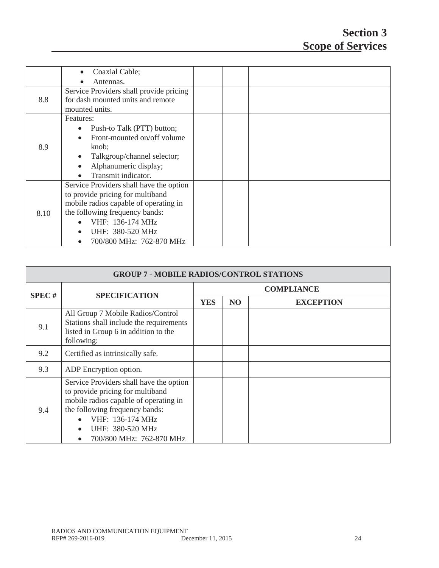|      | Coaxial Cable;                           |  |  |
|------|------------------------------------------|--|--|
|      | Antennas.                                |  |  |
|      | Service Providers shall provide pricing  |  |  |
| 8.8  | for dash mounted units and remote        |  |  |
|      | mounted units.                           |  |  |
|      | Features:                                |  |  |
|      | Push-to Talk (PTT) button;<br>$\bullet$  |  |  |
|      | Front-mounted on/off volume<br>$\bullet$ |  |  |
| 8.9  | knob;                                    |  |  |
|      | Talkgroup/channel selector;<br>$\bullet$ |  |  |
|      | Alphanumeric display;<br>$\bullet$       |  |  |
|      | Transmit indicator.<br>$\bullet$         |  |  |
|      | Service Providers shall have the option  |  |  |
|      | to provide pricing for multiband         |  |  |
|      | mobile radios capable of operating in    |  |  |
| 8.10 | the following frequency bands:           |  |  |
|      | VHF: 136-174 MHz<br>$\bullet$            |  |  |
|      | UHF: 380-520 MHz<br>$\bullet$            |  |  |
|      | 700/800 MHz: 762-870 MHz<br>$\bullet$    |  |  |

| <b>GROUP 7 - MOBILE RADIOS/CONTROL STATIONS</b> |                                                                                                                                                                                                                            |            |                |                   |
|-------------------------------------------------|----------------------------------------------------------------------------------------------------------------------------------------------------------------------------------------------------------------------------|------------|----------------|-------------------|
| SPEC#                                           |                                                                                                                                                                                                                            |            |                | <b>COMPLIANCE</b> |
|                                                 | <b>SPECIFICATION</b>                                                                                                                                                                                                       | <b>YES</b> | N <sub>O</sub> | <b>EXCEPTION</b>  |
| 9.1                                             | All Group 7 Mobile Radios/Control<br>Stations shall include the requirements<br>listed in Group 6 in addition to the<br>following:                                                                                         |            |                |                   |
| 9.2                                             | Certified as intrinsically safe.                                                                                                                                                                                           |            |                |                   |
| 9.3                                             | ADP Encryption option.                                                                                                                                                                                                     |            |                |                   |
| 9.4                                             | Service Providers shall have the option<br>to provide pricing for multiband<br>mobile radios capable of operating in<br>the following frequency bands:<br>VHF: 136-174 MHz<br>UHF: 380-520 MHz<br>700/800 MHz: 762-870 MHz |            |                |                   |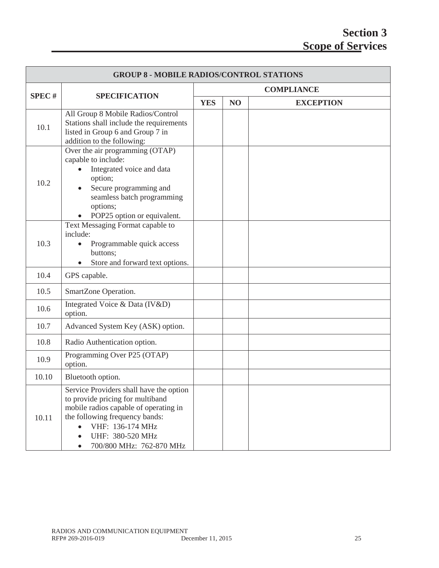## **Section 3 Scope of Services**

| <b>GROUP 8 - MOBILE RADIOS/CONTROL STATIONS</b> |                                                                                                                                                                                                                            |            |                |                   |
|-------------------------------------------------|----------------------------------------------------------------------------------------------------------------------------------------------------------------------------------------------------------------------------|------------|----------------|-------------------|
|                                                 |                                                                                                                                                                                                                            |            |                | <b>COMPLIANCE</b> |
| <b>SPEC#</b>                                    | <b>SPECIFICATION</b>                                                                                                                                                                                                       | <b>YES</b> | N <sub>O</sub> | <b>EXCEPTION</b>  |
| 10.1                                            | All Group 8 Mobile Radios/Control<br>Stations shall include the requirements<br>listed in Group 6 and Group 7 in<br>addition to the following:                                                                             |            |                |                   |
| 10.2                                            | Over the air programming (OTAP)<br>capable to include:<br>Integrated voice and data<br>option;<br>Secure programming and<br>seamless batch programming<br>options;<br>POP25 option or equivalent.                          |            |                |                   |
| 10.3                                            | Text Messaging Format capable to<br>include:<br>Programmable quick access<br>$\bullet$<br>buttons;<br>Store and forward text options.                                                                                      |            |                |                   |
| 10.4                                            | GPS capable.                                                                                                                                                                                                               |            |                |                   |
| 10.5                                            | SmartZone Operation.                                                                                                                                                                                                       |            |                |                   |
| 10.6                                            | Integrated Voice & Data (IV&D)<br>option.                                                                                                                                                                                  |            |                |                   |
| 10.7                                            | Advanced System Key (ASK) option.                                                                                                                                                                                          |            |                |                   |
| 10.8                                            | Radio Authentication option.                                                                                                                                                                                               |            |                |                   |
| 10.9                                            | Programming Over P25 (OTAP)<br>option.                                                                                                                                                                                     |            |                |                   |
| 10.10                                           | Bluetooth option.                                                                                                                                                                                                          |            |                |                   |
| 10.11                                           | Service Providers shall have the option<br>to provide pricing for multiband<br>mobile radios capable of operating in<br>the following frequency bands:<br>VHF: 136-174 MHz<br>UHF: 380-520 MHz<br>700/800 MHz: 762-870 MHz |            |                |                   |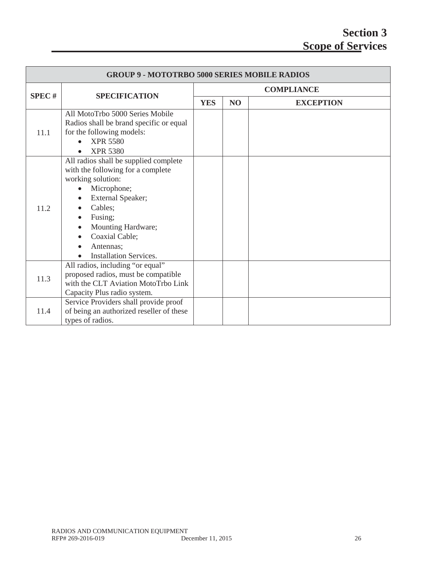| <b>GROUP 9 - MOTOTRBO 5000 SERIES MOBILE RADIOS</b> |                                                                                                                                                                                                                                                              |                   |    |                  |  |
|-----------------------------------------------------|--------------------------------------------------------------------------------------------------------------------------------------------------------------------------------------------------------------------------------------------------------------|-------------------|----|------------------|--|
|                                                     |                                                                                                                                                                                                                                                              | <b>COMPLIANCE</b> |    |                  |  |
| <b>SPEC#</b>                                        | <b>SPECIFICATION</b>                                                                                                                                                                                                                                         | <b>YES</b>        | NO | <b>EXCEPTION</b> |  |
| 11.1                                                | All MotoTrbo 5000 Series Mobile<br>Radios shall be brand specific or equal<br>for the following models:<br><b>XPR 5580</b><br><b>XPR 5380</b>                                                                                                                |                   |    |                  |  |
| 11.2                                                | All radios shall be supplied complete<br>with the following for a complete<br>working solution:<br>Microphone;<br>External Speaker;<br>Cables:<br>Fusing;<br>Mounting Hardware;<br>$\bullet$<br>Coaxial Cable;<br>Antennas;<br><b>Installation Services.</b> |                   |    |                  |  |
| 11.3                                                | All radios, including "or equal"<br>proposed radios, must be compatible<br>with the CLT Aviation MotoTrbo Link<br>Capacity Plus radio system.                                                                                                                |                   |    |                  |  |
| 11.4                                                | Service Providers shall provide proof<br>of being an authorized reseller of these<br>types of radios.                                                                                                                                                        |                   |    |                  |  |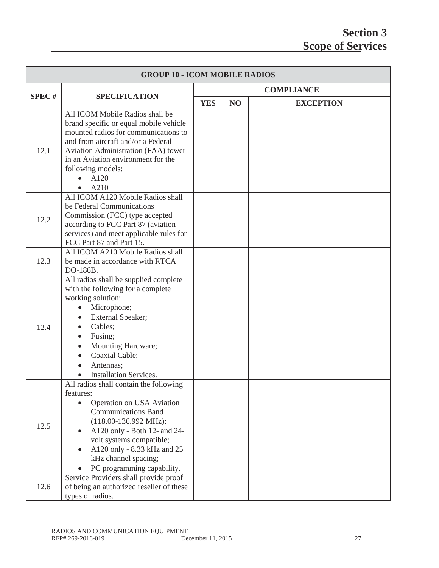| <b>GROUP 10 - ICOM MOBILE RADIOS</b> |                                                                                                                                                                                                                                                                                                                                                          |            |    |                   |
|--------------------------------------|----------------------------------------------------------------------------------------------------------------------------------------------------------------------------------------------------------------------------------------------------------------------------------------------------------------------------------------------------------|------------|----|-------------------|
|                                      |                                                                                                                                                                                                                                                                                                                                                          |            |    | <b>COMPLIANCE</b> |
| <b>SPEC#</b>                         | <b>SPECIFICATION</b>                                                                                                                                                                                                                                                                                                                                     | <b>YES</b> | NO | <b>EXCEPTION</b>  |
| 12.1                                 | All ICOM Mobile Radios shall be<br>brand specific or equal mobile vehicle<br>mounted radios for communications to<br>and from aircraft and/or a Federal<br>Aviation Administration (FAA) tower<br>in an Aviation environment for the<br>following models:<br>A120<br>A210                                                                                |            |    |                   |
| 12.2                                 | All ICOM A120 Mobile Radios shall<br>be Federal Communications<br>Commission (FCC) type accepted<br>according to FCC Part 87 (aviation<br>services) and meet applicable rules for<br>FCC Part 87 and Part 15.                                                                                                                                            |            |    |                   |
| 12.3                                 | All ICOM A210 Mobile Radios shall<br>be made in accordance with RTCA<br>DO-186B.                                                                                                                                                                                                                                                                         |            |    |                   |
| 12.4                                 | All radios shall be supplied complete<br>with the following for a complete<br>working solution:<br>Microphone;<br>External Speaker;<br>$\bullet$<br>Cables;<br>$\bullet$<br>Fusing;<br>$\bullet$<br>Mounting Hardware;<br>$\bullet$<br>Coaxial Cable;<br>Antennas;<br><b>Installation Services.</b>                                                      |            |    |                   |
| 12.5                                 | All radios shall contain the following<br>features:<br>Operation on USA Aviation<br><b>Communications Band</b><br>$(118.00-136.992 \text{ MHz});$<br>A120 only - Both 12- and 24-<br>volt systems compatible;<br>A120 only - 8.33 kHz and 25<br>$\bullet$<br>kHz channel spacing;<br>PC programming capability.<br>Service Providers shall provide proof |            |    |                   |
| 12.6                                 | of being an authorized reseller of these<br>types of radios.                                                                                                                                                                                                                                                                                             |            |    |                   |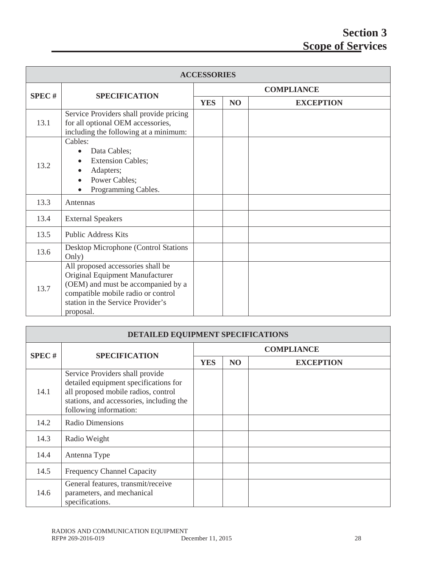| <b>ACCESSORIES</b> |                                                                                                                                                                                                    |                   |                |                  |  |
|--------------------|----------------------------------------------------------------------------------------------------------------------------------------------------------------------------------------------------|-------------------|----------------|------------------|--|
| SPEC#              | <b>SPECIFICATION</b>                                                                                                                                                                               | <b>COMPLIANCE</b> |                |                  |  |
|                    |                                                                                                                                                                                                    | <b>YES</b>        | N <sub>O</sub> | <b>EXCEPTION</b> |  |
| 13.1               | Service Providers shall provide pricing<br>for all optional OEM accessories,<br>including the following at a minimum:                                                                              |                   |                |                  |  |
| 13.2               | Cables:<br>Data Cables;<br>$\bullet$<br><b>Extension Cables;</b><br>Adapters;<br>Power Cables;<br>Programming Cables.                                                                              |                   |                |                  |  |
| 13.3               | Antennas                                                                                                                                                                                           |                   |                |                  |  |
| 13.4               | <b>External Speakers</b>                                                                                                                                                                           |                   |                |                  |  |
| 13.5               | <b>Public Address Kits</b>                                                                                                                                                                         |                   |                |                  |  |
| 13.6               | Desktop Microphone (Control Stations<br>Only)                                                                                                                                                      |                   |                |                  |  |
| 13.7               | All proposed accessories shall be<br>Original Equipment Manufacturer<br>(OEM) and must be accompanied by a<br>compatible mobile radio or control<br>station in the Service Provider's<br>proposal. |                   |                |                  |  |

| DETAILED EQUIPMENT SPECIFICATIONS |                                                                                                                                                                                       |                   |     |                  |  |  |
|-----------------------------------|---------------------------------------------------------------------------------------------------------------------------------------------------------------------------------------|-------------------|-----|------------------|--|--|
| <b>SPEC#</b>                      | <b>SPECIFICATION</b>                                                                                                                                                                  | <b>COMPLIANCE</b> |     |                  |  |  |
|                                   |                                                                                                                                                                                       | <b>YES</b>        | NO. | <b>EXCEPTION</b> |  |  |
| 14.1                              | Service Providers shall provide<br>detailed equipment specifications for<br>all proposed mobile radios, control<br>stations, and accessories, including the<br>following information: |                   |     |                  |  |  |
| 14.2                              | <b>Radio Dimensions</b>                                                                                                                                                               |                   |     |                  |  |  |
| 14.3                              | Radio Weight                                                                                                                                                                          |                   |     |                  |  |  |
| 14.4                              | Antenna Type                                                                                                                                                                          |                   |     |                  |  |  |
| 14.5                              | <b>Frequency Channel Capacity</b>                                                                                                                                                     |                   |     |                  |  |  |
| 14.6                              | General features, transmit/receive<br>parameters, and mechanical<br>specifications.                                                                                                   |                   |     |                  |  |  |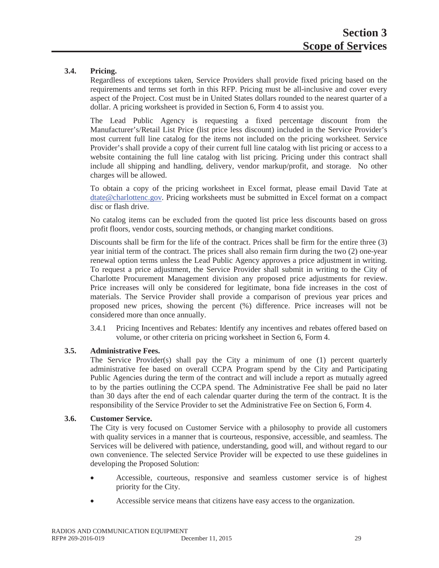#### **3.4. Pricing.**

Regardless of exceptions taken, Service Providers shall provide fixed pricing based on the requirements and terms set forth in this RFP. Pricing must be all-inclusive and cover every aspect of the Project. Cost must be in United States dollars rounded to the nearest quarter of a dollar. A pricing worksheet is provided in Section 6, Form 4 to assist you.

The Lead Public Agency is requesting a fixed percentage discount from the Manufacturer's/Retail List Price (list price less discount) included in the Service Provider's most current full line catalog for the items not included on the pricing worksheet. Service Provider's shall provide a copy of their current full line catalog with list pricing or access to a website containing the full line catalog with list pricing. Pricing under this contract shall include all shipping and handling, delivery, vendor markup/profit, and storage. No other charges will be allowed.

To obtain a copy of the pricing worksheet in Excel format, please email David Tate at dtate@charlottenc.gov. Pricing worksheets must be submitted in Excel format on a compact disc or flash drive.

No catalog items can be excluded from the quoted list price less discounts based on gross profit floors, vendor costs, sourcing methods, or changing market conditions.

Discounts shall be firm for the life of the contract. Prices shall be firm for the entire three (3) year initial term of the contract. The prices shall also remain firm during the two (2) one-year renewal option terms unless the Lead Public Agency approves a price adjustment in writing. To request a price adjustment, the Service Provider shall submit in writing to the City of Charlotte Procurement Management division any proposed price adjustments for review. Price increases will only be considered for legitimate, bona fide increases in the cost of materials. The Service Provider shall provide a comparison of previous year prices and proposed new prices, showing the percent (%) difference. Price increases will not be considered more than once annually.

3.4.1 Pricing Incentives and Rebates: Identify any incentives and rebates offered based on volume, or other criteria on pricing worksheet in Section 6, Form 4.

#### **3.5. Administrative Fees.**

The Service Provider(s) shall pay the City a minimum of one (1) percent quarterly administrative fee based on overall CCPA Program spend by the City and Participating Public Agencies during the term of the contract and will include a report as mutually agreed to by the parties outlining the CCPA spend. The Administrative Fee shall be paid no later than 30 days after the end of each calendar quarter during the term of the contract. It is the responsibility of the Service Provider to set the Administrative Fee on Section 6, Form 4.

#### **3.6. Customer Service.**

The City is very focused on Customer Service with a philosophy to provide all customers with quality services in a manner that is courteous, responsive, accessible, and seamless. The Services will be delivered with patience, understanding, good will, and without regard to our own convenience. The selected Service Provider will be expected to use these guidelines in developing the Proposed Solution:

- x Accessible, courteous, responsive and seamless customer service is of highest priority for the City.
- Accessible service means that citizens have easy access to the organization.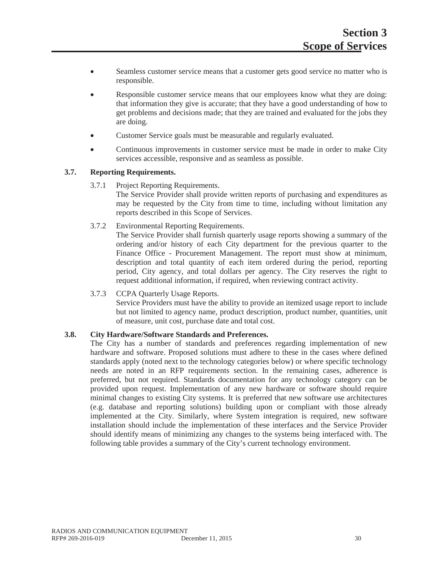- Seamless customer service means that a customer gets good service no matter who is responsible.
- Responsible customer service means that our employees know what they are doing: that information they give is accurate; that they have a good understanding of how to get problems and decisions made; that they are trained and evaluated for the jobs they are doing.
- Customer Service goals must be measurable and regularly evaluated.
- Continuous improvements in customer service must be made in order to make City services accessible, responsive and as seamless as possible.

#### **3.7. Reporting Requirements.**

3.7.1 Project Reporting Requirements.

The Service Provider shall provide written reports of purchasing and expenditures as may be requested by the City from time to time, including without limitation any reports described in this Scope of Services.

3.7.2 Environmental Reporting Requirements.

The Service Provider shall furnish quarterly usage reports showing a summary of the ordering and/or history of each City department for the previous quarter to the Finance Office - Procurement Management. The report must show at minimum, description and total quantity of each item ordered during the period, reporting period, City agency, and total dollars per agency. The City reserves the right to request additional information, if required, when reviewing contract activity.

3.7.3 CCPA Quarterly Usage Reports.

Service Providers must have the ability to provide an itemized usage report to include but not limited to agency name, product description, product number, quantities, unit of measure, unit cost, purchase date and total cost.

#### **3.8. City Hardware/Software Standards and Preferences.**

The City has a number of standards and preferences regarding implementation of new hardware and software. Proposed solutions must adhere to these in the cases where defined standards apply (noted next to the technology categories below) or where specific technology needs are noted in an RFP requirements section. In the remaining cases, adherence is preferred, but not required. Standards documentation for any technology category can be provided upon request. Implementation of any new hardware or software should require minimal changes to existing City systems. It is preferred that new software use architectures (e.g. database and reporting solutions) building upon or compliant with those already implemented at the City. Similarly, where System integration is required, new software installation should include the implementation of these interfaces and the Service Provider should identify means of minimizing any changes to the systems being interfaced with. The following table provides a summary of the City's current technology environment.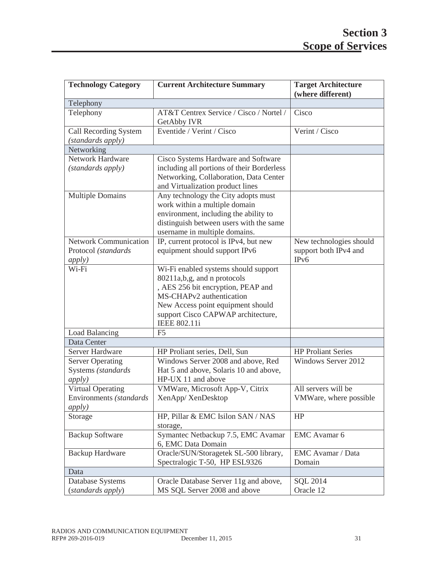| <b>Technology Category</b>                                            | <b>Current Architecture Summary</b>                                                                                                                                                                                                     | <b>Target Architecture</b><br>(where different)                       |  |  |
|-----------------------------------------------------------------------|-----------------------------------------------------------------------------------------------------------------------------------------------------------------------------------------------------------------------------------------|-----------------------------------------------------------------------|--|--|
| Telephony                                                             |                                                                                                                                                                                                                                         |                                                                       |  |  |
| Telephony                                                             | AT&T Centrex Service / Cisco / Nortel /<br>GetAbby IVR                                                                                                                                                                                  | Cisco                                                                 |  |  |
| Call Recording System<br>(standards apply)                            | Eventide / Verint / Cisco                                                                                                                                                                                                               | Verint / Cisco                                                        |  |  |
| Networking                                                            |                                                                                                                                                                                                                                         |                                                                       |  |  |
| Network Hardware                                                      | Cisco Systems Hardware and Software                                                                                                                                                                                                     |                                                                       |  |  |
| (standards apply)                                                     | including all portions of their Borderless<br>Networking, Collaboration, Data Center<br>and Virtualization product lines                                                                                                                |                                                                       |  |  |
| <b>Multiple Domains</b>                                               | Any technology the City adopts must<br>work within a multiple domain<br>environment, including the ability to<br>distinguish between users with the same<br>username in multiple domains.                                               |                                                                       |  |  |
| <b>Network Communication</b><br>Protocol (standards<br><i>apply</i> ) | IP, current protocol is IPv4, but new<br>equipment should support IPv6                                                                                                                                                                  | New technologies should<br>support both IPv4 and<br>IP <sub>v</sub> 6 |  |  |
| Wi-Fi                                                                 | Wi-Fi enabled systems should support<br>80211a,b,g, and n protocols<br>, AES 256 bit encryption, PEAP and<br>MS-CHAPv2 authentication<br>New Access point equipment should<br>support Cisco CAPWAP architecture,<br><b>IEEE 802.11i</b> |                                                                       |  |  |
| Load Balancing                                                        | F <sub>5</sub>                                                                                                                                                                                                                          |                                                                       |  |  |
| Data Center                                                           |                                                                                                                                                                                                                                         |                                                                       |  |  |
| Server Hardware                                                       | HP Proliant series, Dell, Sun                                                                                                                                                                                                           | <b>HP Proliant Series</b>                                             |  |  |
| <b>Server Operating</b><br>Systems (standards<br><i>apply</i> )       | Windows Server 2008 and above, Red<br>Hat 5 and above, Solaris 10 and above,<br>HP-UX 11 and above                                                                                                                                      | Windows Server 2012                                                   |  |  |
| <b>Virtual Operating</b><br>Environments (standards                   | VMWare, Microsoft App-V, Citrix<br>XenApp/XenDesktop                                                                                                                                                                                    | All servers will be                                                   |  |  |
| <i>apply</i> )                                                        |                                                                                                                                                                                                                                         | VMWare, where possible                                                |  |  |
| Storage                                                               | HP, Pillar & EMC Isilon SAN / NAS<br>storage,                                                                                                                                                                                           | HP                                                                    |  |  |
| <b>Backup Software</b>                                                | Symantec Netbackup 7.5, EMC Avamar<br>6, EMC Data Domain                                                                                                                                                                                | EMC Avamar 6                                                          |  |  |
| <b>Backup Hardware</b>                                                | Oracle/SUN/Storagetek SL-500 library,<br>Spectralogic T-50, HP ESL9326                                                                                                                                                                  | EMC Avamar / Data<br>Domain                                           |  |  |
| Data                                                                  |                                                                                                                                                                                                                                         |                                                                       |  |  |
| Database Systems<br>(standards apply)                                 | Oracle Database Server 11g and above,<br>MS SQL Server 2008 and above                                                                                                                                                                   | <b>SQL 2014</b><br>Oracle 12                                          |  |  |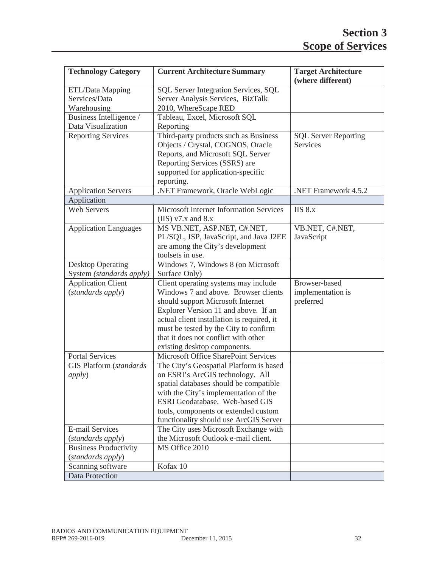| <b>Technology Category</b>                       | <b>Current Architecture Summary</b>                                                                                                                                                                                                                                                                                      | <b>Target Architecture</b><br>(where different) |
|--------------------------------------------------|--------------------------------------------------------------------------------------------------------------------------------------------------------------------------------------------------------------------------------------------------------------------------------------------------------------------------|-------------------------------------------------|
| ETL/Data Mapping<br>Services/Data<br>Warehousing | SQL Server Integration Services, SQL<br>Server Analysis Services, BizTalk<br>2010, WhereScape RED                                                                                                                                                                                                                        |                                                 |
| Business Intelligence /                          | Tableau, Excel, Microsoft SQL                                                                                                                                                                                                                                                                                            |                                                 |
| Data Visualization                               | Reporting                                                                                                                                                                                                                                                                                                                |                                                 |
| <b>Reporting Services</b>                        | Third-party products such as Business<br>Objects / Crystal, COGNOS, Oracle<br>Reports, and Microsoft SQL Server<br>Reporting Services (SSRS) are<br>supported for application-specific<br>reporting.                                                                                                                     | <b>SQL Server Reporting</b><br>Services         |
| <b>Application Servers</b>                       | .NET Framework, Oracle WebLogic                                                                                                                                                                                                                                                                                          | .NET Framework 4.5.2                            |
| Application                                      |                                                                                                                                                                                                                                                                                                                          |                                                 |
| <b>Web Servers</b>                               | <b>Microsoft Internet Information Services</b><br>(IIS) $v7.x$ and 8.x                                                                                                                                                                                                                                                   | $IIS8.x$                                        |
| <b>Application Languages</b>                     | MS VB.NET, ASP.NET, C#.NET,<br>PL/SQL, JSP, JavaScript, and Java J2EE<br>are among the City's development<br>toolsets in use.                                                                                                                                                                                            | VB.NET, C#.NET,<br>JavaScript                   |
| <b>Desktop Operating</b>                         | Windows 7, Windows 8 (on Microsoft                                                                                                                                                                                                                                                                                       |                                                 |
| System (standards apply)                         | Surface Only)                                                                                                                                                                                                                                                                                                            |                                                 |
| <b>Application Client</b><br>(standards apply)   | Client operating systems may include<br>Windows 7 and above. Browser clients<br>should support Microsoft Internet<br>Explorer Version 11 and above. If an<br>actual client installation is required, it<br>must be tested by the City to confirm<br>that it does not conflict with other<br>existing desktop components. | Browser-based<br>implementation is<br>preferred |
| <b>Portal Services</b>                           | Microsoft Office SharePoint Services                                                                                                                                                                                                                                                                                     |                                                 |
| <b>GIS Platform</b> (standards<br><i>apply</i> ) | The City's Geospatial Platform is based<br>on ESRI's ArcGIS technology. All<br>spatial databases should be compatible.<br>with the City's implementation of the<br>ESRI Geodatabase. Web-based GIS<br>tools, components or extended custom<br>functionality should use ArcGIS Server                                     |                                                 |
| <b>E-mail Services</b>                           | The City uses Microsoft Exchange with                                                                                                                                                                                                                                                                                    |                                                 |
| (standards apply)                                | the Microsoft Outlook e-mail client.                                                                                                                                                                                                                                                                                     |                                                 |
| <b>Business Productivity</b>                     | MS Office 2010                                                                                                                                                                                                                                                                                                           |                                                 |
| (standards apply)                                |                                                                                                                                                                                                                                                                                                                          |                                                 |
| Scanning software                                | Kofax 10                                                                                                                                                                                                                                                                                                                 |                                                 |
| Data Protection                                  |                                                                                                                                                                                                                                                                                                                          |                                                 |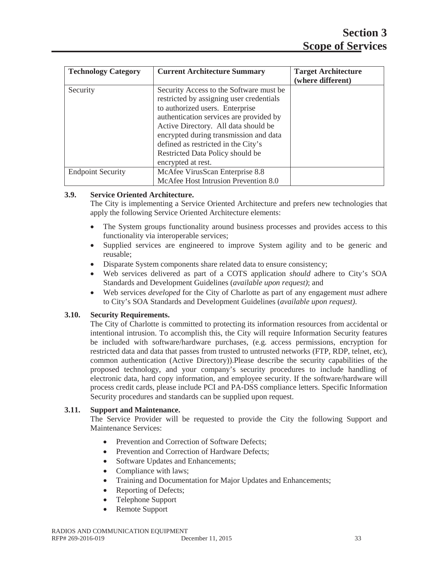| <b>Technology Category</b> | <b>Current Architecture Summary</b>                                                                                                                                                                                                                                                                                                                  | <b>Target Architecture</b><br>(where different) |
|----------------------------|------------------------------------------------------------------------------------------------------------------------------------------------------------------------------------------------------------------------------------------------------------------------------------------------------------------------------------------------------|-------------------------------------------------|
| Security                   | Security Access to the Software must be<br>restricted by assigning user credentials<br>to authorized users. Enterprise<br>authentication services are provided by<br>Active Directory. All data should be<br>encrypted during transmission and data<br>defined as restricted in the City's<br>Restricted Data Policy should be<br>encrypted at rest. |                                                 |
| <b>Endpoint Security</b>   | McAfee VirusScan Enterprise 8.8<br>McAfee Host Intrusion Prevention 8.0                                                                                                                                                                                                                                                                              |                                                 |

# **3.9. Service Oriented Architecture.**

The City is implementing a Service Oriented Architecture and prefers new technologies that apply the following Service Oriented Architecture elements:

- The System groups functionality around business processes and provides access to this functionality via interoperable services;
- Supplied services are engineered to improve System agility and to be generic and reusable;
- Disparate System components share related data to ensure consistency;
- x Web services delivered as part of a COTS application *should* adhere to City's SOA Standards and Development Guidelines (*available upon request)*; and
- x Web services *developed* for the City of Charlotte as part of any engagement *must* adhere to City's SOA Standards and Development Guidelines (*available upon request)*.

## **3.10. Security Requirements.**

The City of Charlotte is committed to protecting its information resources from accidental or intentional intrusion. To accomplish this, the City will require Information Security features be included with software/hardware purchases, (e.g. access permissions, encryption for restricted data and data that passes from trusted to untrusted networks (FTP, RDP, telnet, etc), common authentication (Active Directory)).Please describe the security capabilities of the proposed technology, and your company's security procedures to include handling of electronic data, hard copy information, and employee security. If the software/hardware will process credit cards, please include PCI and PA-DSS compliance letters. Specific Information Security procedures and standards can be supplied upon request.

## **3.11. Support and Maintenance.**

The Service Provider will be requested to provide the City the following Support and Maintenance Services:

- Prevention and Correction of Software Defects:
- Prevention and Correction of Hardware Defects;
- Software Updates and Enhancements;
- Compliance with laws;
- Training and Documentation for Major Updates and Enhancements;
- Reporting of Defects:
- Telephone Support
- Remote Support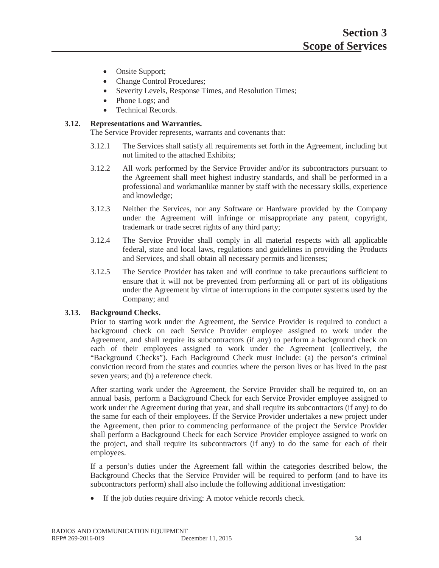- Onsite Support;
- Change Control Procedures;
- Severity Levels, Response Times, and Resolution Times;
- Phone Logs; and
- Technical Records.

## **3.12. Representations and Warranties.**

The Service Provider represents, warrants and covenants that:

- 3.12.1 The Services shall satisfy all requirements set forth in the Agreement, including but not limited to the attached Exhibits;
- 3.12.2 All work performed by the Service Provider and/or its subcontractors pursuant to the Agreement shall meet highest industry standards, and shall be performed in a professional and workmanlike manner by staff with the necessary skills, experience and knowledge;
- 3.12.3 Neither the Services, nor any Software or Hardware provided by the Company under the Agreement will infringe or misappropriate any patent, copyright, trademark or trade secret rights of any third party;
- 3.12.4 The Service Provider shall comply in all material respects with all applicable federal, state and local laws, regulations and guidelines in providing the Products and Services, and shall obtain all necessary permits and licenses;
- 3.12.5 The Service Provider has taken and will continue to take precautions sufficient to ensure that it will not be prevented from performing all or part of its obligations under the Agreement by virtue of interruptions in the computer systems used by the Company; and

## **3.13. Background Checks.**

Prior to starting work under the Agreement, the Service Provider is required to conduct a background check on each Service Provider employee assigned to work under the Agreement, and shall require its subcontractors (if any) to perform a background check on each of their employees assigned to work under the Agreement (collectively, the "Background Checks"). Each Background Check must include: (a) the person's criminal conviction record from the states and counties where the person lives or has lived in the past seven years; and (b) a reference check.

After starting work under the Agreement, the Service Provider shall be required to, on an annual basis, perform a Background Check for each Service Provider employee assigned to work under the Agreement during that year, and shall require its subcontractors (if any) to do the same for each of their employees. If the Service Provider undertakes a new project under the Agreement, then prior to commencing performance of the project the Service Provider shall perform a Background Check for each Service Provider employee assigned to work on the project, and shall require its subcontractors (if any) to do the same for each of their employees.

If a person's duties under the Agreement fall within the categories described below, the Background Checks that the Service Provider will be required to perform (and to have its subcontractors perform) shall also include the following additional investigation:

 $\bullet$  If the job duties require driving: A motor vehicle records check.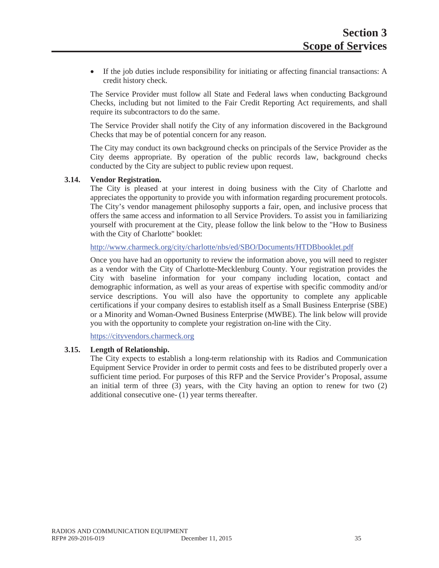• If the job duties include responsibility for initiating or affecting financial transactions: A credit history check.

The Service Provider must follow all State and Federal laws when conducting Background Checks, including but not limited to the Fair Credit Reporting Act requirements, and shall require its subcontractors to do the same.

The Service Provider shall notify the City of any information discovered in the Background Checks that may be of potential concern for any reason.

The City may conduct its own background checks on principals of the Service Provider as the City deems appropriate. By operation of the public records law, background checks conducted by the City are subject to public review upon request.

#### **3.14. Vendor Registration.**

The City is pleased at your interest in doing business with the City of Charlotte and appreciates the opportunity to provide you with information regarding procurement protocols. The City's vendor management philosophy supports a fair, open, and inclusive process that offers the same access and information to all Service Providers. To assist you in familiarizing yourself with procurement at the City, please follow the link below to the "How to Business with the City of Charlotte" booklet:

http://www.charmeck.org/city/charlotte/nbs/ed/SBO/Documents/HTDBbooklet.pdf

Once you have had an opportunity to review the information above, you will need to register as a vendor with the City of Charlotte-Mecklenburg County. Your registration provides the City with baseline information for your company including location, contact and demographic information, as well as your areas of expertise with specific commodity and/or service descriptions. You will also have the opportunity to complete any applicable certifications if your company desires to establish itself as a Small Business Enterprise (SBE) or a Minority and Woman-Owned Business Enterprise (MWBE). The link below will provide you with the opportunity to complete your registration on-line with the City.

https://cityvendors.charmeck.org

## **3.15. Length of Relationship.**

The City expects to establish a long-term relationship with its Radios and Communication Equipment Service Provider in order to permit costs and fees to be distributed properly over a sufficient time period. For purposes of this RFP and the Service Provider's Proposal, assume an initial term of three  $(3)$  years, with the City having an option to renew for two  $(2)$ additional consecutive one- (1) year terms thereafter.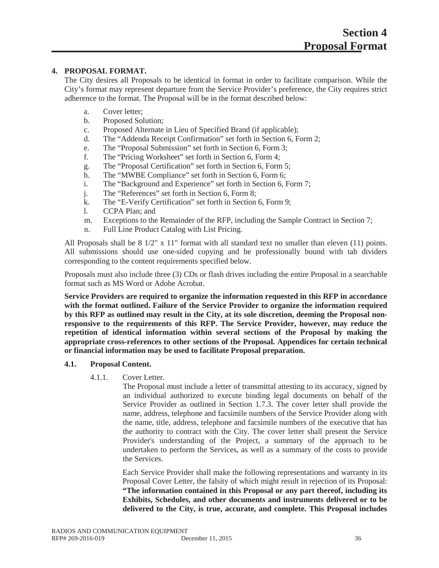# **4. PROPOSAL FORMAT.**

The City desires all Proposals to be identical in format in order to facilitate comparison. While the City's format may represent departure from the Service Provider's preference, the City requires strict adherence to the format. The Proposal will be in the format described below:

- a. Cover letter;
- b. Proposed Solution;
- c. Proposed Alternate in Lieu of Specified Brand (if applicable);
- d. The "Addenda Receipt Confirmation" set forth in Section 6, Form 2;
- e. The "Proposal Submission" set forth in Section 6, Form 3;
- f. The "Pricing Worksheet" set forth in Section 6, Form 4;
- g. The "Proposal Certification" set forth in Section 6, Form 5;
- h. The "MWBE Compliance" set forth in Section 6, Form 6;
- i. The "Background and Experience" set forth in Section 6, Form 7;
- j. The "References" set forth in Section 6, Form 8;
- k. The "E-Verify Certification" set forth in Section 6, Form 9;
- l. CCPA Plan; and
- m. Exceptions to the Remainder of the RFP, including the Sample Contract in Section 7;
- n. Full Line Product Catalog with List Pricing.

All Proposals shall be 8 1/2" x 11" format with all standard text no smaller than eleven (11) points. All submissions should use one-sided copying and be professionally bound with tab dividers corresponding to the content requirements specified below.

Proposals must also include three (3) CDs or flash drives including the entire Proposal in a searchable format such as MS Word or Adobe Acrobat.

**Service Providers are required to organize the information requested in this RFP in accordance with the format outlined. Failure of the Service Provider to organize the information required by this RFP as outlined may result in the City, at its sole discretion, deeming the Proposal nonresponsive to the requirements of this RFP. The Service Provider, however, may reduce the repetition of identical information within several sections of the Proposal by making the appropriate cross-references to other sections of the Proposal. Appendices for certain technical or financial information may be used to facilitate Proposal preparation.**

## **4.1. Proposal Content.**

4.1.1. Cover Letter.

The Proposal must include a letter of transmittal attesting to its accuracy, signed by an individual authorized to execute binding legal documents on behalf of the Service Provider as outlined in Section 1.7.3. The cover letter shall provide the name, address, telephone and facsimile numbers of the Service Provider along with the name, title, address, telephone and facsimile numbers of the executive that has the authority to contract with the City. The cover letter shall present the Service Provider's understanding of the Project, a summary of the approach to be undertaken to perform the Services, as well as a summary of the costs to provide the Services.

Each Service Provider shall make the following representations and warranty in its Proposal Cover Letter, the falsity of which might result in rejection of its Proposal: **"The information contained in this Proposal or any part thereof, including its Exhibits, Schedules, and other documents and instruments delivered or to be delivered to the City, is true, accurate, and complete. This Proposal includes**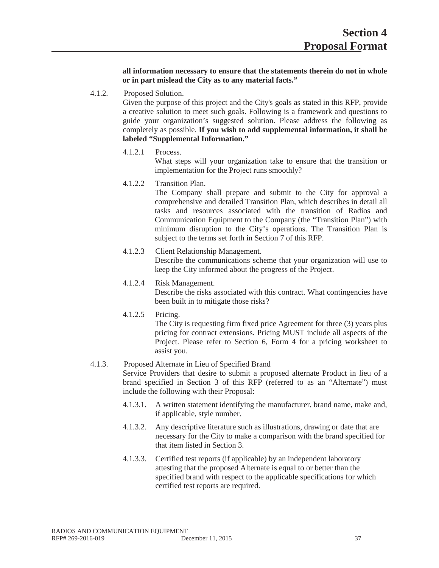**all information necessary to ensure that the statements therein do not in whole or in part mislead the City as to any material facts."**

4.1.2. Proposed Solution.

Given the purpose of this project and the City's goals as stated in this RFP, provide a creative solution to meet such goals. Following is a framework and questions to guide your organization's suggested solution. Please address the following as completely as possible. **If you wish to add supplemental information, it shall be labeled "Supplemental Information."**

4.1.2.1 Process.

What steps will your organization take to ensure that the transition or implementation for the Project runs smoothly?

4.1.2.2 Transition Plan.

The Company shall prepare and submit to the City for approval a comprehensive and detailed Transition Plan, which describes in detail all tasks and resources associated with the transition of Radios and Communication Equipment to the Company (the "Transition Plan") with minimum disruption to the City's operations. The Transition Plan is subject to the terms set forth in Section 7 of this RFP.

- 4.1.2.3 Client Relationship Management. Describe the communications scheme that your organization will use to keep the City informed about the progress of the Project.
- 4.1.2.4 Risk Management. Describe the risks associated with this contract. What contingencies have been built in to mitigate those risks?
- 4.1.2.5 Pricing.

The City is requesting firm fixed price Agreement for three (3) years plus pricing for contract extensions. Pricing MUST include all aspects of the Project. Please refer to Section 6, Form 4 for a pricing worksheet to assist you.

# 4.1.3. Proposed Alternate in Lieu of Specified Brand

Service Providers that desire to submit a proposed alternate Product in lieu of a brand specified in Section 3 of this RFP (referred to as an "Alternate") must include the following with their Proposal:

- 4.1.3.1. A written statement identifying the manufacturer, brand name, make and, if applicable, style number.
- 4.1.3.2. Any descriptive literature such as illustrations, drawing or date that are necessary for the City to make a comparison with the brand specified for that item listed in Section 3.
- 4.1.3.3. Certified test reports (if applicable) by an independent laboratory attesting that the proposed Alternate is equal to or better than the specified brand with respect to the applicable specifications for which certified test reports are required.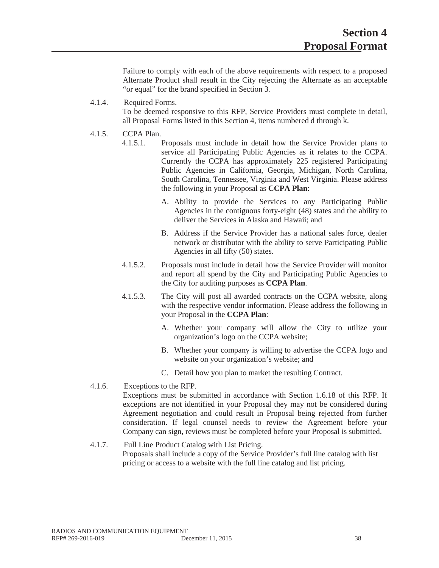Failure to comply with each of the above requirements with respect to a proposed Alternate Product shall result in the City rejecting the Alternate as an acceptable "or equal" for the brand specified in Section 3.

# 4.1.4. Required Forms.

To be deemed responsive to this RFP, Service Providers must complete in detail, all Proposal Forms listed in this Section 4, items numbered d through k.

# 4.1.5. CCPA Plan.

- 4.1.5.1. Proposals must include in detail how the Service Provider plans to service all Participating Public Agencies as it relates to the CCPA. Currently the CCPA has approximately 225 registered Participating Public Agencies in California, Georgia, Michigan, North Carolina, South Carolina, Tennessee, Virginia and West Virginia. Please address the following in your Proposal as **CCPA Plan**:
	- A. Ability to provide the Services to any Participating Public Agencies in the contiguous forty-eight (48) states and the ability to deliver the Services in Alaska and Hawaii; and
	- B. Address if the Service Provider has a national sales force, dealer network or distributor with the ability to serve Participating Public Agencies in all fifty (50) states.
- 4.1.5.2. Proposals must include in detail how the Service Provider will monitor and report all spend by the City and Participating Public Agencies to the City for auditing purposes as **CCPA Plan**.
- 4.1.5.3. The City will post all awarded contracts on the CCPA website, along with the respective vendor information. Please address the following in your Proposal in the **CCPA Plan**:
	- A. Whether your company will allow the City to utilize your organization's logo on the CCPA website;
	- B. Whether your company is willing to advertise the CCPA logo and website on your organization's website; and
	- C. Detail how you plan to market the resulting Contract.

## 4.1.6. Exceptions to the RFP. Exceptions must be submitted in accordance with Section 1.6.18 of this RFP. If exceptions are not identified in your Proposal they may not be considered during Agreement negotiation and could result in Proposal being rejected from further consideration. If legal counsel needs to review the Agreement before your Company can sign, reviews must be completed before your Proposal is submitted.

4.1.7. Full Line Product Catalog with List Pricing. Proposals shall include a copy of the Service Provider's full line catalog with list pricing or access to a website with the full line catalog and list pricing.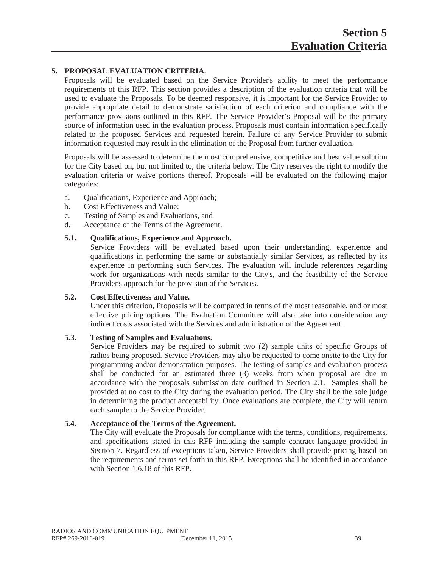# **5. PROPOSAL EVALUATION CRITERIA.**

Proposals will be evaluated based on the Service Provider's ability to meet the performance requirements of this RFP. This section provides a description of the evaluation criteria that will be used to evaluate the Proposals. To be deemed responsive, it is important for the Service Provider to provide appropriate detail to demonstrate satisfaction of each criterion and compliance with the performance provisions outlined in this RFP. The Service Provider's Proposal will be the primary source of information used in the evaluation process. Proposals must contain information specifically related to the proposed Services and requested herein. Failure of any Service Provider to submit information requested may result in the elimination of the Proposal from further evaluation.

Proposals will be assessed to determine the most comprehensive, competitive and best value solution for the City based on, but not limited to, the criteria below. The City reserves the right to modify the evaluation criteria or waive portions thereof. Proposals will be evaluated on the following major categories:

- a. Qualifications, Experience and Approach;
- b. Cost Effectiveness and Value;
- c. Testing of Samples and Evaluations, and
- d. Acceptance of the Terms of the Agreement.

# **5.1. Qualifications, Experience and Approach.**

Service Providers will be evaluated based upon their understanding, experience and qualifications in performing the same or substantially similar Services, as reflected by its experience in performing such Services. The evaluation will include references regarding work for organizations with needs similar to the City's, and the feasibility of the Service Provider's approach for the provision of the Services.

## **5.2. Cost Effectiveness and Value.**

Under this criterion, Proposals will be compared in terms of the most reasonable, and or most effective pricing options. The Evaluation Committee will also take into consideration any indirect costs associated with the Services and administration of the Agreement.

## **5.3. Testing of Samples and Evaluations.**

Service Providers may be required to submit two (2) sample units of specific Groups of radios being proposed. Service Providers may also be requested to come onsite to the City for programming and/or demonstration purposes. The testing of samples and evaluation process shall be conducted for an estimated three (3) weeks from when proposal are due in accordance with the proposals submission date outlined in Section 2.1. Samples shall be provided at no cost to the City during the evaluation period. The City shall be the sole judge in determining the product acceptability. Once evaluations are complete, the City will return each sample to the Service Provider.

# **5.4. Acceptance of the Terms of the Agreement.**

The City will evaluate the Proposals for compliance with the terms, conditions, requirements, and specifications stated in this RFP including the sample contract language provided in Section 7. Regardless of exceptions taken, Service Providers shall provide pricing based on the requirements and terms set forth in this RFP. Exceptions shall be identified in accordance with Section 1.6.18 of this RFP.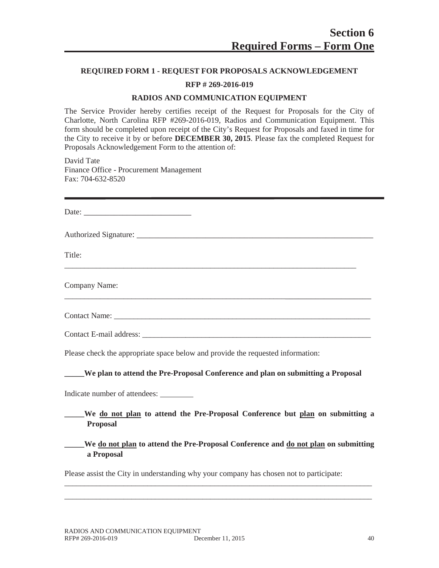## **REQUIRED FORM 1 - REQUEST FOR PROPOSALS ACKNOWLEDGEMENT**

# **RFP # 269-2016-019**

#### **RADIOS AND COMMUNICATION EQUIPMENT**

The Service Provider hereby certifies receipt of the Request for Proposals for the City of Charlotte, North Carolina RFP #269-2016-019, Radios and Communication Equipment. This form should be completed upon receipt of the City's Request for Proposals and faxed in time for the City to receive it by or before **DECEMBER 30, 2015**. Please fax the completed Request for Proposals Acknowledgement Form to the attention of:

David Tate Finance Office - Procurement Management Fax: 704-632-8520

| Date:         |  |  |
|---------------|--|--|
|               |  |  |
| Title:        |  |  |
| Company Name: |  |  |
|               |  |  |

Contact Name: \_\_\_\_\_\_\_\_\_\_\_\_\_\_\_\_\_\_\_\_\_\_\_\_\_\_\_\_\_\_\_\_\_\_\_\_\_\_\_\_\_\_\_\_\_\_\_\_\_\_\_\_\_\_\_\_\_\_\_\_\_\_\_\_\_

Contact E-mail address: \_\_\_\_\_\_\_\_\_\_\_\_\_\_\_\_\_\_\_\_\_\_\_\_\_\_\_\_\_\_\_\_\_\_\_\_\_\_\_\_\_\_\_\_\_\_\_\_\_\_\_\_\_\_\_\_\_\_

Please check the appropriate space below and provide the requested information:

#### **\_\_\_\_\_We plan to attend the Pre-Proposal Conference and plan on submitting a Proposal**

Indicate number of attendees:

- **\_\_\_\_\_We do not plan to attend the Pre-Proposal Conference but plan on submitting a Proposal**
- **\_\_\_\_\_We do not plan to attend the Pre-Proposal Conference and do not plan on submitting a Proposal**

\_\_\_\_\_\_\_\_\_\_\_\_\_\_\_\_\_\_\_\_\_\_\_\_\_\_\_\_\_\_\_\_\_\_\_\_\_\_\_\_\_\_\_\_\_\_\_\_\_\_\_\_\_\_\_\_\_\_\_\_\_\_\_\_\_\_\_\_\_\_\_\_\_\_\_\_\_\_ \_\_\_\_\_\_\_\_\_\_\_\_\_\_\_\_\_\_\_\_\_\_\_\_\_\_\_\_\_\_\_\_\_\_\_\_\_\_\_\_\_\_\_\_\_\_\_\_\_\_\_\_\_\_\_\_\_\_\_\_\_\_\_\_\_\_\_\_\_\_\_\_\_\_\_\_\_\_

Please assist the City in understanding why your company has chosen not to participate: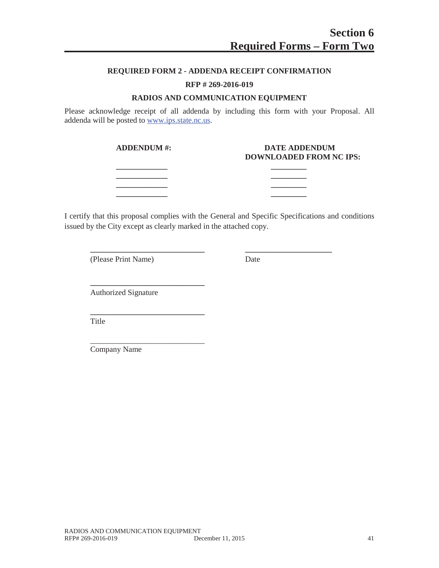# **REQUIRED FORM 2 - ADDENDA RECEIPT CONFIRMATION**

#### **RFP # 269-2016-019**

#### **RADIOS AND COMMUNICATION EQUIPMENT**

Please acknowledge receipt of all addenda by including this form with your Proposal. All addenda will be posted to www.ips.state.nc.us.

| <b>ADDENDUM #:</b> | <b>DATE ADDENDUM</b><br>DOWNLOADED FROM NC IPS: |
|--------------------|-------------------------------------------------|
|                    |                                                 |
|                    |                                                 |
|                    |                                                 |
|                    |                                                 |

I certify that this proposal complies with the General and Specific Specifications and conditions issued by the City except as clearly marked in the attached copy.

**\_\_\_\_\_\_\_\_\_\_\_\_\_\_\_\_\_\_\_\_\_\_\_\_\_\_\_\_\_ \_\_\_\_\_\_\_\_\_\_\_\_\_\_\_\_\_\_\_\_\_\_**

(Please Print Name) Date

Authorized Signature

**\_\_\_\_\_\_\_\_\_\_\_\_\_\_\_\_\_\_\_\_\_\_\_\_\_\_\_\_\_**

**\_\_\_\_\_\_\_\_\_\_\_\_\_\_\_\_\_\_\_\_\_\_\_\_\_\_\_\_\_**

\_\_\_\_\_\_\_\_\_\_\_\_\_\_\_\_\_\_\_\_\_\_\_\_\_\_\_\_\_

Title

Company Name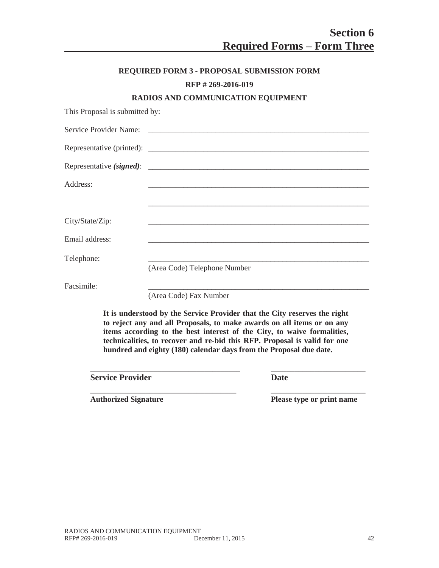|                                | <b>REQUIRED FORM 3 - PROPOSAL SUBMISSION FORM</b>                                                                     |
|--------------------------------|-----------------------------------------------------------------------------------------------------------------------|
|                                | RFP #269-2016-019                                                                                                     |
|                                | RADIOS AND COMMUNICATION EQUIPMENT                                                                                    |
| This Proposal is submitted by: |                                                                                                                       |
| Service Provider Name:         | <u> 1980 - Andrea Andrewski, fransk politik (d. 1980)</u>                                                             |
|                                |                                                                                                                       |
|                                |                                                                                                                       |
| Address:                       |                                                                                                                       |
|                                |                                                                                                                       |
| City/State/Zip:                |                                                                                                                       |
| Email address:                 | <u> 1989 - Johann Harry Harry Harry Harry Harry Harry Harry Harry Harry Harry Harry Harry Harry Harry Harry Harry</u> |
| Telephone:                     |                                                                                                                       |
|                                | (Area Code) Telephone Number                                                                                          |
| Facsimile:                     |                                                                                                                       |
|                                | (Area Code) Fax Number                                                                                                |

**It is understood by the Service Provider that the City reserves the right to reject any and all Proposals, to make awards on all items or on any items according to the best interest of the City, to waive formalities, technicalities, to recover and re-bid this RFP. Proposal is valid for one hundred and eighty (180) calendar days from the Proposal due date.**

**\_\_\_\_\_\_\_\_\_\_\_\_\_\_\_\_\_\_\_\_\_\_\_\_\_\_\_\_\_\_\_\_\_\_\_\_\_\_ \_\_\_\_\_\_\_\_\_\_\_\_\_\_\_\_\_\_\_\_\_\_\_\_**

**\_\_\_\_\_\_\_\_\_\_\_\_\_\_\_\_\_\_\_\_\_\_\_\_\_\_\_\_\_\_\_\_\_\_\_\_\_ \_\_\_\_\_\_\_\_\_\_\_\_\_\_\_\_\_\_\_\_\_\_\_\_**

**Service Provider Date** 

**Authorized Signature Please type or print name**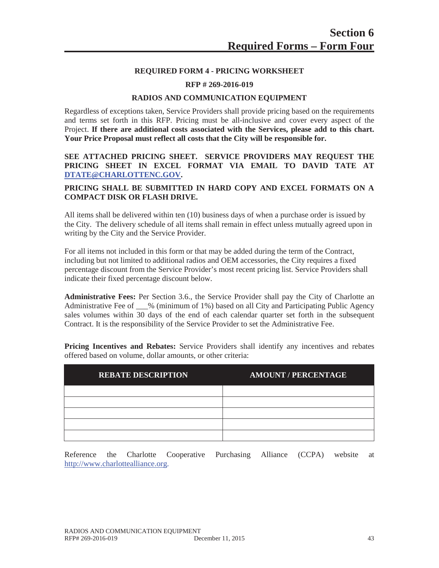## **REQUIRED FORM 4 - PRICING WORKSHEET**

#### **RFP # 269-2016-019**

#### **RADIOS AND COMMUNICATION EQUIPMENT**

Regardless of exceptions taken, Service Providers shall provide pricing based on the requirements and terms set forth in this RFP. Pricing must be all-inclusive and cover every aspect of the Project. **If there are additional costs associated with the Services, please add to this chart. Your Price Proposal must reflect all costs that the City will be responsible for.**

## **SEE ATTACHED PRICING SHEET. SERVICE PROVIDERS MAY REQUEST THE PRICING SHEET IN EXCEL FORMAT VIA EMAIL TO DAVID TATE AT DTATE@CHARLOTTENC.GOV.**

## **PRICING SHALL BE SUBMITTED IN HARD COPY AND EXCEL FORMATS ON A COMPACT DISK OR FLASH DRIVE.**

All items shall be delivered within ten (10) business days of when a purchase order is issued by the City. The delivery schedule of all items shall remain in effect unless mutually agreed upon in writing by the City and the Service Provider.

For all items not included in this form or that may be added during the term of the Contract, including but not limited to additional radios and OEM accessories, the City requires a fixed percentage discount from the Service Provider's most recent pricing list. Service Providers shall indicate their fixed percentage discount below.

**Administrative Fees:** Per Section 3.6., the Service Provider shall pay the City of Charlotte an Administrative Fee of \_\_\_% (minimum of 1%) based on all City and Participating Public Agency sales volumes within 30 days of the end of each calendar quarter set forth in the subsequent Contract. It is the responsibility of the Service Provider to set the Administrative Fee.

**Pricing Incentives and Rebates:** Service Providers shall identify any incentives and rebates offered based on volume, dollar amounts, or other criteria:

| <b>REBATE DESCRIPTION</b> | <b>AMOUNT / PERCENTAGE</b> |
|---------------------------|----------------------------|
|                           |                            |
|                           |                            |
|                           |                            |
|                           |                            |
|                           |                            |

Reference the Charlotte Cooperative Purchasing Alliance (CCPA) website at http://www.charlottealliance.org.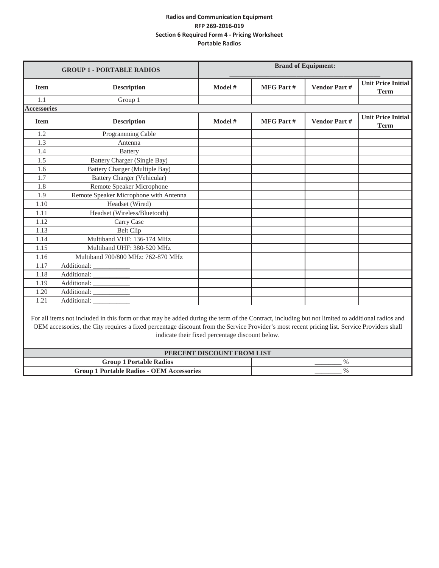| <b>GROUP 1 - PORTABLE RADIOS</b> |                                        | <b>Brand of Equipment:</b> |                  |                     |                                          |
|----------------------------------|----------------------------------------|----------------------------|------------------|---------------------|------------------------------------------|
| <b>Item</b>                      | <b>Description</b>                     | Model #                    | <b>MFG Part#</b> | <b>Vendor Part#</b> | <b>Unit Price Initial</b><br><b>Term</b> |
| 1.1                              | Group 1                                |                            |                  |                     |                                          |
| <b>Accessories</b>               |                                        |                            |                  |                     |                                          |
| <b>Item</b>                      | <b>Description</b>                     | Model #                    | <b>MFG Part#</b> | <b>Vendor Part#</b> | <b>Unit Price Initial</b><br><b>Term</b> |
| 1.2                              | Programming Cable                      |                            |                  |                     |                                          |
| 1.3                              | Antenna                                |                            |                  |                     |                                          |
| 1.4                              | <b>Battery</b>                         |                            |                  |                     |                                          |
| 1.5                              | <b>Battery Charger (Single Bay)</b>    |                            |                  |                     |                                          |
| 1.6                              | Battery Charger (Multiple Bay)         |                            |                  |                     |                                          |
| 1.7                              | Battery Charger (Vehicular)            |                            |                  |                     |                                          |
| 1.8                              | Remote Speaker Microphone              |                            |                  |                     |                                          |
| 1.9                              | Remote Speaker Microphone with Antenna |                            |                  |                     |                                          |
| 1.10                             | Headset (Wired)                        |                            |                  |                     |                                          |
| 1.11                             | Headset (Wireless/Bluetooth)           |                            |                  |                     |                                          |
| 1.12                             | Carry Case                             |                            |                  |                     |                                          |
| 1.13                             | <b>Belt Clip</b>                       |                            |                  |                     |                                          |
| 1.14                             | Multiband VHF: 136-174 MHz             |                            |                  |                     |                                          |
| 1.15                             | Multiband UHF: 380-520 MHz             |                            |                  |                     |                                          |
| 1.16                             | Multiband 700/800 MHz: 762-870 MHz     |                            |                  |                     |                                          |
| 1.17                             |                                        |                            |                  |                     |                                          |
| 1.18                             | Additional:                            |                            |                  |                     |                                          |
| 1.19                             |                                        |                            |                  |                     |                                          |
| 1.20                             | Additional: ___________                |                            |                  |                     |                                          |
| 1.21                             | Additional:                            |                            |                  |                     |                                          |

For all items not included in this form or that may be added during the term of the Contract, including but not limited to additional radios and OEM accessories, the City requires a fixed percentage discount from the Service Provider's most recent pricing list. Service Providers shall indicate their fixed percentage discount below.

| PERCENT DISCOUNT FROM LIST                       |           |  |  |  |
|--------------------------------------------------|-----------|--|--|--|
| <b>Group 1 Portable Radios</b>                   | _________ |  |  |  |
| <b>Group 1 Portable Radios - OEM Accessories</b> |           |  |  |  |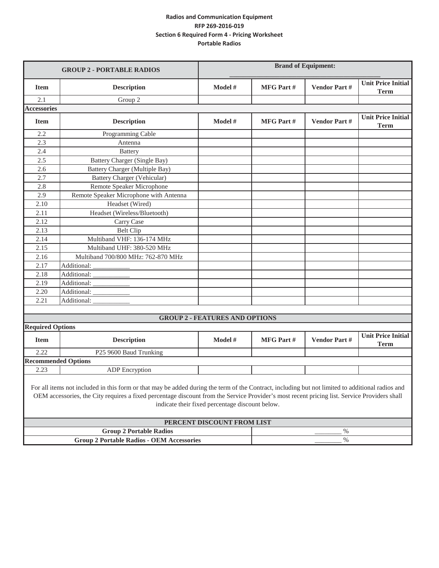|                                                  | <b>GROUP 2 - PORTABLE RADIOS</b>                                                                                                                                                                                                                                                                                                                    | <b>Brand of Equipment:</b>            |                  |                     |                                          |  |
|--------------------------------------------------|-----------------------------------------------------------------------------------------------------------------------------------------------------------------------------------------------------------------------------------------------------------------------------------------------------------------------------------------------------|---------------------------------------|------------------|---------------------|------------------------------------------|--|
| <b>Item</b>                                      | <b>Description</b>                                                                                                                                                                                                                                                                                                                                  | Model #                               | <b>MFG Part#</b> | <b>Vendor Part#</b> | <b>Unit Price Initial</b><br><b>Term</b> |  |
| 2.1                                              | Group 2                                                                                                                                                                                                                                                                                                                                             |                                       |                  |                     |                                          |  |
| <b>Accessories</b>                               |                                                                                                                                                                                                                                                                                                                                                     |                                       |                  |                     |                                          |  |
| <b>Item</b>                                      | <b>Description</b>                                                                                                                                                                                                                                                                                                                                  | Model #                               | <b>MFG Part#</b> | <b>Vendor Part#</b> | <b>Unit Price Initial</b><br><b>Term</b> |  |
| 2.2                                              | Programming Cable                                                                                                                                                                                                                                                                                                                                   |                                       |                  |                     |                                          |  |
| 2.3                                              | Antenna                                                                                                                                                                                                                                                                                                                                             |                                       |                  |                     |                                          |  |
| 2.4                                              | <b>Battery</b>                                                                                                                                                                                                                                                                                                                                      |                                       |                  |                     |                                          |  |
| 2.5                                              | Battery Charger (Single Bay)                                                                                                                                                                                                                                                                                                                        |                                       |                  |                     |                                          |  |
| 2.6                                              | <b>Battery Charger (Multiple Bay)</b>                                                                                                                                                                                                                                                                                                               |                                       |                  |                     |                                          |  |
| 2.7                                              | <b>Battery Charger (Vehicular)</b>                                                                                                                                                                                                                                                                                                                  |                                       |                  |                     |                                          |  |
| 2.8                                              | Remote Speaker Microphone                                                                                                                                                                                                                                                                                                                           |                                       |                  |                     |                                          |  |
| 2.9                                              | Remote Speaker Microphone with Antenna                                                                                                                                                                                                                                                                                                              |                                       |                  |                     |                                          |  |
| 2.10                                             | Headset (Wired)                                                                                                                                                                                                                                                                                                                                     |                                       |                  |                     |                                          |  |
| 2.11                                             | Headset (Wireless/Bluetooth)                                                                                                                                                                                                                                                                                                                        |                                       |                  |                     |                                          |  |
| 2.12                                             | Carry Case                                                                                                                                                                                                                                                                                                                                          |                                       |                  |                     |                                          |  |
| 2.13                                             | <b>Belt Clip</b>                                                                                                                                                                                                                                                                                                                                    |                                       |                  |                     |                                          |  |
| 2.14                                             | Multiband VHF: 136-174 MHz                                                                                                                                                                                                                                                                                                                          |                                       |                  |                     |                                          |  |
| 2.15                                             | Multiband UHF: 380-520 MHz                                                                                                                                                                                                                                                                                                                          |                                       |                  |                     |                                          |  |
| 2.16                                             | Multiband 700/800 MHz: 762-870 MHz                                                                                                                                                                                                                                                                                                                  |                                       |                  |                     |                                          |  |
| 2.17                                             | Additional:                                                                                                                                                                                                                                                                                                                                         |                                       |                  |                     |                                          |  |
| 2.18                                             | Additional:                                                                                                                                                                                                                                                                                                                                         |                                       |                  |                     |                                          |  |
| 2.19                                             | Additional:                                                                                                                                                                                                                                                                                                                                         |                                       |                  |                     |                                          |  |
| 2.20                                             | Additional:                                                                                                                                                                                                                                                                                                                                         |                                       |                  |                     |                                          |  |
| 2.21                                             | Additional:                                                                                                                                                                                                                                                                                                                                         |                                       |                  |                     |                                          |  |
|                                                  |                                                                                                                                                                                                                                                                                                                                                     |                                       |                  |                     |                                          |  |
|                                                  |                                                                                                                                                                                                                                                                                                                                                     | <b>GROUP 2 - FEATURES AND OPTIONS</b> |                  |                     |                                          |  |
| <b>Required Options</b>                          |                                                                                                                                                                                                                                                                                                                                                     |                                       |                  |                     |                                          |  |
| <b>Item</b>                                      | <b>Description</b>                                                                                                                                                                                                                                                                                                                                  | Model #                               | <b>MFG Part#</b> | <b>Vendor Part#</b> | <b>Unit Price Initial</b><br><b>Term</b> |  |
| 2.22                                             | P25 9600 Baud Trunking                                                                                                                                                                                                                                                                                                                              |                                       |                  |                     |                                          |  |
|                                                  | <b>Recommended Options</b>                                                                                                                                                                                                                                                                                                                          |                                       |                  |                     |                                          |  |
| 2.23                                             | <b>ADP</b> Encryption                                                                                                                                                                                                                                                                                                                               |                                       |                  |                     |                                          |  |
|                                                  | For all items not included in this form or that may be added during the term of the Contract, including but not limited to additional radios and<br>OEM accessories, the City requires a fixed percentage discount from the Service Provider's most recent pricing list. Service Providers shall<br>indicate their fixed percentage discount below. |                                       |                  |                     |                                          |  |
|                                                  |                                                                                                                                                                                                                                                                                                                                                     | PERCENT DISCOUNT FROM LIST            |                  |                     |                                          |  |
|                                                  | <b>Group 2 Portable Radios</b>                                                                                                                                                                                                                                                                                                                      |                                       |                  | $\%$                |                                          |  |
|                                                  |                                                                                                                                                                                                                                                                                                                                                     |                                       |                  |                     |                                          |  |
| <b>Group 2 Portable Radios - OEM Accessories</b> |                                                                                                                                                                                                                                                                                                                                                     | $\%$                                  |                  |                     |                                          |  |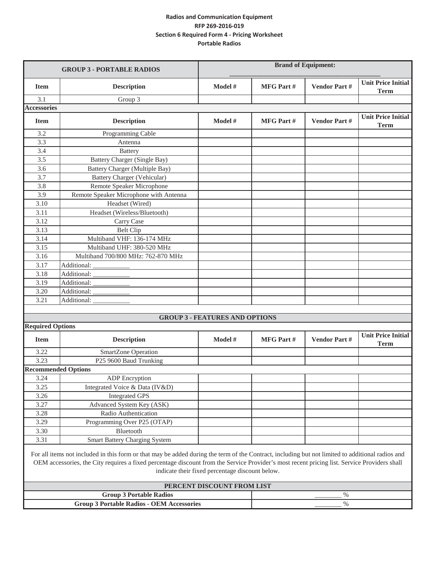|                                                                                                                                                                                                                                                                                                                                                     | <b>GROUP 3 - PORTABLE RADIOS</b>                  | <b>Brand of Equipment:</b>            |                  |                     |                                          |
|-----------------------------------------------------------------------------------------------------------------------------------------------------------------------------------------------------------------------------------------------------------------------------------------------------------------------------------------------------|---------------------------------------------------|---------------------------------------|------------------|---------------------|------------------------------------------|
| <b>Item</b>                                                                                                                                                                                                                                                                                                                                         | <b>Description</b>                                | Model #                               | <b>MFG Part#</b> | <b>Vendor Part#</b> | <b>Unit Price Initial</b><br><b>Term</b> |
| 3.1                                                                                                                                                                                                                                                                                                                                                 | Group 3                                           |                                       |                  |                     |                                          |
| <b>Accessories</b>                                                                                                                                                                                                                                                                                                                                  |                                                   |                                       |                  |                     |                                          |
| <b>Item</b>                                                                                                                                                                                                                                                                                                                                         | <b>Description</b>                                | Model #                               | <b>MFG Part#</b> | <b>Vendor Part#</b> | <b>Unit Price Initial</b><br><b>Term</b> |
| 3.2                                                                                                                                                                                                                                                                                                                                                 | Programming Cable                                 |                                       |                  |                     |                                          |
| 3.3                                                                                                                                                                                                                                                                                                                                                 | Antenna                                           |                                       |                  |                     |                                          |
| 3.4                                                                                                                                                                                                                                                                                                                                                 | <b>Battery</b>                                    |                                       |                  |                     |                                          |
| 3.5                                                                                                                                                                                                                                                                                                                                                 | <b>Battery Charger (Single Bay)</b>               |                                       |                  |                     |                                          |
| 3.6                                                                                                                                                                                                                                                                                                                                                 | Battery Charger (Multiple Bay)                    |                                       |                  |                     |                                          |
| 3.7                                                                                                                                                                                                                                                                                                                                                 | Battery Charger (Vehicular)                       |                                       |                  |                     |                                          |
| 3.8                                                                                                                                                                                                                                                                                                                                                 | Remote Speaker Microphone                         |                                       |                  |                     |                                          |
| 3.9                                                                                                                                                                                                                                                                                                                                                 | Remote Speaker Microphone with Antenna            |                                       |                  |                     |                                          |
| 3.10                                                                                                                                                                                                                                                                                                                                                | Headset (Wired)                                   |                                       |                  |                     |                                          |
| 3.11                                                                                                                                                                                                                                                                                                                                                | Headset (Wireless/Bluetooth)                      |                                       |                  |                     |                                          |
| 3.12                                                                                                                                                                                                                                                                                                                                                | Carry Case                                        |                                       |                  |                     |                                          |
| 3.13                                                                                                                                                                                                                                                                                                                                                | <b>Belt Clip</b>                                  |                                       |                  |                     |                                          |
| 3.14                                                                                                                                                                                                                                                                                                                                                | Multiband VHF: 136-174 MHz                        |                                       |                  |                     |                                          |
| 3.15                                                                                                                                                                                                                                                                                                                                                | Multiband UHF: 380-520 MHz                        |                                       |                  |                     |                                          |
| 3.16<br>3.17                                                                                                                                                                                                                                                                                                                                        | Multiband 700/800 MHz: 762-870 MHz<br>Additional: |                                       |                  |                     |                                          |
| 3.18                                                                                                                                                                                                                                                                                                                                                | Additional:                                       |                                       |                  |                     |                                          |
| 3.19                                                                                                                                                                                                                                                                                                                                                | Additional:                                       |                                       |                  |                     |                                          |
| 3.20                                                                                                                                                                                                                                                                                                                                                | Additional:                                       |                                       |                  |                     |                                          |
| 3.21                                                                                                                                                                                                                                                                                                                                                | Additional:                                       |                                       |                  |                     |                                          |
|                                                                                                                                                                                                                                                                                                                                                     |                                                   |                                       |                  |                     |                                          |
|                                                                                                                                                                                                                                                                                                                                                     |                                                   | <b>GROUP 3 - FEATURES AND OPTIONS</b> |                  |                     |                                          |
| <b>Required Options</b>                                                                                                                                                                                                                                                                                                                             |                                                   |                                       |                  |                     |                                          |
| <b>Item</b>                                                                                                                                                                                                                                                                                                                                         | <b>Description</b>                                | Model #                               | <b>MFG Part#</b> | Vendor Part#        | <b>Unit Price Initial</b><br><b>Term</b> |
| 3.22                                                                                                                                                                                                                                                                                                                                                | SmartZone Operation                               |                                       |                  |                     |                                          |
| 3.23                                                                                                                                                                                                                                                                                                                                                | P25 9600 Baud Trunking                            |                                       |                  |                     |                                          |
|                                                                                                                                                                                                                                                                                                                                                     | <b>Recommended Options</b>                        |                                       |                  |                     |                                          |
| 3.24                                                                                                                                                                                                                                                                                                                                                | <b>ADP</b> Encryption                             |                                       |                  |                     |                                          |
| 3.25                                                                                                                                                                                                                                                                                                                                                | Integrated Voice & Data (IV&D)                    |                                       |                  |                     |                                          |
| 3.26                                                                                                                                                                                                                                                                                                                                                | <b>Integrated GPS</b>                             |                                       |                  |                     |                                          |
| 3.27                                                                                                                                                                                                                                                                                                                                                | Advanced System Key (ASK)                         |                                       |                  |                     |                                          |
| 3.28                                                                                                                                                                                                                                                                                                                                                | Radio Authentication                              |                                       |                  |                     |                                          |
| 3.29                                                                                                                                                                                                                                                                                                                                                | Programming Over P25 (OTAP)                       |                                       |                  |                     |                                          |
| 3.30                                                                                                                                                                                                                                                                                                                                                | Bluetooth                                         |                                       |                  |                     |                                          |
| 3.31                                                                                                                                                                                                                                                                                                                                                | <b>Smart Battery Charging System</b>              |                                       |                  |                     |                                          |
| For all items not included in this form or that may be added during the term of the Contract, including but not limited to additional radios and<br>OEM accessories, the City requires a fixed percentage discount from the Service Provider's most recent pricing list. Service Providers shall<br>indicate their fixed percentage discount below. |                                                   |                                       |                  |                     |                                          |
|                                                                                                                                                                                                                                                                                                                                                     |                                                   | PERCENT DISCOUNT FROM LIST            |                  |                     |                                          |
|                                                                                                                                                                                                                                                                                                                                                     | <b>Group 3 Portable Radios</b>                    |                                       |                  | $\%$                |                                          |
| <b>Group 3 Portable Radios - OEM Accessories</b>                                                                                                                                                                                                                                                                                                    |                                                   |                                       | $\%$             |                     |                                          |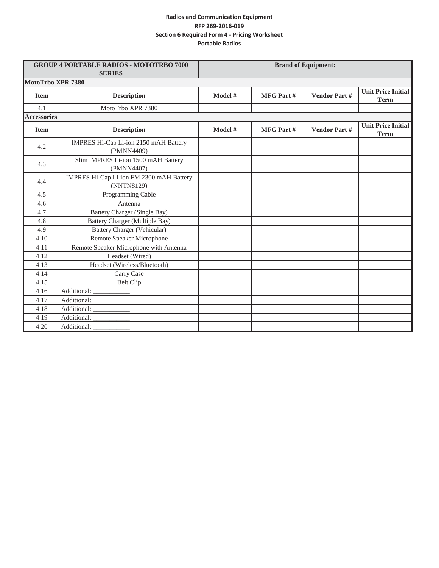| <b>GROUP 4 PORTABLE RADIOS - MOTOTRBO 7000</b><br><b>SERIES</b> |                                                        | <b>Brand of Equipment:</b> |                  |                     |                                          |
|-----------------------------------------------------------------|--------------------------------------------------------|----------------------------|------------------|---------------------|------------------------------------------|
| MotoTrbo XPR 7380                                               |                                                        |                            |                  |                     |                                          |
| <b>Item</b>                                                     | <b>Description</b>                                     | Model #                    | <b>MFG Part#</b> | <b>Vendor Part#</b> | <b>Unit Price Initial</b><br><b>Term</b> |
| 4.1                                                             | MotoTrbo XPR 7380                                      |                            |                  |                     |                                          |
| <b>Accessories</b>                                              |                                                        |                            |                  |                     |                                          |
| <b>Item</b>                                                     | <b>Description</b>                                     | Model #                    | <b>MFG Part#</b> | <b>Vendor Part#</b> | <b>Unit Price Initial</b><br><b>Term</b> |
| 4.2                                                             | IMPRES Hi-Cap Li-ion 2150 mAH Battery<br>(PMNN4409)    |                            |                  |                     |                                          |
| 4.3                                                             | Slim IMPRES Li-ion 1500 mAH Battery<br>(PMNN4407)      |                            |                  |                     |                                          |
| 4.4                                                             | IMPRES Hi-Cap Li-ion FM 2300 mAH Battery<br>(NNTN8129) |                            |                  |                     |                                          |
| 4.5                                                             | Programming Cable                                      |                            |                  |                     |                                          |
| 4.6                                                             | Antenna                                                |                            |                  |                     |                                          |
| 4.7                                                             | Battery Charger (Single Bay)                           |                            |                  |                     |                                          |
| 4.8                                                             | <b>Battery Charger (Multiple Bay)</b>                  |                            |                  |                     |                                          |
| 4.9                                                             | <b>Battery Charger (Vehicular)</b>                     |                            |                  |                     |                                          |
| 4.10                                                            | Remote Speaker Microphone                              |                            |                  |                     |                                          |
| 4.11                                                            | Remote Speaker Microphone with Antenna                 |                            |                  |                     |                                          |
| 4.12                                                            | Headset (Wired)                                        |                            |                  |                     |                                          |
| 4.13                                                            | Headset (Wireless/Bluetooth)                           |                            |                  |                     |                                          |
| 4.14                                                            | Carry Case                                             |                            |                  |                     |                                          |
| 4.15                                                            | <b>Belt Clip</b>                                       |                            |                  |                     |                                          |
| 4.16                                                            | Additional:                                            |                            |                  |                     |                                          |
| 4.17                                                            | Additional:                                            |                            |                  |                     |                                          |
| 4.18                                                            | Additional:                                            |                            |                  |                     |                                          |
| 4.19                                                            | Additional:                                            |                            |                  |                     |                                          |
| 4.20                                                            | Additional:                                            |                            |                  |                     |                                          |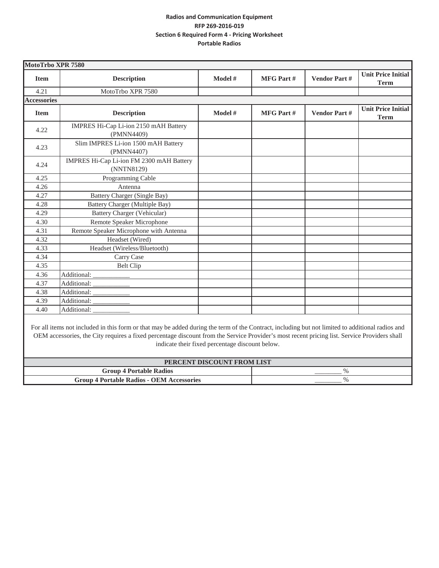| MotoTrbo XPR 7580  |                                                        |         |                  |                     |                                          |
|--------------------|--------------------------------------------------------|---------|------------------|---------------------|------------------------------------------|
| <b>Item</b>        | <b>Description</b>                                     | Model # | <b>MFG Part#</b> | <b>Vendor Part#</b> | <b>Unit Price Initial</b><br><b>Term</b> |
| 4.21               | MotoTrbo XPR 7580                                      |         |                  |                     |                                          |
| <b>Accessories</b> |                                                        |         |                  |                     |                                          |
| <b>Item</b>        | <b>Description</b>                                     | Model # | <b>MFG Part#</b> | <b>Vendor Part#</b> | <b>Unit Price Initial</b><br><b>Term</b> |
| 4.22               | IMPRES Hi-Cap Li-ion 2150 mAH Battery<br>(PMNN4409)    |         |                  |                     |                                          |
| 4.23               | Slim IMPRES Li-ion 1500 mAH Battery<br>(PMNN4407)      |         |                  |                     |                                          |
| 4.24               | IMPRES Hi-Cap Li-ion FM 2300 mAH Battery<br>(NNTN8129) |         |                  |                     |                                          |
| 4.25               | Programming Cable                                      |         |                  |                     |                                          |
| 4.26               | Antenna                                                |         |                  |                     |                                          |
| 4.27               | Battery Charger (Single Bay)                           |         |                  |                     |                                          |
| 4.28               | Battery Charger (Multiple Bay)                         |         |                  |                     |                                          |
| 4.29               | <b>Battery Charger (Vehicular)</b>                     |         |                  |                     |                                          |
| 4.30               | Remote Speaker Microphone                              |         |                  |                     |                                          |
| 4.31               | Remote Speaker Microphone with Antenna                 |         |                  |                     |                                          |
| 4.32               | Headset (Wired)                                        |         |                  |                     |                                          |
| 4.33               | Headset (Wireless/Bluetooth)                           |         |                  |                     |                                          |
| 4.34               | Carry Case                                             |         |                  |                     |                                          |
| 4.35               | <b>Belt Clip</b>                                       |         |                  |                     |                                          |
| 4.36               | Additional:                                            |         |                  |                     |                                          |
| 4.37               | Additional:                                            |         |                  |                     |                                          |
| 4.38               | Additional:                                            |         |                  |                     |                                          |
| 4.39               | Additional:                                            |         |                  |                     |                                          |
| 4.40               | Additional:                                            |         |                  |                     |                                          |

For all items not included in this form or that may be added during the term of the Contract, including but not limited to additional radios and OEM accessories, the City requires a fixed percentage discount from the Service Provider's most recent pricing list. Service Providers shall indicate their fixed percentage discount below.

| PERCENT DISCOUNT FROM LIST                       |           |  |  |  |
|--------------------------------------------------|-----------|--|--|--|
| <b>Group 4 Portable Radios</b>                   |           |  |  |  |
| <b>Group 4 Portable Radios - OEM Accessories</b> | _________ |  |  |  |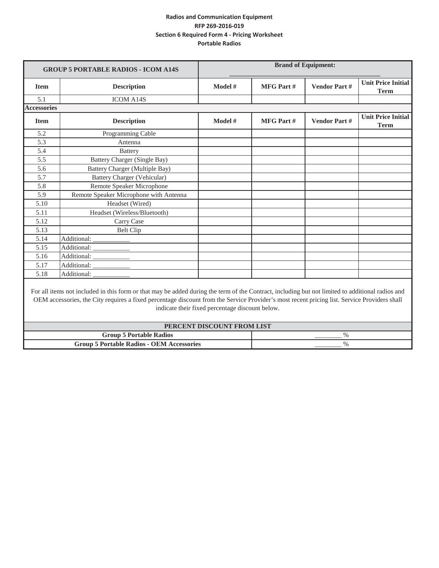|                    | <b>GROUP 5 PORTABLE RADIOS - ICOM A14S</b>                                                                                                                                                                                                                                                       |                                                 |                  | <b>Brand of Equipment:</b> |                                          |
|--------------------|--------------------------------------------------------------------------------------------------------------------------------------------------------------------------------------------------------------------------------------------------------------------------------------------------|-------------------------------------------------|------------------|----------------------------|------------------------------------------|
| <b>Item</b>        | <b>Description</b>                                                                                                                                                                                                                                                                               | Model #                                         | <b>MFG Part#</b> | <b>Vendor Part#</b>        | <b>Unit Price Initial</b><br><b>Term</b> |
| 5.1                | <b>ICOM A14S</b>                                                                                                                                                                                                                                                                                 |                                                 |                  |                            |                                          |
| <b>Accessories</b> |                                                                                                                                                                                                                                                                                                  |                                                 |                  |                            |                                          |
| <b>Item</b>        | <b>Description</b>                                                                                                                                                                                                                                                                               | Model #                                         | <b>MFG Part#</b> | <b>Vendor Part#</b>        | <b>Unit Price Initial</b><br><b>Term</b> |
| 5.2                | Programming Cable                                                                                                                                                                                                                                                                                |                                                 |                  |                            |                                          |
| 5.3                | Antenna                                                                                                                                                                                                                                                                                          |                                                 |                  |                            |                                          |
| 5.4                | <b>Battery</b>                                                                                                                                                                                                                                                                                   |                                                 |                  |                            |                                          |
| 5.5                | Battery Charger (Single Bay)                                                                                                                                                                                                                                                                     |                                                 |                  |                            |                                          |
| 5.6                | Battery Charger (Multiple Bay)                                                                                                                                                                                                                                                                   |                                                 |                  |                            |                                          |
| 5.7                | <b>Battery Charger (Vehicular)</b>                                                                                                                                                                                                                                                               |                                                 |                  |                            |                                          |
| 5.8                | Remote Speaker Microphone                                                                                                                                                                                                                                                                        |                                                 |                  |                            |                                          |
| 5.9                | Remote Speaker Microphone with Antenna                                                                                                                                                                                                                                                           |                                                 |                  |                            |                                          |
| 5.10               | Headset (Wired)                                                                                                                                                                                                                                                                                  |                                                 |                  |                            |                                          |
| 5.11               | Headset (Wireless/Bluetooth)                                                                                                                                                                                                                                                                     |                                                 |                  |                            |                                          |
| 5.12               | Carry Case                                                                                                                                                                                                                                                                                       |                                                 |                  |                            |                                          |
| 5.13               | <b>Belt Clip</b>                                                                                                                                                                                                                                                                                 |                                                 |                  |                            |                                          |
| 5.14               | Additional:                                                                                                                                                                                                                                                                                      |                                                 |                  |                            |                                          |
| 5.15               | Additional:                                                                                                                                                                                                                                                                                      |                                                 |                  |                            |                                          |
| 5.16               | Additional:                                                                                                                                                                                                                                                                                      |                                                 |                  |                            |                                          |
| 5.17               | Additional:                                                                                                                                                                                                                                                                                      |                                                 |                  |                            |                                          |
| 5.18               | Additional:                                                                                                                                                                                                                                                                                      |                                                 |                  |                            |                                          |
|                    | For all items not included in this form or that may be added during the term of the Contract, including but not limited to additional radios and<br>OEM accessories, the City requires a fixed percentage discount from the Service Provider's most recent pricing list. Service Providers shall | indicate their fixed percentage discount below. |                  |                            |                                          |
|                    |                                                                                                                                                                                                                                                                                                  | PERCENT DISCOUNT FROM LIST                      |                  |                            |                                          |
|                    | <b>Group 5 Portable Radios</b>                                                                                                                                                                                                                                                                   |                                                 |                  | $\%$                       |                                          |
|                    | <b>Group 5 Portable Radios - OEM Accessories</b>                                                                                                                                                                                                                                                 | $\%$                                            |                  |                            |                                          |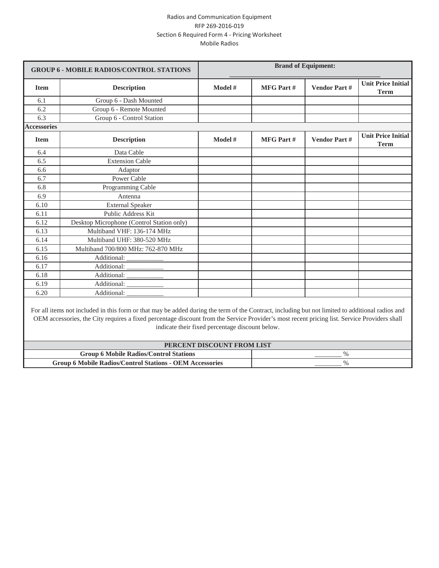| <b>GROUP 6 - MOBILE RADIOS/CONTROL STATIONS</b> |                                                                                                                                                                                                                                                                                                                                                                                   |         |                  | <b>Brand of Equipment:</b> |                                          |
|-------------------------------------------------|-----------------------------------------------------------------------------------------------------------------------------------------------------------------------------------------------------------------------------------------------------------------------------------------------------------------------------------------------------------------------------------|---------|------------------|----------------------------|------------------------------------------|
| <b>Item</b>                                     | <b>Description</b>                                                                                                                                                                                                                                                                                                                                                                | Model # | <b>MFG Part#</b> | <b>Vendor Part#</b>        | <b>Unit Price Initial</b><br><b>Term</b> |
| 6.1                                             | Group 6 - Dash Mounted                                                                                                                                                                                                                                                                                                                                                            |         |                  |                            |                                          |
| 6.2                                             | Group 6 - Remote Mounted                                                                                                                                                                                                                                                                                                                                                          |         |                  |                            |                                          |
| 6.3                                             | Group 6 - Control Station                                                                                                                                                                                                                                                                                                                                                         |         |                  |                            |                                          |
| <b>Accessories</b>                              |                                                                                                                                                                                                                                                                                                                                                                                   |         |                  |                            |                                          |
| <b>Item</b>                                     | <b>Description</b>                                                                                                                                                                                                                                                                                                                                                                | Model # | <b>MFG Part#</b> | <b>Vendor Part#</b>        | <b>Unit Price Initial</b><br><b>Term</b> |
| 6.4                                             | Data Cable                                                                                                                                                                                                                                                                                                                                                                        |         |                  |                            |                                          |
| 6.5                                             | <b>Extension Cable</b>                                                                                                                                                                                                                                                                                                                                                            |         |                  |                            |                                          |
| 6.6                                             | Adaptor                                                                                                                                                                                                                                                                                                                                                                           |         |                  |                            |                                          |
| 6.7                                             | Power Cable                                                                                                                                                                                                                                                                                                                                                                       |         |                  |                            |                                          |
| 6.8                                             | Programming Cable                                                                                                                                                                                                                                                                                                                                                                 |         |                  |                            |                                          |
| 6.9                                             | Antenna                                                                                                                                                                                                                                                                                                                                                                           |         |                  |                            |                                          |
| 6.10                                            | <b>External Speaker</b>                                                                                                                                                                                                                                                                                                                                                           |         |                  |                            |                                          |
| 6.11                                            | <b>Public Address Kit</b>                                                                                                                                                                                                                                                                                                                                                         |         |                  |                            |                                          |
| 6.12                                            | Desktop Microphone (Control Station only)                                                                                                                                                                                                                                                                                                                                         |         |                  |                            |                                          |
| 6.13                                            | Multiband VHF: 136-174 MHz                                                                                                                                                                                                                                                                                                                                                        |         |                  |                            |                                          |
| 6.14                                            | Multiband UHF: 380-520 MHz                                                                                                                                                                                                                                                                                                                                                        |         |                  |                            |                                          |
| 6.15                                            | Multiband 700/800 MHz: 762-870 MHz                                                                                                                                                                                                                                                                                                                                                |         |                  |                            |                                          |
| 6.16                                            | Additional:                                                                                                                                                                                                                                                                                                                                                                       |         |                  |                            |                                          |
| 6.17                                            | Additional:                                                                                                                                                                                                                                                                                                                                                                       |         |                  |                            |                                          |
| 6.18                                            | Additional:                                                                                                                                                                                                                                                                                                                                                                       |         |                  |                            |                                          |
| 6.19                                            | Additional:                                                                                                                                                                                                                                                                                                                                                                       |         |                  |                            |                                          |
| 6.20                                            | Additional:                                                                                                                                                                                                                                                                                                                                                                       |         |                  |                            |                                          |
|                                                 | For all items not included in this form or that may be added during the term of the Contract, including but not limited to additional radios and<br>OEM accessories, the City requires a fixed percentage discount from the Service Provider's most recent pricing list. Service Providers shall<br>indicate their fixed percentage discount below.<br>PERCENT DISCOUNT FROM LIST |         |                  |                            |                                          |

**Group 6 Mobile Radios/Control Stations** \_\_\_\_\_\_\_\_ %

Group 6 Mobile Radios/Control Stations - OEM Accessories **\_\_\_\_\_\_\_** %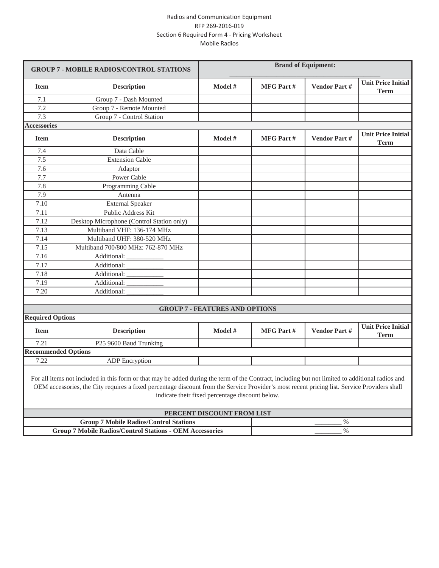|                                                                 | <b>GROUP 7 - MOBILE RADIOS/CONTROL STATIONS</b>                                                                                                                                                                                                                                                  | <b>Brand of Equipment:</b>                      |                  |                     |                                          |
|-----------------------------------------------------------------|--------------------------------------------------------------------------------------------------------------------------------------------------------------------------------------------------------------------------------------------------------------------------------------------------|-------------------------------------------------|------------------|---------------------|------------------------------------------|
| <b>Item</b>                                                     | <b>Description</b>                                                                                                                                                                                                                                                                               | Model #                                         | <b>MFG Part#</b> | <b>Vendor Part#</b> | <b>Unit Price Initial</b><br><b>Term</b> |
| 7.1                                                             | Group 7 - Dash Mounted                                                                                                                                                                                                                                                                           |                                                 |                  |                     |                                          |
| 7.2                                                             | Group 7 - Remote Mounted                                                                                                                                                                                                                                                                         |                                                 |                  |                     |                                          |
| 7.3                                                             | Group 7 - Control Station                                                                                                                                                                                                                                                                        |                                                 |                  |                     |                                          |
| <b>Accessories</b>                                              |                                                                                                                                                                                                                                                                                                  |                                                 |                  |                     |                                          |
| <b>Item</b>                                                     | <b>Description</b>                                                                                                                                                                                                                                                                               | Model #                                         | <b>MFG Part#</b> | <b>Vendor Part#</b> | <b>Unit Price Initial</b><br><b>Term</b> |
| 7.4                                                             | Data Cable                                                                                                                                                                                                                                                                                       |                                                 |                  |                     |                                          |
| 7.5                                                             | <b>Extension Cable</b>                                                                                                                                                                                                                                                                           |                                                 |                  |                     |                                          |
| 7.6                                                             | Adaptor                                                                                                                                                                                                                                                                                          |                                                 |                  |                     |                                          |
| 7.7                                                             | Power Cable                                                                                                                                                                                                                                                                                      |                                                 |                  |                     |                                          |
| 7.8                                                             | Programming Cable                                                                                                                                                                                                                                                                                |                                                 |                  |                     |                                          |
| 7.9                                                             | Antenna                                                                                                                                                                                                                                                                                          |                                                 |                  |                     |                                          |
| 7.10                                                            | <b>External Speaker</b>                                                                                                                                                                                                                                                                          |                                                 |                  |                     |                                          |
| 7.11                                                            | Public Address Kit                                                                                                                                                                                                                                                                               |                                                 |                  |                     |                                          |
| 7.12                                                            | Desktop Microphone (Control Station only)                                                                                                                                                                                                                                                        |                                                 |                  |                     |                                          |
| 7.13                                                            | Multiband VHF: 136-174 MHz                                                                                                                                                                                                                                                                       |                                                 |                  |                     |                                          |
| 7.14                                                            | Multiband UHF: 380-520 MHz                                                                                                                                                                                                                                                                       |                                                 |                  |                     |                                          |
| 7.15                                                            | Multiband 700/800 MHz: 762-870 MHz                                                                                                                                                                                                                                                               |                                                 |                  |                     |                                          |
| 7.16                                                            | Additional:                                                                                                                                                                                                                                                                                      |                                                 |                  |                     |                                          |
| 7.17                                                            | Additional:                                                                                                                                                                                                                                                                                      |                                                 |                  |                     |                                          |
| 7.18                                                            | Additional:                                                                                                                                                                                                                                                                                      |                                                 |                  |                     |                                          |
| 7.19                                                            | Additional:                                                                                                                                                                                                                                                                                      |                                                 |                  |                     |                                          |
| 7.20                                                            | Additional:                                                                                                                                                                                                                                                                                      |                                                 |                  |                     |                                          |
|                                                                 |                                                                                                                                                                                                                                                                                                  |                                                 |                  |                     |                                          |
|                                                                 |                                                                                                                                                                                                                                                                                                  | <b>GROUP 7 - FEATURES AND OPTIONS</b>           |                  |                     |                                          |
| <b>Required Options</b>                                         |                                                                                                                                                                                                                                                                                                  |                                                 |                  |                     |                                          |
| <b>Item</b>                                                     | <b>Description</b>                                                                                                                                                                                                                                                                               | Model #                                         | <b>MFG Part#</b> | <b>Vendor Part#</b> | <b>Unit Price Initial</b><br><b>Term</b> |
| 7.21                                                            | P25 9600 Baud Trunking                                                                                                                                                                                                                                                                           |                                                 |                  |                     |                                          |
| <b>Recommended Options</b>                                      |                                                                                                                                                                                                                                                                                                  |                                                 |                  |                     |                                          |
| 7.22                                                            | <b>ADP</b> Encryption                                                                                                                                                                                                                                                                            |                                                 |                  |                     |                                          |
|                                                                 | For all items not included in this form or that may be added during the term of the Contract, including but not limited to additional radios and<br>OEM accessories, the City requires a fixed percentage discount from the Service Provider's most recent pricing list. Service Providers shall | indicate their fixed percentage discount below. |                  |                     |                                          |
|                                                                 |                                                                                                                                                                                                                                                                                                  | PERCENT DISCOUNT FROM LIST                      |                  |                     |                                          |
|                                                                 | <b>Group 7 Mobile Radios/Control Stations</b>                                                                                                                                                                                                                                                    |                                                 |                  | $\%$                |                                          |
| <b>Group 7 Mobile Radios/Control Stations - OEM Accessories</b> |                                                                                                                                                                                                                                                                                                  |                                                 | $\%$             |                     |                                          |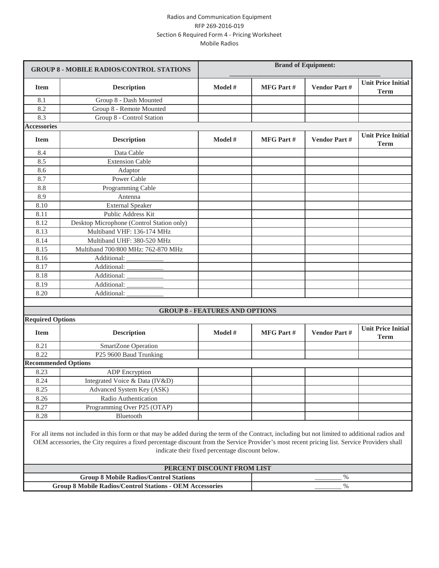|                                                                 | <b>GROUP 8 - MOBILE RADIOS/CONTROL STATIONS</b>                                                                                                                                                                                                                                                  | <b>Brand of Equipment:</b>                      |                  |                     |                                          |
|-----------------------------------------------------------------|--------------------------------------------------------------------------------------------------------------------------------------------------------------------------------------------------------------------------------------------------------------------------------------------------|-------------------------------------------------|------------------|---------------------|------------------------------------------|
| <b>Item</b>                                                     | <b>Description</b>                                                                                                                                                                                                                                                                               | Model #                                         | <b>MFG Part#</b> | <b>Vendor Part#</b> | <b>Unit Price Initial</b><br><b>Term</b> |
| 8.1                                                             | Group 8 - Dash Mounted                                                                                                                                                                                                                                                                           |                                                 |                  |                     |                                          |
| 8.2                                                             | Group 8 - Remote Mounted                                                                                                                                                                                                                                                                         |                                                 |                  |                     |                                          |
| 8.3                                                             | Group 8 - Control Station                                                                                                                                                                                                                                                                        |                                                 |                  |                     |                                          |
| <b>Accessories</b>                                              |                                                                                                                                                                                                                                                                                                  |                                                 |                  |                     |                                          |
| <b>Item</b>                                                     | <b>Description</b>                                                                                                                                                                                                                                                                               | Model #                                         | <b>MFG Part#</b> | <b>Vendor Part#</b> | <b>Unit Price Initial</b><br><b>Term</b> |
| 8.4                                                             | Data Cable                                                                                                                                                                                                                                                                                       |                                                 |                  |                     |                                          |
| 8.5                                                             | <b>Extension Cable</b>                                                                                                                                                                                                                                                                           |                                                 |                  |                     |                                          |
| 8.6                                                             | Adaptor                                                                                                                                                                                                                                                                                          |                                                 |                  |                     |                                          |
| 8.7                                                             | Power Cable                                                                                                                                                                                                                                                                                      |                                                 |                  |                     |                                          |
| 8.8                                                             | Programming Cable                                                                                                                                                                                                                                                                                |                                                 |                  |                     |                                          |
| 8.9                                                             | Antenna                                                                                                                                                                                                                                                                                          |                                                 |                  |                     |                                          |
| 8.10                                                            | <b>External Speaker</b>                                                                                                                                                                                                                                                                          |                                                 |                  |                     |                                          |
| 8.11                                                            | Public Address Kit                                                                                                                                                                                                                                                                               |                                                 |                  |                     |                                          |
| 8.12                                                            | Desktop Microphone (Control Station only)                                                                                                                                                                                                                                                        |                                                 |                  |                     |                                          |
| 8.13                                                            | Multiband VHF: 136-174 MHz                                                                                                                                                                                                                                                                       |                                                 |                  |                     |                                          |
| 8.14                                                            | Multiband UHF: 380-520 MHz                                                                                                                                                                                                                                                                       |                                                 |                  |                     |                                          |
| 8.15                                                            | Multiband 700/800 MHz: 762-870 MHz                                                                                                                                                                                                                                                               |                                                 |                  |                     |                                          |
| 8.16                                                            | Additional:                                                                                                                                                                                                                                                                                      |                                                 |                  |                     |                                          |
| 8.17                                                            | Additional:                                                                                                                                                                                                                                                                                      |                                                 |                  |                     |                                          |
| 8.18                                                            | Additional:                                                                                                                                                                                                                                                                                      |                                                 |                  |                     |                                          |
| 8.19                                                            | Additional:                                                                                                                                                                                                                                                                                      |                                                 |                  |                     |                                          |
| 8.20                                                            | Additional:                                                                                                                                                                                                                                                                                      |                                                 |                  |                     |                                          |
|                                                                 |                                                                                                                                                                                                                                                                                                  |                                                 |                  |                     |                                          |
|                                                                 |                                                                                                                                                                                                                                                                                                  | <b>GROUP 8 - FEATURES AND OPTIONS</b>           |                  |                     |                                          |
| <b>Required Options</b>                                         |                                                                                                                                                                                                                                                                                                  |                                                 |                  |                     |                                          |
| <b>Item</b>                                                     | <b>Description</b>                                                                                                                                                                                                                                                                               | Model #                                         | <b>MFG Part#</b> | <b>Vendor Part#</b> | <b>Unit Price Initial</b><br><b>Term</b> |
| 8.21                                                            | SmartZone Operation                                                                                                                                                                                                                                                                              |                                                 |                  |                     |                                          |
| 8.22                                                            | P25 9600 Baud Trunking                                                                                                                                                                                                                                                                           |                                                 |                  |                     |                                          |
| <b>Recommended Options</b>                                      |                                                                                                                                                                                                                                                                                                  |                                                 |                  |                     |                                          |
| 8.23                                                            | <b>ADP</b> Encryption                                                                                                                                                                                                                                                                            |                                                 |                  |                     |                                          |
| 8.24                                                            | Integrated Voice & Data (IV&D)                                                                                                                                                                                                                                                                   |                                                 |                  |                     |                                          |
| 8.25                                                            | Advanced System Key (ASK)                                                                                                                                                                                                                                                                        |                                                 |                  |                     |                                          |
| 8.26                                                            | Radio Authentication                                                                                                                                                                                                                                                                             |                                                 |                  |                     |                                          |
| 8.27                                                            | Programming Over P25 (OTAP)                                                                                                                                                                                                                                                                      |                                                 |                  |                     |                                          |
| 8.28                                                            | Bluetooth                                                                                                                                                                                                                                                                                        |                                                 |                  |                     |                                          |
|                                                                 | For all items not included in this form or that may be added during the term of the Contract, including but not limited to additional radios and<br>OEM accessories, the City requires a fixed percentage discount from the Service Provider's most recent pricing list. Service Providers shall | indicate their fixed percentage discount below. |                  |                     |                                          |
|                                                                 |                                                                                                                                                                                                                                                                                                  | PERCENT DISCOUNT FROM LIST                      |                  |                     |                                          |
|                                                                 | <b>Group 8 Mobile Radios/Control Stations</b>                                                                                                                                                                                                                                                    |                                                 |                  | $\%$                |                                          |
| <b>Group 8 Mobile Radios/Control Stations - OEM Accessories</b> |                                                                                                                                                                                                                                                                                                  |                                                 | $\%$             |                     |                                          |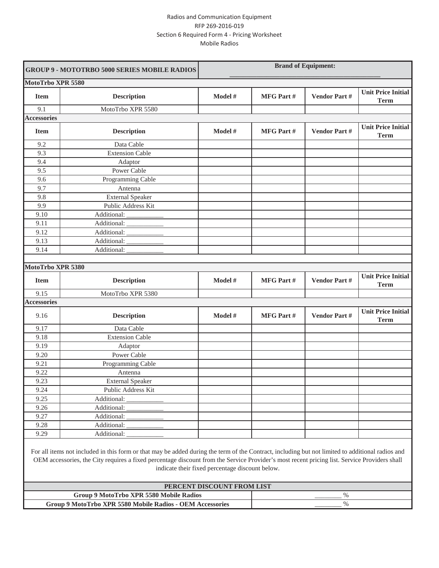|                    | <b>GROUP 9 - MOTOTRBO 5000 SERIES MOBILE RADIOS</b> | <b>Brand of Equipment:</b> |                  |                     |                                          |
|--------------------|-----------------------------------------------------|----------------------------|------------------|---------------------|------------------------------------------|
| MotoTrbo XPR 5580  |                                                     |                            |                  |                     |                                          |
| <b>Item</b>        | <b>Description</b>                                  | Model #                    | <b>MFG Part#</b> | Vendor Part#        | <b>Unit Price Initial</b><br><b>Term</b> |
| 9.1                | MotoTrbo XPR 5580                                   |                            |                  |                     |                                          |
| <b>Accessories</b> |                                                     |                            |                  |                     |                                          |
| <b>Item</b>        | <b>Description</b>                                  | Model #                    | MFG Part#        | <b>Vendor Part#</b> | <b>Unit Price Initial</b><br><b>Term</b> |
| 9.2                | Data Cable                                          |                            |                  |                     |                                          |
| 9.3                | <b>Extension Cable</b>                              |                            |                  |                     |                                          |
| 9.4                | Adaptor                                             |                            |                  |                     |                                          |
| 9.5                | Power Cable                                         |                            |                  |                     |                                          |
| 9.6                | Programming Cable                                   |                            |                  |                     |                                          |
| 9.7                | Antenna                                             |                            |                  |                     |                                          |
| 9.8                | <b>External Speaker</b>                             |                            |                  |                     |                                          |
| 9.9                | Public Address Kit                                  |                            |                  |                     |                                          |
| 9.10               | Additional: _____                                   |                            |                  |                     |                                          |
| 9.11               | Additional:                                         |                            |                  |                     |                                          |
| 9.12               | Additional:                                         |                            |                  |                     |                                          |
| 9.13               | Additional:                                         |                            |                  |                     |                                          |
|                    |                                                     |                            |                  |                     |                                          |
| 9.14               | Additional:                                         |                            |                  |                     |                                          |
|                    |                                                     |                            |                  |                     |                                          |
| MotoTrbo XPR 5380  |                                                     |                            |                  |                     |                                          |
| <b>Item</b>        | <b>Description</b>                                  | Model #                    | <b>MFG Part#</b> | <b>Vendor Part#</b> | <b>Unit Price Initial</b><br><b>Term</b> |
| 9.15               | MotoTrbo XPR 5380                                   |                            |                  |                     |                                          |
| <b>Accessories</b> |                                                     |                            |                  |                     |                                          |
| 9.16               | <b>Description</b>                                  | Model #                    | <b>MFG Part#</b> | Vendor Part#        | <b>Unit Price Initial</b><br><b>Term</b> |
| 9.17               | Data Cable                                          |                            |                  |                     |                                          |
| 9.18               | <b>Extension Cable</b>                              |                            |                  |                     |                                          |
| 9.19               | Adaptor                                             |                            |                  |                     |                                          |
| 9.20               | Power Cable                                         |                            |                  |                     |                                          |
| 9.21               | Programming Cable                                   |                            |                  |                     |                                          |
| 9.22               | Antenna                                             |                            |                  |                     |                                          |
| 9.23               | <b>External Speaker</b>                             |                            |                  |                     |                                          |
| 9.24               | Public Address Kit                                  |                            |                  |                     |                                          |
| 9.25               | Additional:                                         |                            |                  |                     |                                          |
| 9.26               | Additional:                                         |                            |                  |                     |                                          |
| 9.27               | Additional:                                         |                            |                  |                     |                                          |
| 9.28               | Additional:                                         |                            |                  |                     |                                          |

OEM accessories, the City requires a fixed percentage discount from the Service Provider's most recent pricing list. Service Providers shall indicate their fixed percentage discount below.

| PERCENT DISCOUNT FROM LIST                                |    |  |  |  |
|-----------------------------------------------------------|----|--|--|--|
| Group 9 MotoTrbo XPR 5580 Mobile Radios                   | 0/ |  |  |  |
| Group 9 MotoTrbo XPR 5580 Mobile Radios - OEM Accessories | 07 |  |  |  |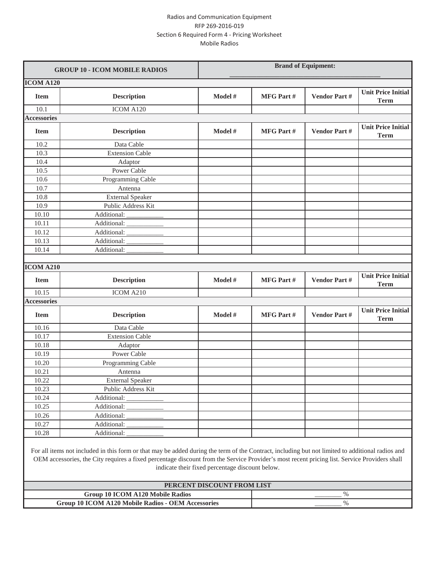|                    | <b>GROUP 10 - ICOM MOBILE RADIOS</b>                                                                                                             | <b>Brand of Equipment:</b> |                  |                     |                                          |
|--------------------|--------------------------------------------------------------------------------------------------------------------------------------------------|----------------------------|------------------|---------------------|------------------------------------------|
| <b>ICOM A120</b>   |                                                                                                                                                  |                            |                  |                     |                                          |
| <b>Item</b>        | <b>Description</b>                                                                                                                               | Model #                    | <b>MFG Part#</b> | Vendor Part#        | <b>Unit Price Initial</b><br><b>Term</b> |
| 10.1               | ICOM A120                                                                                                                                        |                            |                  |                     |                                          |
| <b>Accessories</b> |                                                                                                                                                  |                            |                  |                     |                                          |
| <b>Item</b>        | <b>Description</b>                                                                                                                               | Model #                    | <b>MFG Part#</b> | <b>Vendor Part#</b> | <b>Unit Price Initial</b><br><b>Term</b> |
| 10.2               | Data Cable                                                                                                                                       |                            |                  |                     |                                          |
| 10.3               | <b>Extension Cable</b>                                                                                                                           |                            |                  |                     |                                          |
| 10.4               | Adaptor                                                                                                                                          |                            |                  |                     |                                          |
| 10.5               | Power Cable                                                                                                                                      |                            |                  |                     |                                          |
| 10.6               | Programming Cable                                                                                                                                |                            |                  |                     |                                          |
| 10.7               | Antenna                                                                                                                                          |                            |                  |                     |                                          |
| 10.8               | <b>External Speaker</b>                                                                                                                          |                            |                  |                     |                                          |
| 10.9               | Public Address Kit                                                                                                                               |                            |                  |                     |                                          |
| 10.10              | Additional: _                                                                                                                                    |                            |                  |                     |                                          |
| 10.11              | Additional:                                                                                                                                      |                            |                  |                     |                                          |
| 10.12              | Additional:                                                                                                                                      |                            |                  |                     |                                          |
| 10.13              | Additional:                                                                                                                                      |                            |                  |                     |                                          |
| 10.14              | Additional:                                                                                                                                      |                            |                  |                     |                                          |
|                    |                                                                                                                                                  |                            |                  |                     |                                          |
| <b>ICOM A210</b>   |                                                                                                                                                  |                            |                  |                     |                                          |
| <b>Item</b>        | <b>Description</b>                                                                                                                               | Model #                    | <b>MFG Part#</b> | <b>Vendor Part#</b> | <b>Unit Price Initial</b><br><b>Term</b> |
| 10.15              | ICOM A210                                                                                                                                        |                            |                  |                     |                                          |
| <b>Accessories</b> |                                                                                                                                                  |                            |                  |                     |                                          |
| <b>Item</b>        | <b>Description</b>                                                                                                                               | Model #                    | <b>MFG Part#</b> | <b>Vendor Part#</b> | <b>Unit Price Initial</b><br>Term        |
| 10.16              | Data Cable                                                                                                                                       |                            |                  |                     |                                          |
| 10.17              | <b>Extension Cable</b>                                                                                                                           |                            |                  |                     |                                          |
| 10.18              | Adaptor                                                                                                                                          |                            |                  |                     |                                          |
| 10.19              | Power Cable                                                                                                                                      |                            |                  |                     |                                          |
| 10.20              | Programming Cable                                                                                                                                |                            |                  |                     |                                          |
| 10.21              | Antenna                                                                                                                                          |                            |                  |                     |                                          |
| 10.22              | <b>External Speaker</b>                                                                                                                          |                            |                  |                     |                                          |
| 10.23              | Public Address Kit                                                                                                                               |                            |                  |                     |                                          |
| 10.24              | Additional:                                                                                                                                      |                            |                  |                     |                                          |
| 10.25              | Additional:                                                                                                                                      |                            |                  |                     |                                          |
| 10.26              | Additional:                                                                                                                                      |                            |                  |                     |                                          |
| 10.27              | Additional:                                                                                                                                      |                            |                  |                     |                                          |
| 10.28              | Additional:                                                                                                                                      |                            |                  |                     |                                          |
|                    | For all items not included in this form or that may be added during the term of the Contract, including but not limited to additional radios and |                            |                  |                     |                                          |

OEM accessories, the City requires a fixed percentage discount from the Service Provider's most recent pricing list. Service Providers shall indicate their fixed percentage discount below.

| PERCENT DISCOUNT FROM LIST                         |  |  |  |  |
|----------------------------------------------------|--|--|--|--|
| Group 10 ICOM A120 Mobile Radios                   |  |  |  |  |
| Group 10 ICOM A120 Mobile Radios - OEM Accessories |  |  |  |  |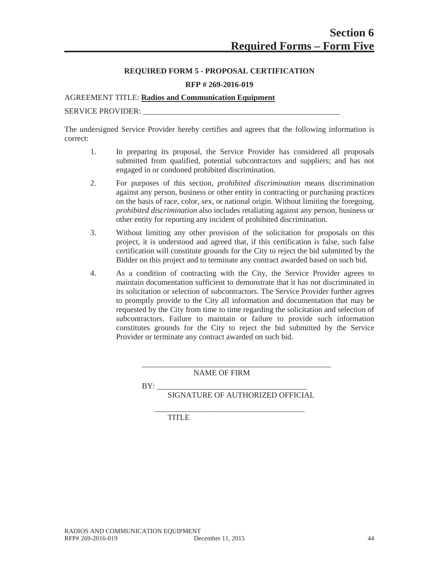## **REQUIRED FORM 5 - PROPOSAL CERTIFICATION**

#### **RFP # 269-2016-019**

#### AGREEMENT TITLE: **Radios and Communication Equipment**

#### SERVICE PROVIDER:

The undersigned Service Provider hereby certifies and agrees that the following information is correct:

- 1. In preparing its proposal, the Service Provider has considered all proposals submitted from qualified, potential subcontractors and suppliers; and has not engaged in or condoned prohibited discrimination.
- 2. For purposes of this section, *prohibited discrimination* means discrimination against any person, business or other entity in contracting or purchasing practices on the basis of race, color, sex, or national origin. Without limiting the foregoing, *prohibited discrimination* also includes retaliating against any person, business or other entity for reporting any incident of prohibited discrimination.
- 3. Without limiting any other provision of the solicitation for proposals on this project, it is understood and agreed that, if this certification is false, such false certification will constitute grounds for the City to reject the bid submitted by the Bidder on this project and to terminate any contract awarded based on such bid.
- 4. As a condition of contracting with the City, the Service Provider agrees to maintain documentation sufficient to demonstrate that it has not discriminated in its solicitation or selection of subcontractors. The Service Provider further agrees to promptly provide to the City all information and documentation that may be requested by the City from time to time regarding the solicitation and selection of subcontractors. Failure to maintain or failure to provide such information constitutes grounds for the City to reject the bid submitted by the Service Provider or terminate any contract awarded on such bid.

NAME OF FIRM

 $BY:$ 

SIGNATURE OF AUTHORIZED OFFICIAL

\_\_\_\_\_\_\_\_\_\_\_\_\_\_\_\_\_\_\_\_\_\_\_\_\_\_\_\_\_\_\_\_\_\_\_\_\_\_\_\_\_\_\_\_\_\_\_\_

\_\_\_\_\_\_\_\_\_\_\_\_\_\_\_\_\_\_\_\_\_\_\_\_\_\_\_\_\_\_\_\_\_\_\_\_\_\_ TITLE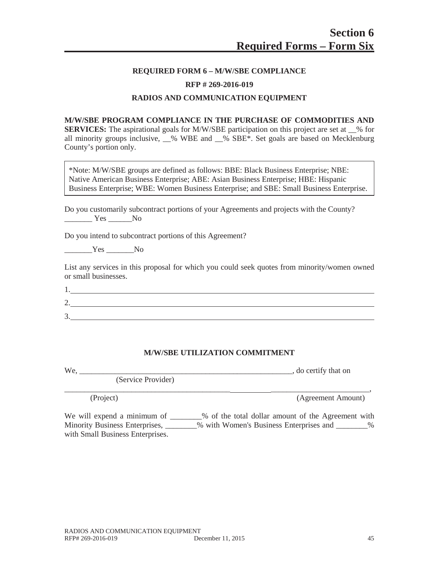#### **REQUIRED FORM 6 – M/W/SBE COMPLIANCE**

#### **RFP # 269-2016-019**

#### **RADIOS AND COMMUNICATION EQUIPMENT**

**M/W/SBE PROGRAM COMPLIANCE IN THE PURCHASE OF COMMODITIES AND SERVICES:** The aspirational goals for M/W/SBE participation on this project are set at \_\_% for all minority groups inclusive,  $\%$  WBE and  $\%$  SBE\*. Set goals are based on Mecklenburg County's portion only.

\*Note: M/W/SBE groups are defined as follows: BBE: Black Business Enterprise; NBE: Native American Business Enterprise; ABE: Asian Business Enterprise; HBE: Hispanic Business Enterprise; WBE: Women Business Enterprise; and SBE: Small Business Enterprise.

| Do you customarily subcontract portions of your Agreements and projects with the County? |  |  |  |
|------------------------------------------------------------------------------------------|--|--|--|
| Yes No                                                                                   |  |  |  |

Do you intend to subcontract portions of this Agreement?

 $Yes$  No

List any services in this proposal for which you could seek quotes from minority/women owned or small businesses.

| <u>.</u> |  |  |
|----------|--|--|
|          |  |  |

#### **M/W/SBE UTILIZATION COMMITMENT**

We, \_\_\_\_\_\_\_\_\_\_\_\_\_\_\_\_\_\_\_\_\_\_\_\_\_\_\_\_\_\_\_\_\_\_\_\_\_\_\_\_\_\_\_\_\_\_\_\_\_\_\_\_\_\_, do certify that on

(Service Provider)

\_\_\_\_\_\_\_\_\_\_\_\_\_\_\_\_\_\_\_\_\_\_\_\_\_\_\_\_\_\_\_\_\_\_\_\_\_\_\_\_\_\_ \_\_\_\_\_\_\_\_\_\_\_\_\_\_\_\_\_\_\_\_\_\_\_\_\_, (Project) (Agreement Amount)

We will expend a minimum of \_\_\_\_\_\_\_% of the total dollar amount of the Agreement with Minority Business Enterprises, \_\_\_\_\_\_\_% with Women's Business Enterprises and \_\_\_\_\_\_\_% with Small Business Enterprises.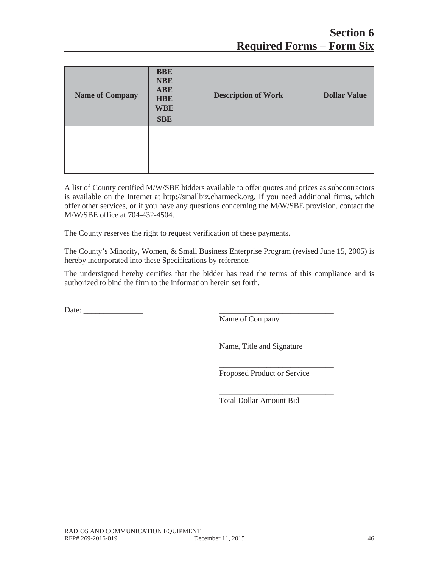| <b>Name of Company</b> | <b>BBE</b><br><b>NBE</b><br><b>ABE</b><br><b>HBE</b><br><b>WBE</b><br><b>SBE</b> | <b>Description of Work</b> | <b>Dollar Value</b> |
|------------------------|----------------------------------------------------------------------------------|----------------------------|---------------------|
|                        |                                                                                  |                            |                     |
|                        |                                                                                  |                            |                     |
|                        |                                                                                  |                            |                     |

A list of County certified M/W/SBE bidders available to offer quotes and prices as subcontractors is available on the Internet at http://smallbiz.charmeck.org. If you need additional firms, which offer other services, or if you have any questions concerning the M/W/SBE provision, contact the M/W/SBE office at 704-432-4504.

The County reserves the right to request verification of these payments.

The County's Minority, Women, & Small Business Enterprise Program (revised June 15, 2005) is hereby incorporated into these Specifications by reference.

The undersigned hereby certifies that the bidder has read the terms of this compliance and is authorized to bind the firm to the information herein set forth.

Date:

Name of Company

Name, Title and Signature

\_\_\_\_\_\_\_\_\_\_\_\_\_\_\_\_\_\_\_\_\_\_\_\_\_\_\_\_\_

\_\_\_\_\_\_\_\_\_\_\_\_\_\_\_\_\_\_\_\_\_\_\_\_\_\_\_\_\_

\_\_\_\_\_\_\_\_\_\_\_\_\_\_\_\_\_\_\_\_\_\_\_\_\_\_\_\_\_

Proposed Product or Service

Total Dollar Amount Bid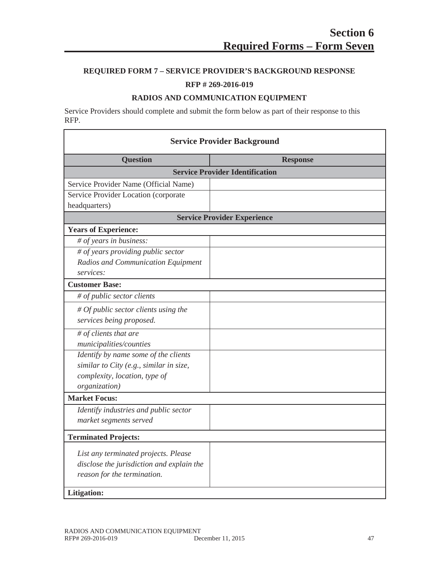# **REQUIRED FORM 7 – SERVICE PROVIDER'S BACKGROUND RESPONSE**

# **RFP # 269-2016-019**

# **RADIOS AND COMMUNICATION EQUIPMENT**

Service Providers should complete and submit the form below as part of their response to this RFP.

| <b>Service Provider Background</b>        |                                    |
|-------------------------------------------|------------------------------------|
| <b>Question</b>                           | <b>Response</b>                    |
| <b>Service Provider Identification</b>    |                                    |
| Service Provider Name (Official Name)     |                                    |
| Service Provider Location (corporate      |                                    |
| headquarters)                             |                                    |
|                                           | <b>Service Provider Experience</b> |
| <b>Years of Experience:</b>               |                                    |
| # of years in business:                   |                                    |
| # of years providing public sector        |                                    |
| Radios and Communication Equipment        |                                    |
| services:                                 |                                    |
| <b>Customer Base:</b>                     |                                    |
| # of public sector clients                |                                    |
| $#$ Of public sector clients using the    |                                    |
| services being proposed.                  |                                    |
| $#$ of clients that are                   |                                    |
| municipalities/counties                   |                                    |
| Identify by name some of the clients      |                                    |
| similar to City (e.g., similar in size,   |                                    |
| complexity, location, type of             |                                    |
| organization)                             |                                    |
| <b>Market Focus:</b>                      |                                    |
| Identify industries and public sector     |                                    |
| market segments served                    |                                    |
| <b>Terminated Projects:</b>               |                                    |
| List any terminated projects. Please      |                                    |
| disclose the jurisdiction and explain the |                                    |
| reason for the termination.               |                                    |
| Litigation:                               |                                    |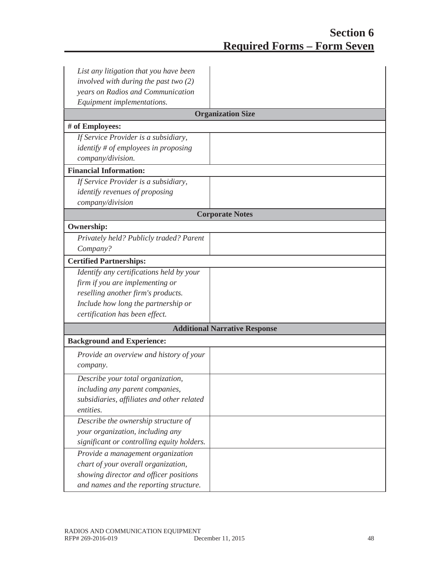| List any litigation that you have been     |                                      |
|--------------------------------------------|--------------------------------------|
| involved with during the past two $(2)$    |                                      |
| years on Radios and Communication          |                                      |
| Equipment implementations.                 |                                      |
|                                            | <b>Organization Size</b>             |
| # of Employees:                            |                                      |
| If Service Provider is a subsidiary,       |                                      |
| identify $#$ of employees in proposing     |                                      |
| company/division.                          |                                      |
| <b>Financial Information:</b>              |                                      |
| If Service Provider is a subsidiary,       |                                      |
| <i>identify revenues of proposing</i>      |                                      |
| company/division                           |                                      |
|                                            | <b>Corporate Notes</b>               |
| <b>Ownership:</b>                          |                                      |
| Privately held? Publicly traded? Parent    |                                      |
| Company?                                   |                                      |
| <b>Certified Partnerships:</b>             |                                      |
| Identify any certifications held by your   |                                      |
| firm if you are implementing or            |                                      |
| reselling another firm's products.         |                                      |
| Include how long the partnership or        |                                      |
| certification has been effect.             |                                      |
|                                            | <b>Additional Narrative Response</b> |
| <b>Background and Experience:</b>          |                                      |
| Provide an overview and history of your    |                                      |
| company.                                   |                                      |
| Describe your total organization,          |                                      |
| including any parent companies,            |                                      |
| subsidiaries, affiliates and other related |                                      |
| entities.                                  |                                      |
| Describe the ownership structure of        |                                      |
| your organization, including any           |                                      |
| significant or controlling equity holders. |                                      |
| Provide a management organization          |                                      |
| chart of your overall organization,        |                                      |
| showing director and officer positions     |                                      |
| and names and the reporting structure.     |                                      |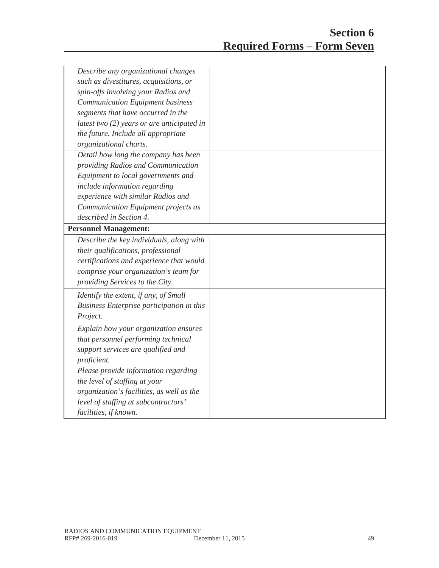| Describe any organizational changes<br>such as divestitures, acquisitions, or<br>spin-offs involving your Radios and<br><b>Communication Equipment business</b> |  |
|-----------------------------------------------------------------------------------------------------------------------------------------------------------------|--|
| segments that have occurred in the                                                                                                                              |  |
| latest two $(2)$ years or are anticipated in                                                                                                                    |  |
| the future. Include all appropriate                                                                                                                             |  |
| organizational charts.                                                                                                                                          |  |
| Detail how long the company has been                                                                                                                            |  |
| providing Radios and Communication                                                                                                                              |  |
| Equipment to local governments and                                                                                                                              |  |
| include information regarding                                                                                                                                   |  |
| experience with similar Radios and                                                                                                                              |  |
| Communication Equipment projects as                                                                                                                             |  |
| described in Section 4.                                                                                                                                         |  |
| <b>Personnel Management:</b>                                                                                                                                    |  |
| Describe the key individuals, along with                                                                                                                        |  |
| their qualifications, professional                                                                                                                              |  |
| certifications and experience that would                                                                                                                        |  |
| comprise your organization's team for                                                                                                                           |  |
| providing Services to the City.                                                                                                                                 |  |
| Identify the extent, if any, of Small                                                                                                                           |  |
| Business Enterprise participation in this                                                                                                                       |  |
| Project.                                                                                                                                                        |  |
| Explain how your organization ensures                                                                                                                           |  |
| that personnel performing technical                                                                                                                             |  |
| support services are qualified and                                                                                                                              |  |
| proficient.                                                                                                                                                     |  |
| Please provide information regarding                                                                                                                            |  |
| the level of staffing at your                                                                                                                                   |  |
| organization's facilities, as well as the                                                                                                                       |  |
| level of staffing at subcontractors'                                                                                                                            |  |
| facilities, if known.                                                                                                                                           |  |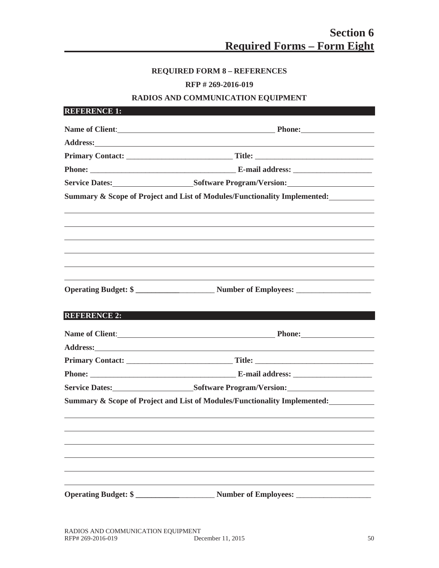# **REQUIRED FORM 8 – REFERENCES**

# **RFP # 269-2016-019**

# **RADIOS AND COMMUNICATION EQUIPMENT**

|                     | Name of Client: Phone: Phone:                                                                                                                                                                                                        |
|---------------------|--------------------------------------------------------------------------------------------------------------------------------------------------------------------------------------------------------------------------------------|
|                     | Address: <u>Contract of the Contract of the Contract of the Contract of the Contract of the Contract of the Contract of the Contract of the Contract of the Contract of the Contract of the Contract of the Contract of the Cont</u> |
|                     |                                                                                                                                                                                                                                      |
|                     |                                                                                                                                                                                                                                      |
|                     | Service Dates: Software Program/Version: Software Program/Version:                                                                                                                                                                   |
|                     | Summary & Scope of Project and List of Modules/Functionality Implemented:                                                                                                                                                            |
|                     |                                                                                                                                                                                                                                      |
|                     |                                                                                                                                                                                                                                      |
|                     |                                                                                                                                                                                                                                      |
|                     |                                                                                                                                                                                                                                      |
|                     | <b>Operating Budget: \$</b>                                                                                                                                                                                                          |
| <b>REFERENCE 2:</b> |                                                                                                                                                                                                                                      |
|                     |                                                                                                                                                                                                                                      |
|                     | Name of Client: Phone: Phone:                                                                                                                                                                                                        |
|                     |                                                                                                                                                                                                                                      |
|                     |                                                                                                                                                                                                                                      |
|                     | Service Dates: Software Program/Version: Software Program/Version:                                                                                                                                                                   |
|                     | Summary & Scope of Project and List of Modules/Functionality Implemented:                                                                                                                                                            |
|                     |                                                                                                                                                                                                                                      |
|                     |                                                                                                                                                                                                                                      |
|                     |                                                                                                                                                                                                                                      |
|                     |                                                                                                                                                                                                                                      |
|                     |                                                                                                                                                                                                                                      |
|                     |                                                                                                                                                                                                                                      |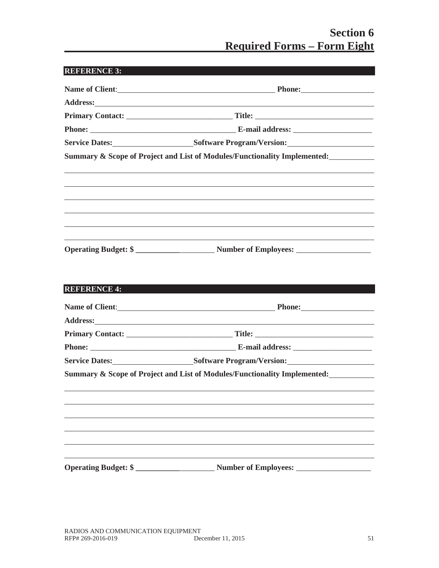# **Section 6 Required Forms – Form Eight**

| REFERENCE 3:                |                                                                                                                      |
|-----------------------------|----------------------------------------------------------------------------------------------------------------------|
|                             | Name of Client: Phone: Phone:                                                                                        |
|                             |                                                                                                                      |
|                             |                                                                                                                      |
|                             |                                                                                                                      |
|                             | Service Dates: Software Program/Version:                                                                             |
|                             | Summary & Scope of Project and List of Modules/Functionality Implemented:                                            |
|                             |                                                                                                                      |
|                             |                                                                                                                      |
|                             |                                                                                                                      |
|                             |                                                                                                                      |
|                             |                                                                                                                      |
|                             | <u> 1989 - Johann Stein, marwolaethau a bhann an t-Amhair ann an t-Amhair an t-Amhair an t-Amhair an t-Amhair an</u> |
|                             |                                                                                                                      |
| <b>REFERENCE 4:</b>         |                                                                                                                      |
|                             | Name of Client: Phone: Phone:                                                                                        |
|                             |                                                                                                                      |
|                             |                                                                                                                      |
|                             |                                                                                                                      |
|                             | Service Dates: Software Program/Version: Software Program/Version:                                                   |
|                             | Summary & Scope of Project and List of Modules/Functionality Implemented:                                            |
|                             |                                                                                                                      |
|                             |                                                                                                                      |
|                             |                                                                                                                      |
|                             |                                                                                                                      |
|                             |                                                                                                                      |
|                             |                                                                                                                      |
| <b>Operating Budget: \$</b> | <b>Number of Employees:</b>                                                                                          |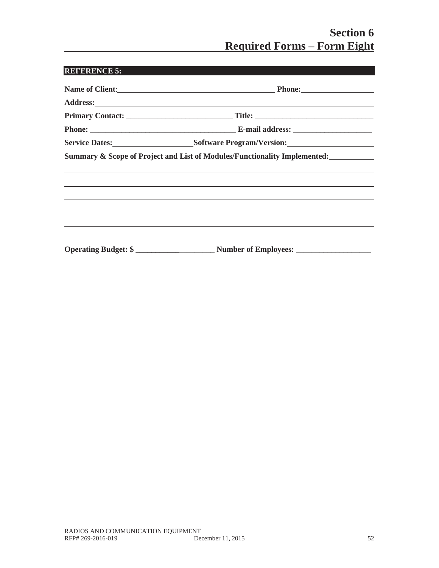# **Section 6 Required Forms – Form Eight**

| Name of Client: Phone: Phone:                                                    |
|----------------------------------------------------------------------------------|
|                                                                                  |
|                                                                                  |
|                                                                                  |
| Service Dates: Software Program/Version: Software Program/Version:               |
| Summary & Scope of Project and List of Modules/Functionality Implemented:        |
|                                                                                  |
| ,我们也不会有什么。""我们的人,我们也不会有什么?""我们的人,我们也不会有什么?""我们的人,我们也不会有什么?""我们的人,我们也不会有什么?""我们的人 |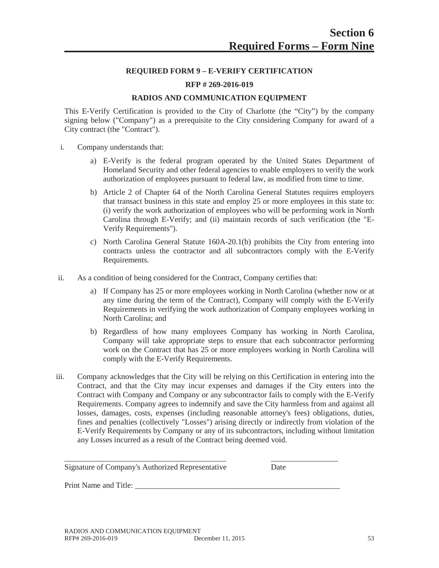## **REQUIRED FORM 9 – E-VERIFY CERTIFICATION**

#### **RFP # 269-2016-019**

#### **RADIOS AND COMMUNICATION EQUIPMENT**

This E-Verify Certification is provided to the City of Charlotte (the "City") by the company signing below ("Company") as a prerequisite to the City considering Company for award of a City contract (the "Contract").

- i. Company understands that:
	- a) E-Verify is the federal program operated by the United States Department of Homeland Security and other federal agencies to enable employers to verify the work authorization of employees pursuant to federal law, as modified from time to time.
	- b) Article 2 of Chapter 64 of the North Carolina General Statutes requires employers that transact business in this state and employ 25 or more employees in this state to: (i) verify the work authorization of employees who will be performing work in North Carolina through E-Verify; and (ii) maintain records of such verification (the "E-Verify Requirements").
	- c) North Carolina General Statute 160A-20.1(b) prohibits the City from entering into contracts unless the contractor and all subcontractors comply with the E-Verify Requirements.
- ii. As a condition of being considered for the Contract, Company certifies that:
	- a) If Company has 25 or more employees working in North Carolina (whether now or at any time during the term of the Contract), Company will comply with the E-Verify Requirements in verifying the work authorization of Company employees working in North Carolina; and
	- b) Regardless of how many employees Company has working in North Carolina, Company will take appropriate steps to ensure that each subcontractor performing work on the Contract that has 25 or more employees working in North Carolina will comply with the E-Verify Requirements.
- iii. Company acknowledges that the City will be relying on this Certification in entering into the Contract, and that the City may incur expenses and damages if the City enters into the Contract with Company and Company or any subcontractor fails to comply with the E-Verify Requirements. Company agrees to indemnify and save the City harmless from and against all losses, damages, costs, expenses (including reasonable attorney's fees) obligations, duties, fines and penalties (collectively "Losses") arising directly or indirectly from violation of the E-Verify Requirements by Company or any of its subcontractors, including without limitation any Losses incurred as a result of the Contract being deemed void.

| Signature of Company's Authorized Representative | Date |
|--------------------------------------------------|------|

Print Name and Title: \_\_\_\_\_\_\_\_\_\_\_\_\_\_\_\_\_\_\_\_\_\_\_\_\_\_\_\_\_\_\_\_\_\_\_\_\_\_\_\_\_\_\_\_\_\_\_\_\_\_\_\_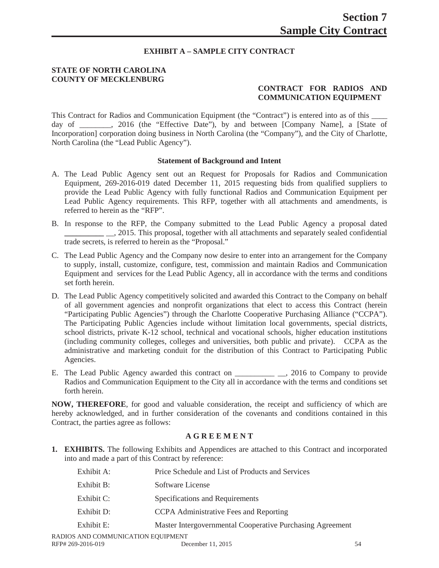# **EXHIBIT A – SAMPLE CITY CONTRACT**

## **STATE OF NORTH CAROLINA COUNTY OF MECKLENBURG**

# **CONTRACT FOR RADIOS AND COMMUNICATION EQUIPMENT**

This Contract for Radios and Communication Equipment (the "Contract") is entered into as of this \_\_\_\_ day of \_\_\_\_\_\_\_, 2016 (the "Effective Date"), by and between [Company Name], a [State of Incorporation] corporation doing business in North Carolina (the "Company"), and the City of Charlotte, North Carolina (the "Lead Public Agency").

#### **Statement of Background and Intent**

- A. The Lead Public Agency sent out an Request for Proposals for Radios and Communication Equipment, 269-2016-019 dated December 11, 2015 requesting bids from qualified suppliers to provide the Lead Public Agency with fully functional Radios and Communication Equipment per Lead Public Agency requirements. This RFP, together with all attachments and amendments, is referred to herein as the "RFP".
- B. In response to the RFP, the Company submitted to the Lead Public Agency a proposal dated  $\_\_$ , 2015. This proposal, together with all attachments and separately sealed confidential trade secrets, is referred to herein as the "Proposal."
- C. The Lead Public Agency and the Company now desire to enter into an arrangement for the Company to supply, install, customize, configure, test, commission and maintain Radios and Communication Equipment and services for the Lead Public Agency, all in accordance with the terms and conditions set forth herein.
- D. The Lead Public Agency competitively solicited and awarded this Contract to the Company on behalf of all government agencies and nonprofit organizations that elect to access this Contract (herein "Participating Public Agencies") through the Charlotte Cooperative Purchasing Alliance ("CCPA"). The Participating Public Agencies include without limitation local governments, special districts, school districts, private K-12 school, technical and vocational schools, higher education institutions (including community colleges, colleges and universities, both public and private). CCPA as the administrative and marketing conduit for the distribution of this Contract to Participating Public Agencies.
- E. The Lead Public Agency awarded this contract on \_\_\_\_\_\_\_\_\_\_\_\_\_\_\_\_\_\_\_, 2016 to Company to provide Radios and Communication Equipment to the City all in accordance with the terms and conditions set forth herein.

**NOW, THEREFORE**, for good and valuable consideration, the receipt and sufficiency of which are hereby acknowledged, and in further consideration of the covenants and conditions contained in this Contract, the parties agree as follows:

## **A G R E E M E N T**

**1. EXHIBITS.** The following Exhibits and Appendices are attached to this Contract and incorporated into and made a part of this Contract by reference:

| Exhibit A: | Price Schedule and List of Products and Services          |
|------------|-----------------------------------------------------------|
| Exhibit B: | Software License                                          |
| Exhibit C: | Specifications and Requirements                           |
| Exhibit D: | CCPA Administrative Fees and Reporting                    |
| Exhibit E: | Master Intergovernmental Cooperative Purchasing Agreement |
|            |                                                           |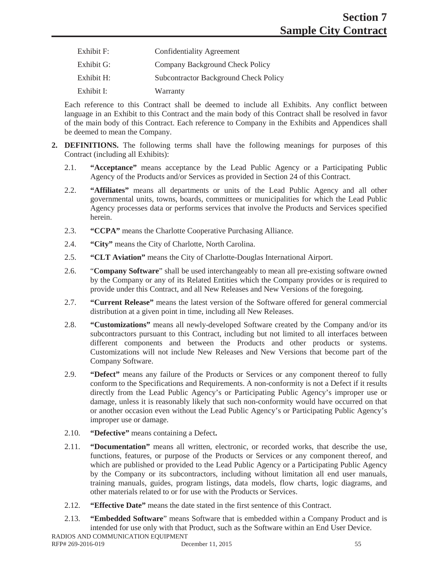| Exhibit F: | <b>Confidentiality Agreement</b>             |
|------------|----------------------------------------------|
| Exhibit G: | Company Background Check Policy              |
| Exhibit H: | <b>Subcontractor Background Check Policy</b> |
| Exhibit I: | Warranty                                     |

Each reference to this Contract shall be deemed to include all Exhibits. Any conflict between language in an Exhibit to this Contract and the main body of this Contract shall be resolved in favor of the main body of this Contract. Each reference to Company in the Exhibits and Appendices shall be deemed to mean the Company.

- **2. DEFINITIONS.** The following terms shall have the following meanings for purposes of this Contract (including all Exhibits):
	- 2.1. **"Acceptance"** means acceptance by the Lead Public Agency or a Participating Public Agency of the Products and/or Services as provided in Section 24 of this Contract.
	- 2.2. **"Affiliates"** means all departments or units of the Lead Public Agency and all other governmental units, towns, boards, committees or municipalities for which the Lead Public Agency processes data or performs services that involve the Products and Services specified herein.
	- 2.3. **"CCPA"** means the Charlotte Cooperative Purchasing Alliance.
	- 2.4. **"City"** means the City of Charlotte, North Carolina.
	- 2.5. **"CLT Aviation"** means the City of Charlotte-Douglas International Airport.
	- 2.6. "**Company Software**" shall be used interchangeably to mean all pre-existing software owned by the Company or any of its Related Entities which the Company provides or is required to provide under this Contract, and all New Releases and New Versions of the foregoing.
	- 2.7. **"Current Release"** means the latest version of the Software offered for general commercial distribution at a given point in time, including all New Releases.
	- 2.8. **"Customizations"** means all newly-developed Software created by the Company and/or its subcontractors pursuant to this Contract, including but not limited to all interfaces between different components and between the Products and other products or systems. Customizations will not include New Releases and New Versions that become part of the Company Software.
	- 2.9. **"Defect"** means any failure of the Products or Services or any component thereof to fully conform to the Specifications and Requirements. A non-conformity is not a Defect if it results directly from the Lead Public Agency's or Participating Public Agency's improper use or damage, unless it is reasonably likely that such non-conformity would have occurred on that or another occasion even without the Lead Public Agency's or Participating Public Agency's improper use or damage.
	- 2.10. **"Defective"** means containing a Defect**.**
	- 2.11. **"Documentation"** means all written, electronic, or recorded works, that describe the use, functions, features, or purpose of the Products or Services or any component thereof, and which are published or provided to the Lead Public Agency or a Participating Public Agency by the Company or its subcontractors, including without limitation all end user manuals, training manuals, guides, program listings, data models, flow charts, logic diagrams, and other materials related to or for use with the Products or Services.
	- 2.12. **"Effective Date"** means the date stated in the first sentence of this Contract.
	- 2.13. **"Embedded Software**" means Software that is embedded within a Company Product and is intended for use only with that Product, such as the Software within an End User Device.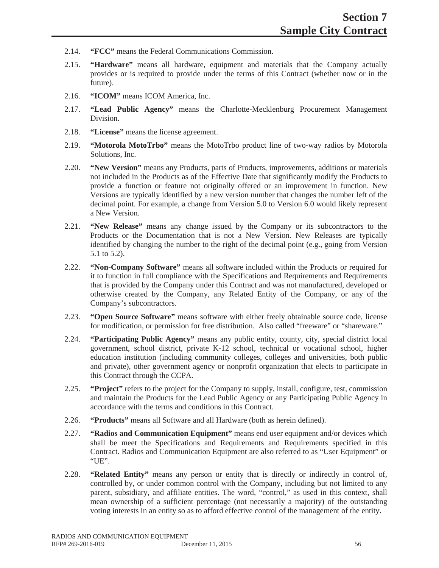- 2.14. **"FCC"** means the Federal Communications Commission.
- 2.15. **"Hardware"** means all hardware, equipment and materials that the Company actually provides or is required to provide under the terms of this Contract (whether now or in the future).
- 2.16. **"ICOM"** means ICOM America, Inc.
- 2.17. **"Lead Public Agency"** means the Charlotte-Mecklenburg Procurement Management Division.
- 2.18. **"License"** means the license agreement.
- 2.19. **"Motorola MotoTrbo"** means the MotoTrbo product line of two-way radios by Motorola Solutions, Inc.
- 2.20. **"New Version"** means any Products, parts of Products, improvements, additions or materials not included in the Products as of the Effective Date that significantly modify the Products to provide a function or feature not originally offered or an improvement in function. New Versions are typically identified by a new version number that changes the number left of the decimal point. For example, a change from Version 5.0 to Version 6.0 would likely represent a New Version.
- 2.21. **"New Release"** means any change issued by the Company or its subcontractors to the Products or the Documentation that is not a New Version. New Releases are typically identified by changing the number to the right of the decimal point (e.g., going from Version 5.1 to 5.2).
- 2.22. **"Non-Company Software"** means all software included within the Products or required for it to function in full compliance with the Specifications and Requirements and Requirements that is provided by the Company under this Contract and was not manufactured, developed or otherwise created by the Company, any Related Entity of the Company, or any of the Company's subcontractors.
- 2.23. **"Open Source Software"** means software with either freely obtainable source code, license for modification, or permission for free distribution. Also called "freeware" or "shareware."
- 2.24. **"Participating Public Agency"** means any public entity, county, city, special district local government, school district, private K-12 school, technical or vocational school, higher education institution (including community colleges, colleges and universities, both public and private), other government agency or nonprofit organization that elects to participate in this Contract through the CCPA.
- 2.25. **"Project"** refers to the project for the Company to supply, install, configure, test, commission and maintain the Products for the Lead Public Agency or any Participating Public Agency in accordance with the terms and conditions in this Contract.
- 2.26. **"Products"** means all Software and all Hardware (both as herein defined).
- 2.27. **"Radios and Communication Equipment"** means end user equipment and/or devices which shall be meet the Specifications and Requirements and Requirements specified in this Contract. Radios and Communication Equipment are also referred to as "User Equipment" or "UE".
- 2.28. **"Related Entity"** means any person or entity that is directly or indirectly in control of, controlled by, or under common control with the Company, including but not limited to any parent, subsidiary, and affiliate entities. The word, "control," as used in this context, shall mean ownership of a sufficient percentage (not necessarily a majority) of the outstanding voting interests in an entity so as to afford effective control of the management of the entity.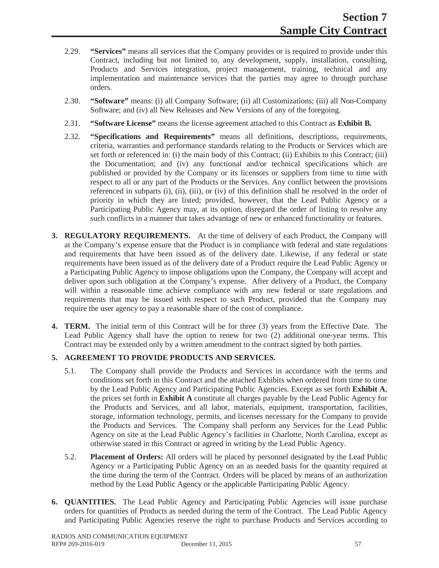- 2.29. **"Services"** means all services that the Company provides or is required to provide under this Contract, including but not limited to, any development, supply, installation, consulting, Products and Services integration, project management, training, technical and any implementation and maintenance services that the parties may agree to through purchase orders.
- 2.30. **"Software"** means: (i) all Company Software; (ii) all Customizations; (iii) all Non-Company Software; and (iv) all New Releases and New Versions of any of the foregoing.
- 2.31. **"Software License"** means the license agreement attached to this Contract as **Exhibit B.**
- 2.32. **"Specifications and Requirements"** means all definitions, descriptions, requirements, criteria, warranties and performance standards relating to the Products or Services which are set forth or referenced in: (i) the main body of this Contract; (ii) Exhibits to this Contract; (iii) the Documentation; and (iv) any functional and/or technical specifications which are published or provided by the Company or its licensors or suppliers from time to time with respect to all or any part of the Products or the Services. Any conflict between the provisions referenced in subparts (i), (ii), (iii), or (iv) of this definition shall be resolved in the order of priority in which they are listed; provided, however, that the Lead Public Agency or a Participating Public Agency may, at its option, disregard the order of listing to resolve any such conflicts in a manner that takes advantage of new or enhanced functionality or features.
- **3. REGULATORY REQUIREMENTS.** At the time of delivery of each Product, the Company will at the Company's expense ensure that the Product is in compliance with federal and state regulations and requirements that have been issued as of the delivery date. Likewise, if any federal or state requirements have been issued as of the delivery date of a Product require the Lead Public Agency or a Participating Public Agency to impose obligations upon the Company, the Company will accept and deliver upon such obligation at the Company's expense. After delivery of a Product, the Company will within a reasonable time achieve compliance with any new federal or state regulations and requirements that may be issued with respect to such Product, provided that the Company may require the user agency to pay a reasonable share of the cost of compliance.
- **4. TERM.** The initial term of this Contract will be for three (3) years from the Effective Date. The Lead Public Agency shall have the option to renew for two (2) additional one-year terms. This Contract may be extended only by a written amendment to the contract signed by both parties.

# **5. AGREEMENT TO PROVIDE PRODUCTS AND SERVICES.**

- 5.1. The Company shall provide the Products and Services in accordance with the terms and conditions set forth in this Contract and the attached Exhibits when ordered from time to time by the Lead Public Agency and Participating Public Agencies. Except as set forth **Exhibit A**, the prices set forth in **Exhibit A** constitute all charges payable by the Lead Public Agency for the Products and Services, and all labor, materials, equipment, transportation, facilities, storage, information technology, permits, and licenses necessary for the Company to provide the Products and Services. The Company shall perform any Services for the Lead Public Agency on site at the Lead Public Agency's facilities in Charlotte, North Carolina, except as otherwise stated in this Contract or agreed in writing by the Lead Public Agency.
- 5.2. **Placement of Orders:** All orders will be placed by personnel designated by the Lead Public Agency or a Participating Public Agency on an as needed basis for the quantity required at the time during the term of the Contract. Orders will be placed by means of an authorization method by the Lead Public Agency or the applicable Participating Public Agency.
- **6. QUANTITIES.** The Lead Public Agency and Participating Public Agencies will issue purchase orders for quantities of Products as needed during the term of the Contract. The Lead Public Agency and Participating Public Agencies reserve the right to purchase Products and Services according to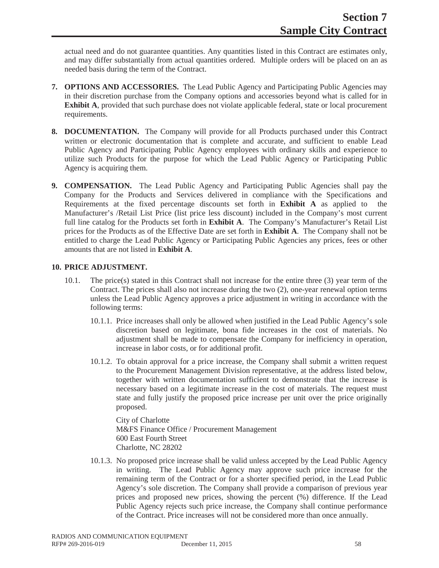actual need and do not guarantee quantities. Any quantities listed in this Contract are estimates only, and may differ substantially from actual quantities ordered. Multiple orders will be placed on an as needed basis during the term of the Contract.

- **7. OPTIONS AND ACCESSORIES.** The Lead Public Agency and Participating Public Agencies may in their discretion purchase from the Company options and accessories beyond what is called for in **Exhibit A**, provided that such purchase does not violate applicable federal, state or local procurement requirements.
- **8. DOCUMENTATION.** The Company will provide for all Products purchased under this Contract written or electronic documentation that is complete and accurate, and sufficient to enable Lead Public Agency and Participating Public Agency employees with ordinary skills and experience to utilize such Products for the purpose for which the Lead Public Agency or Participating Public Agency is acquiring them.
- **9. COMPENSATION.** The Lead Public Agency and Participating Public Agencies shall pay the Company for the Products and Services delivered in compliance with the Specifications and Requirements at the fixed percentage discounts set forth in **Exhibit A** as applied to the Manufacturer's /Retail List Price (list price less discount) included in the Company's most current full line catalog for the Products set forth in **Exhibit A**. The Company's Manufacturer's Retail List prices for the Products as of the Effective Date are set forth in **Exhibit A**. The Company shall not be entitled to charge the Lead Public Agency or Participating Public Agencies any prices, fees or other amounts that are not listed in **Exhibit A**.

### **10. PRICE ADJUSTMENT.**

- 10.1. The price(s) stated in this Contract shall not increase for the entire three (3) year term of the Contract. The prices shall also not increase during the two (2), one-year renewal option terms unless the Lead Public Agency approves a price adjustment in writing in accordance with the following terms:
	- 10.1.1. Price increases shall only be allowed when justified in the Lead Public Agency's sole discretion based on legitimate, bona fide increases in the cost of materials. No adjustment shall be made to compensate the Company for inefficiency in operation, increase in labor costs, or for additional profit.
	- 10.1.2. To obtain approval for a price increase, the Company shall submit a written request to the Procurement Management Division representative, at the address listed below, together with written documentation sufficient to demonstrate that the increase is necessary based on a legitimate increase in the cost of materials. The request must state and fully justify the proposed price increase per unit over the price originally proposed.

City of Charlotte M&FS Finance Office / Procurement Management 600 East Fourth Street Charlotte, NC 28202

10.1.3. No proposed price increase shall be valid unless accepted by the Lead Public Agency in writing. The Lead Public Agency may approve such price increase for the remaining term of the Contract or for a shorter specified period, in the Lead Public Agency's sole discretion. The Company shall provide a comparison of previous year prices and proposed new prices, showing the percent (%) difference. If the Lead Public Agency rejects such price increase, the Company shall continue performance of the Contract. Price increases will not be considered more than once annually.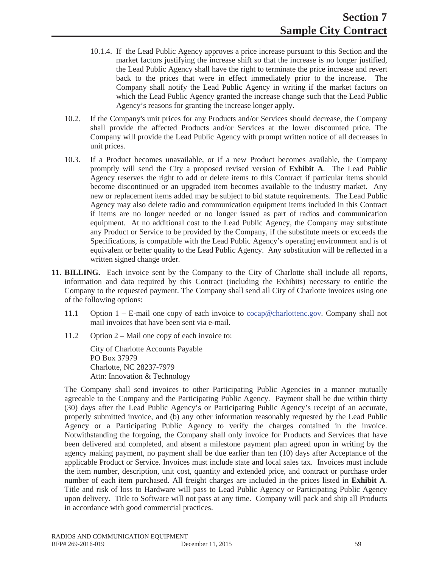- 10.1.4. If the Lead Public Agency approves a price increase pursuant to this Section and the market factors justifying the increase shift so that the increase is no longer justified. the Lead Public Agency shall have the right to terminate the price increase and revert back to the prices that were in effect immediately prior to the increase. The Company shall notify the Lead Public Agency in writing if the market factors on which the Lead Public Agency granted the increase change such that the Lead Public Agency's reasons for granting the increase longer apply.
- 10.2. If the Company's unit prices for any Products and/or Services should decrease, the Company shall provide the affected Products and/or Services at the lower discounted price. The Company will provide the Lead Public Agency with prompt written notice of all decreases in unit prices.
- 10.3. If a Product becomes unavailable, or if a new Product becomes available, the Company promptly will send the City a proposed revised version of **Exhibit A**. The Lead Public Agency reserves the right to add or delete items to this Contract if particular items should become discontinued or an upgraded item becomes available to the industry market. Any new or replacement items added may be subject to bid statute requirements. The Lead Public Agency may also delete radio and communication equipment items included in this Contract if items are no longer needed or no longer issued as part of radios and communication equipment. At no additional cost to the Lead Public Agency, the Company may substitute any Product or Service to be provided by the Company, if the substitute meets or exceeds the Specifications, is compatible with the Lead Public Agency's operating environment and is of equivalent or better quality to the Lead Public Agency. Any substitution will be reflected in a written signed change order.
- **11. BILLING.** Each invoice sent by the Company to the City of Charlotte shall include all reports, information and data required by this Contract (including the Exhibits) necessary to entitle the Company to the requested payment. The Company shall send all City of Charlotte invoices using one of the following options:
	- 11.1 Option 1 E-mail one copy of each invoice to cocap@charlottenc.gov. Company shall not mail invoices that have been sent via e-mail.
	- 11.2 Option 2 Mail one copy of each invoice to:

City of Charlotte Accounts Payable PO Box 37979 Charlotte, NC 28237-7979 Attn: Innovation & Technology

The Company shall send invoices to other Participating Public Agencies in a manner mutually agreeable to the Company and the Participating Public Agency. Payment shall be due within thirty (30) days after the Lead Public Agency's or Participating Public Agency's receipt of an accurate, properly submitted invoice, and (b) any other information reasonably requested by the Lead Public Agency or a Participating Public Agency to verify the charges contained in the invoice. Notwithstanding the forgoing, the Company shall only invoice for Products and Services that have been delivered and completed, and absent a milestone payment plan agreed upon in writing by the agency making payment, no payment shall be due earlier than ten (10) days after Acceptance of the applicable Product or Service. Invoices must include state and local sales tax. Invoices must include the item number, description, unit cost, quantity and extended price, and contract or purchase order number of each item purchased. All freight charges are included in the prices listed in **Exhibit A**. Title and risk of loss to Hardware will pass to Lead Public Agency or Participating Public Agency upon delivery. Title to Software will not pass at any time. Company will pack and ship all Products in accordance with good commercial practices.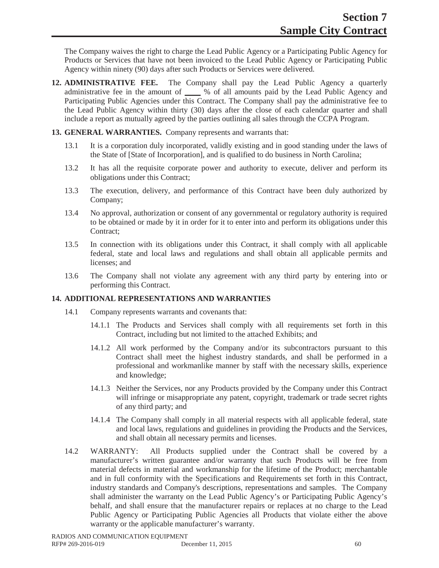The Company waives the right to charge the Lead Public Agency or a Participating Public Agency for Products or Services that have not been invoiced to the Lead Public Agency or Participating Public Agency within ninety (90) days after such Products or Services were delivered.

- **12. ADMINISTRATIVE FEE.** The Company shall pay the Lead Public Agency a quarterly administrative fee in the amount of **\_\_\_\_** % of all amounts paid by the Lead Public Agency and Participating Public Agencies under this Contract. The Company shall pay the administrative fee to the Lead Public Agency within thirty (30) days after the close of each calendar quarter and shall include a report as mutually agreed by the parties outlining all sales through the CCPA Program.
- **13. GENERAL WARRANTIES.** Company represents and warrants that:
	- 13.1 It is a corporation duly incorporated, validly existing and in good standing under the laws of the State of [State of Incorporation], and is qualified to do business in North Carolina;
	- 13.2 It has all the requisite corporate power and authority to execute, deliver and perform its obligations under this Contract;
	- 13.3 The execution, delivery, and performance of this Contract have been duly authorized by Company;
	- 13.4 No approval, authorization or consent of any governmental or regulatory authority is required to be obtained or made by it in order for it to enter into and perform its obligations under this Contract;
	- 13.5 In connection with its obligations under this Contract, it shall comply with all applicable federal, state and local laws and regulations and shall obtain all applicable permits and licenses; and
	- 13.6 The Company shall not violate any agreement with any third party by entering into or performing this Contract.

# **14. ADDITIONAL REPRESENTATIONS AND WARRANTIES**

- 14.1 Company represents warrants and covenants that:
	- 14.1.1 The Products and Services shall comply with all requirements set forth in this Contract, including but not limited to the attached Exhibits; and
	- 14.1.2 All work performed by the Company and/or its subcontractors pursuant to this Contract shall meet the highest industry standards, and shall be performed in a professional and workmanlike manner by staff with the necessary skills, experience and knowledge;
	- 14.1.3 Neither the Services, nor any Products provided by the Company under this Contract will infringe or misappropriate any patent, copyright, trademark or trade secret rights of any third party; and
	- 14.1.4 The Company shall comply in all material respects with all applicable federal, state and local laws, regulations and guidelines in providing the Products and the Services, and shall obtain all necessary permits and licenses.
- 14.2 WARRANTY: All Products supplied under the Contract shall be covered by a manufacturer's written guarantee and/or warranty that such Products will be free from material defects in material and workmanship for the lifetime of the Product; merchantable and in full conformity with the Specifications and Requirements set forth in this Contract, industry standards and Company's descriptions, representations and samples. The Company shall administer the warranty on the Lead Public Agency's or Participating Public Agency's behalf, and shall ensure that the manufacturer repairs or replaces at no charge to the Lead Public Agency or Participating Public Agencies all Products that violate either the above warranty or the applicable manufacturer's warranty.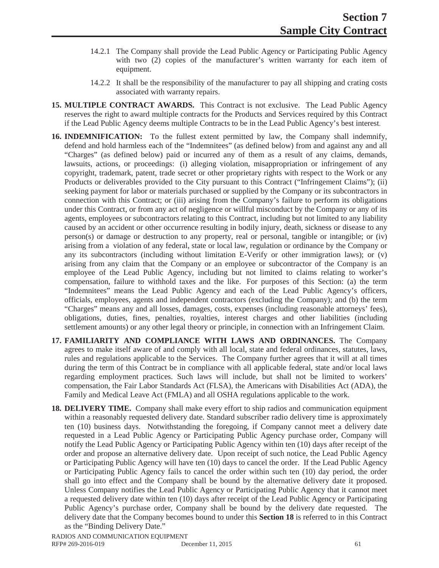- 14.2.1 The Company shall provide the Lead Public Agency or Participating Public Agency with two (2) copies of the manufacturer's written warranty for each item of equipment.
- 14.2.2 It shall be the responsibility of the manufacturer to pay all shipping and crating costs associated with warranty repairs.
- **15. MULTIPLE CONTRACT AWARDS.** This Contract is not exclusive. The Lead Public Agency reserves the right to award multiple contracts for the Products and Services required by this Contract if the Lead Public Agency deems multiple Contracts to be in the Lead Public Agency's best interest.
- **16. INDEMNIFICATION:** To the fullest extent permitted by law, the Company shall indemnify, defend and hold harmless each of the "Indemnitees" (as defined below) from and against any and all "Charges" (as defined below) paid or incurred any of them as a result of any claims, demands, lawsuits, actions, or proceedings: (i) alleging violation, misappropriation or infringement of any copyright, trademark, patent, trade secret or other proprietary rights with respect to the Work or any Products or deliverables provided to the City pursuant to this Contract ("Infringement Claims"); (ii) seeking payment for labor or materials purchased or supplied by the Company or its subcontractors in connection with this Contract; or (iii) arising from the Company's failure to perform its obligations under this Contract, or from any act of negligence or willful misconduct by the Company or any of its agents, employees or subcontractors relating to this Contract, including but not limited to any liability caused by an accident or other occurrence resulting in bodily injury, death, sickness or disease to any person(s) or damage or destruction to any property, real or personal, tangible or intangible; or (iv) arising from a violation of any federal, state or local law, regulation or ordinance by the Company or any its subcontractors (including without limitation E-Verify or other immigration laws); or (v) arising from any claim that the Company or an employee or subcontractor of the Company is an employee of the Lead Public Agency, including but not limited to claims relating to worker's compensation, failure to withhold taxes and the like. For purposes of this Section: (a) the term "Indemnitees" means the Lead Public Agency and each of the Lead Public Agency's officers, officials, employees, agents and independent contractors (excluding the Company); and (b) the term "Charges" means any and all losses, damages, costs, expenses (including reasonable attorneys' fees), obligations, duties, fines, penalties, royalties, interest charges and other liabilities (including settlement amounts) or any other legal theory or principle, in connection with an Infringement Claim.
- **17. FAMILIARITY AND COMPLIANCE WITH LAWS AND ORDINANCES.** The Company agrees to make itself aware of and comply with all local, state and federal ordinances, statutes, laws, rules and regulations applicable to the Services. The Company further agrees that it will at all times during the term of this Contract be in compliance with all applicable federal, state and/or local laws regarding employment practices. Such laws will include, but shall not be limited to workers' compensation, the Fair Labor Standards Act (FLSA), the Americans with Disabilities Act (ADA), the Family and Medical Leave Act (FMLA) and all OSHA regulations applicable to the work.
- **18. DELIVERY TIME.** Company shall make every effort to ship radios and communication equipment within a reasonably requested delivery date. Standard subscriber radio delivery time is approximately ten (10) business days. Notwithstanding the foregoing, if Company cannot meet a delivery date requested in a Lead Public Agency or Participating Public Agency purchase order, Company will notify the Lead Public Agency or Participating Public Agency within ten (10) days after receipt of the order and propose an alternative delivery date. Upon receipt of such notice, the Lead Public Agency or Participating Public Agency will have ten (10) days to cancel the order. If the Lead Public Agency or Participating Public Agency fails to cancel the order within such ten (10) day period, the order shall go into effect and the Company shall be bound by the alternative delivery date it proposed. Unless Company notifies the Lead Public Agency or Participating Public Agency that it cannot meet a requested delivery date within ten (10) days after receipt of the Lead Public Agency or Participating Public Agency's purchase order, Company shall be bound by the delivery date requested. The delivery date that the Company becomes bound to under this **Section 18** is referred to in this Contract as the "Binding Delivery Date."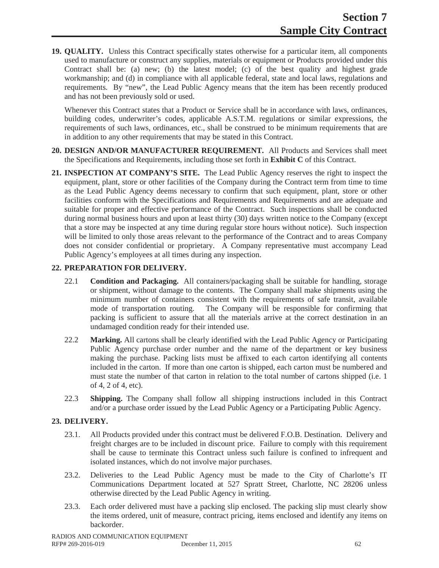**19. QUALITY.** Unless this Contract specifically states otherwise for a particular item, all components used to manufacture or construct any supplies, materials or equipment or Products provided under this Contract shall be: (a) new; (b) the latest model; (c) of the best quality and highest grade workmanship; and (d) in compliance with all applicable federal, state and local laws, regulations and requirements. By "new", the Lead Public Agency means that the item has been recently produced and has not been previously sold or used.

Whenever this Contract states that a Product or Service shall be in accordance with laws, ordinances, building codes, underwriter's codes, applicable A.S.T.M. regulations or similar expressions, the requirements of such laws, ordinances, etc., shall be construed to be minimum requirements that are in addition to any other requirements that may be stated in this Contract.

- **20. DESIGN AND/OR MANUFACTURER REQUIREMENT.** All Products and Services shall meet the Specifications and Requirements, including those set forth in **Exhibit C** of this Contract.
- **21. INSPECTION AT COMPANY'S SITE.** The Lead Public Agency reserves the right to inspect the equipment, plant, store or other facilities of the Company during the Contract term from time to time as the Lead Public Agency deems necessary to confirm that such equipment, plant, store or other facilities conform with the Specifications and Requirements and Requirements and are adequate and suitable for proper and effective performance of the Contract. Such inspections shall be conducted during normal business hours and upon at least thirty (30) days written notice to the Company (except that a store may be inspected at any time during regular store hours without notice). Such inspection will be limited to only those areas relevant to the performance of the Contract and to areas Company does not consider confidential or proprietary. A Company representative must accompany Lead Public Agency's employees at all times during any inspection.

# **22. PREPARATION FOR DELIVERY.**

- 22.1 **Condition and Packaging.** All containers/packaging shall be suitable for handling, storage or shipment, without damage to the contents. The Company shall make shipments using the minimum number of containers consistent with the requirements of safe transit, available mode of transportation routing. The Company will be responsible for confirming that packing is sufficient to assure that all the materials arrive at the correct destination in an undamaged condition ready for their intended use.
- 22.2 **Marking.** All cartons shall be clearly identified with the Lead Public Agency or Participating Public Agency purchase order number and the name of the department or key business making the purchase. Packing lists must be affixed to each carton identifying all contents included in the carton. If more than one carton is shipped, each carton must be numbered and must state the number of that carton in relation to the total number of cartons shipped (i.e. 1 of 4, 2 of 4, etc).
- 22.3 **Shipping.** The Company shall follow all shipping instructions included in this Contract and/or a purchase order issued by the Lead Public Agency or a Participating Public Agency.

# **23. DELIVERY.**

- 23.1. All Products provided under this contract must be delivered F.O.B. Destination. Delivery and freight charges are to be included in discount price. Failure to comply with this requirement shall be cause to terminate this Contract unless such failure is confined to infrequent and isolated instances, which do not involve major purchases.
- 23.2. Deliveries to the Lead Public Agency must be made to the City of Charlotte's IT Communications Department located at 527 Spratt Street, Charlotte, NC 28206 unless otherwise directed by the Lead Public Agency in writing.
- 23.3. Each order delivered must have a packing slip enclosed. The packing slip must clearly show the items ordered, unit of measure, contract pricing, items enclosed and identify any items on backorder.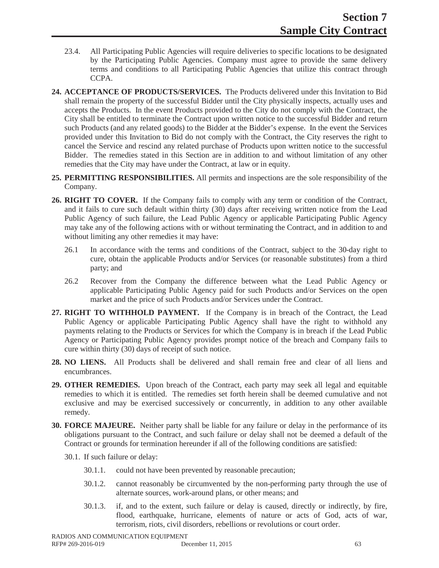- 23.4. All Participating Public Agencies will require deliveries to specific locations to be designated by the Participating Public Agencies. Company must agree to provide the same delivery terms and conditions to all Participating Public Agencies that utilize this contract through CCPA.
- **24. ACCEPTANCE OF PRODUCTS/SERVICES.** The Products delivered under this Invitation to Bid shall remain the property of the successful Bidder until the City physically inspects, actually uses and accepts the Products. In the event Products provided to the City do not comply with the Contract, the City shall be entitled to terminate the Contract upon written notice to the successful Bidder and return such Products (and any related goods) to the Bidder at the Bidder's expense. In the event the Services provided under this Invitation to Bid do not comply with the Contract, the City reserves the right to cancel the Service and rescind any related purchase of Products upon written notice to the successful Bidder. The remedies stated in this Section are in addition to and without limitation of any other remedies that the City may have under the Contract, at law or in equity.
- **25. PERMITTING RESPONSIBILITIES.** All permits and inspections are the sole responsibility of the Company.
- **26. RIGHT TO COVER.** If the Company fails to comply with any term or condition of the Contract, and it fails to cure such default within thirty (30) days after receiving written notice from the Lead Public Agency of such failure, the Lead Public Agency or applicable Participating Public Agency may take any of the following actions with or without terminating the Contract, and in addition to and without limiting any other remedies it may have:
	- 26.1 In accordance with the terms and conditions of the Contract, subject to the 30-day right to cure, obtain the applicable Products and/or Services (or reasonable substitutes) from a third party; and
	- 26.2 Recover from the Company the difference between what the Lead Public Agency or applicable Participating Public Agency paid for such Products and/or Services on the open market and the price of such Products and/or Services under the Contract.
- **27. RIGHT TO WITHHOLD PAYMENT.** If the Company is in breach of the Contract, the Lead Public Agency or applicable Participating Public Agency shall have the right to withhold any payments relating to the Products or Services for which the Company is in breach if the Lead Public Agency or Participating Public Agency provides prompt notice of the breach and Company fails to cure within thirty (30) days of receipt of such notice.
- **28. NO LIENS.** All Products shall be delivered and shall remain free and clear of all liens and encumbrances.
- **29. OTHER REMEDIES.** Upon breach of the Contract, each party may seek all legal and equitable remedies to which it is entitled. The remedies set forth herein shall be deemed cumulative and not exclusive and may be exercised successively or concurrently, in addition to any other available remedy.
- **30. FORCE MAJEURE.** Neither party shall be liable for any failure or delay in the performance of its obligations pursuant to the Contract, and such failure or delay shall not be deemed a default of the Contract or grounds for termination hereunder if all of the following conditions are satisfied:
	- 30.1. If such failure or delay:
		- 30.1.1. could not have been prevented by reasonable precaution;
		- 30.1.2. cannot reasonably be circumvented by the non-performing party through the use of alternate sources, work-around plans, or other means; and
		- 30.1.3. if, and to the extent, such failure or delay is caused, directly or indirectly, by fire, flood, earthquake, hurricane, elements of nature or acts of God, acts of war, terrorism, riots, civil disorders, rebellions or revolutions or court order.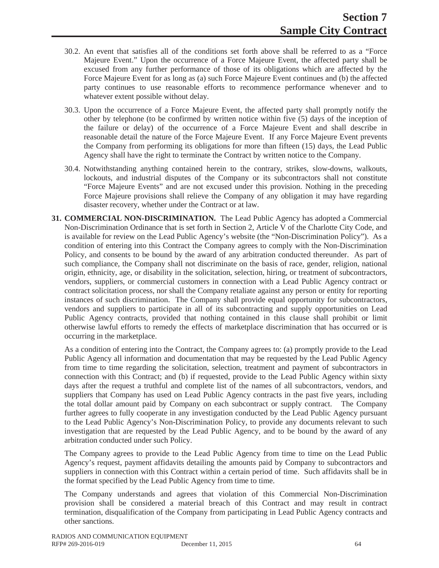- 30.2. An event that satisfies all of the conditions set forth above shall be referred to as a "Force Majeure Event." Upon the occurrence of a Force Majeure Event, the affected party shall be excused from any further performance of those of its obligations which are affected by the Force Majeure Event for as long as (a) such Force Majeure Event continues and (b) the affected party continues to use reasonable efforts to recommence performance whenever and to whatever extent possible without delay.
- 30.3. Upon the occurrence of a Force Majeure Event, the affected party shall promptly notify the other by telephone (to be confirmed by written notice within five (5) days of the inception of the failure or delay) of the occurrence of a Force Majeure Event and shall describe in reasonable detail the nature of the Force Majeure Event. If any Force Majeure Event prevents the Company from performing its obligations for more than fifteen (15) days, the Lead Public Agency shall have the right to terminate the Contract by written notice to the Company.
- 30.4. Notwithstanding anything contained herein to the contrary, strikes, slow-downs, walkouts, lockouts, and industrial disputes of the Company or its subcontractors shall not constitute "Force Majeure Events" and are not excused under this provision. Nothing in the preceding Force Majeure provisions shall relieve the Company of any obligation it may have regarding disaster recovery, whether under the Contract or at law.
- **31. COMMERCIAL NON-DISCRIMINATION.** The Lead Public Agency has adopted a Commercial Non-Discrimination Ordinance that is set forth in Section 2, Article V of the Charlotte City Code, and is available for review on the Lead Public Agency's website (the "Non-Discrimination Policy"). As a condition of entering into this Contract the Company agrees to comply with the Non-Discrimination Policy, and consents to be bound by the award of any arbitration conducted thereunder. As part of such compliance, the Company shall not discriminate on the basis of race, gender, religion, national origin, ethnicity, age, or disability in the solicitation, selection, hiring, or treatment of subcontractors, vendors, suppliers, or commercial customers in connection with a Lead Public Agency contract or contract solicitation process, nor shall the Company retaliate against any person or entity for reporting instances of such discrimination. The Company shall provide equal opportunity for subcontractors, vendors and suppliers to participate in all of its subcontracting and supply opportunities on Lead Public Agency contracts, provided that nothing contained in this clause shall prohibit or limit otherwise lawful efforts to remedy the effects of marketplace discrimination that has occurred or is occurring in the marketplace.

As a condition of entering into the Contract, the Company agrees to: (a) promptly provide to the Lead Public Agency all information and documentation that may be requested by the Lead Public Agency from time to time regarding the solicitation, selection, treatment and payment of subcontractors in connection with this Contract; and (b) if requested, provide to the Lead Public Agency within sixty days after the request a truthful and complete list of the names of all subcontractors, vendors, and suppliers that Company has used on Lead Public Agency contracts in the past five years, including the total dollar amount paid by Company on each subcontract or supply contract. The Company further agrees to fully cooperate in any investigation conducted by the Lead Public Agency pursuant to the Lead Public Agency's Non-Discrimination Policy, to provide any documents relevant to such investigation that are requested by the Lead Public Agency, and to be bound by the award of any arbitration conducted under such Policy.

The Company agrees to provide to the Lead Public Agency from time to time on the Lead Public Agency's request, payment affidavits detailing the amounts paid by Company to subcontractors and suppliers in connection with this Contract within a certain period of time. Such affidavits shall be in the format specified by the Lead Public Agency from time to time.

The Company understands and agrees that violation of this Commercial Non-Discrimination provision shall be considered a material breach of this Contract and may result in contract termination, disqualification of the Company from participating in Lead Public Agency contracts and other sanctions.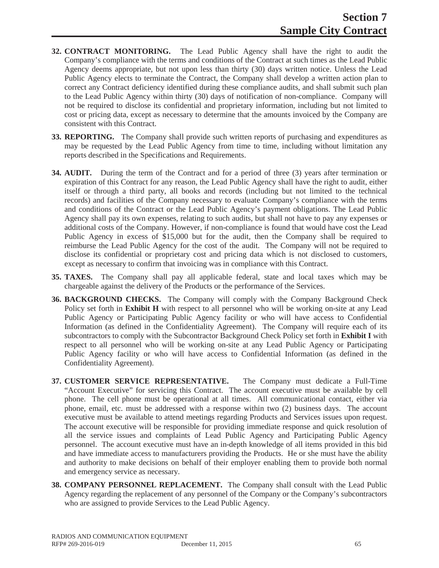- **32. CONTRACT MONITORING.** The Lead Public Agency shall have the right to audit the Company's compliance with the terms and conditions of the Contract at such times as the Lead Public Agency deems appropriate, but not upon less than thirty (30) days written notice. Unless the Lead Public Agency elects to terminate the Contract, the Company shall develop a written action plan to correct any Contract deficiency identified during these compliance audits, and shall submit such plan to the Lead Public Agency within thirty (30) days of notification of non-compliance. Company will not be required to disclose its confidential and proprietary information, including but not limited to cost or pricing data, except as necessary to determine that the amounts invoiced by the Company are consistent with this Contract.
- **33. REPORTING.** The Company shall provide such written reports of purchasing and expenditures as may be requested by the Lead Public Agency from time to time, including without limitation any reports described in the Specifications and Requirements.
- **34. AUDIT.** During the term of the Contract and for a period of three (3) years after termination or expiration of this Contract for any reason, the Lead Public Agency shall have the right to audit, either itself or through a third party, all books and records (including but not limited to the technical records) and facilities of the Company necessary to evaluate Company's compliance with the terms and conditions of the Contract or the Lead Public Agency's payment obligations. The Lead Public Agency shall pay its own expenses, relating to such audits, but shall not have to pay any expenses or additional costs of the Company. However, if non-compliance is found that would have cost the Lead Public Agency in excess of \$15,000 but for the audit, then the Company shall be required to reimburse the Lead Public Agency for the cost of the audit. The Company will not be required to disclose its confidential or proprietary cost and pricing data which is not disclosed to customers, except as necessary to confirm that invoicing was in compliance with this Contract.
- **35. TAXES.** The Company shall pay all applicable federal, state and local taxes which may be chargeable against the delivery of the Products or the performance of the Services.
- **36. BACKGROUND CHECKS.** The Company will comply with the Company Background Check Policy set forth in **Exhibit H** with respect to all personnel who will be working on-site at any Lead Public Agency or Participating Public Agency facility or who will have access to Confidential Information (as defined in the Confidentiality Agreement). The Company will require each of its subcontractors to comply with the Subcontractor Background Check Policy set forth in **Exhibit I** with respect to all personnel who will be working on-site at any Lead Public Agency or Participating Public Agency facility or who will have access to Confidential Information (as defined in the Confidentiality Agreement).
- **37. CUSTOMER SERVICE REPRESENTATIVE.** The Company must dedicate a Full-Time "Account Executive" for servicing this Contract. The account executive must be available by cell phone. The cell phone must be operational at all times. All communicational contact, either via phone, email, etc. must be addressed with a response within two (2) business days. The account executive must be available to attend meetings regarding Products and Services issues upon request. The account executive will be responsible for providing immediate response and quick resolution of all the service issues and complaints of Lead Public Agency and Participating Public Agency personnel. The account executive must have an in-depth knowledge of all items provided in this bid and have immediate access to manufacturers providing the Products. He or she must have the ability and authority to make decisions on behalf of their employer enabling them to provide both normal and emergency service as necessary.
- **38. COMPANY PERSONNEL REPLACEMENT.** The Company shall consult with the Lead Public Agency regarding the replacement of any personnel of the Company or the Company's subcontractors who are assigned to provide Services to the Lead Public Agency.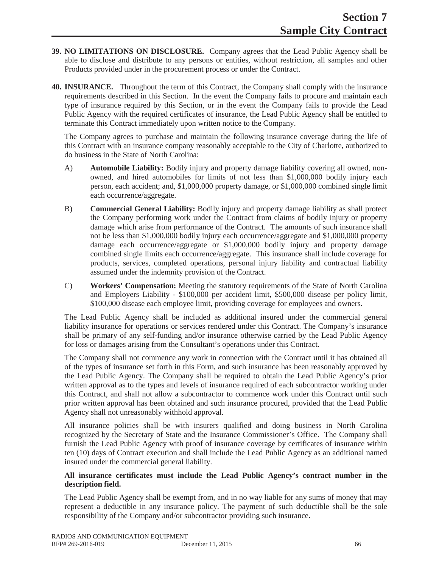- **39. NO LIMITATIONS ON DISCLOSURE.** Company agrees that the Lead Public Agency shall be able to disclose and distribute to any persons or entities, without restriction, all samples and other Products provided under in the procurement process or under the Contract.
- **40. INSURANCE.** Throughout the term of this Contract, the Company shall comply with the insurance requirements described in this Section. In the event the Company fails to procure and maintain each type of insurance required by this Section, or in the event the Company fails to provide the Lead Public Agency with the required certificates of insurance, the Lead Public Agency shall be entitled to terminate this Contract immediately upon written notice to the Company.

The Company agrees to purchase and maintain the following insurance coverage during the life of this Contract with an insurance company reasonably acceptable to the City of Charlotte, authorized to do business in the State of North Carolina:

- A) **Automobile Liability:** Bodily injury and property damage liability covering all owned, nonowned, and hired automobiles for limits of not less than \$1,000,000 bodily injury each person, each accident; and, \$1,000,000 property damage, or \$1,000,000 combined single limit each occurrence/aggregate.
- B) **Commercial General Liability:** Bodily injury and property damage liability as shall protect the Company performing work under the Contract from claims of bodily injury or property damage which arise from performance of the Contract. The amounts of such insurance shall not be less than \$1,000,000 bodily injury each occurrence/aggregate and \$1,000,000 property damage each occurrence/aggregate or \$1,000,000 bodily injury and property damage combined single limits each occurrence/aggregate. This insurance shall include coverage for products, services, completed operations, personal injury liability and contractual liability assumed under the indemnity provision of the Contract.
- C) **Workers' Compensation:** Meeting the statutory requirements of the State of North Carolina and Employers Liability - \$100,000 per accident limit, \$500,000 disease per policy limit, \$100,000 disease each employee limit, providing coverage for employees and owners.

The Lead Public Agency shall be included as additional insured under the commercial general liability insurance for operations or services rendered under this Contract. The Company's insurance shall be primary of any self-funding and/or insurance otherwise carried by the Lead Public Agency for loss or damages arising from the Consultant's operations under this Contract.

The Company shall not commence any work in connection with the Contract until it has obtained all of the types of insurance set forth in this Form, and such insurance has been reasonably approved by the Lead Public Agency. The Company shall be required to obtain the Lead Public Agency's prior written approval as to the types and levels of insurance required of each subcontractor working under this Contract, and shall not allow a subcontractor to commence work under this Contract until such prior written approval has been obtained and such insurance procured, provided that the Lead Public Agency shall not unreasonably withhold approval.

All insurance policies shall be with insurers qualified and doing business in North Carolina recognized by the Secretary of State and the Insurance Commissioner's Office. The Company shall furnish the Lead Public Agency with proof of insurance coverage by certificates of insurance within ten (10) days of Contract execution and shall include the Lead Public Agency as an additional named insured under the commercial general liability.

### **All insurance certificates must include the Lead Public Agency's contract number in the description field.**

The Lead Public Agency shall be exempt from, and in no way liable for any sums of money that may represent a deductible in any insurance policy. The payment of such deductible shall be the sole responsibility of the Company and/or subcontractor providing such insurance.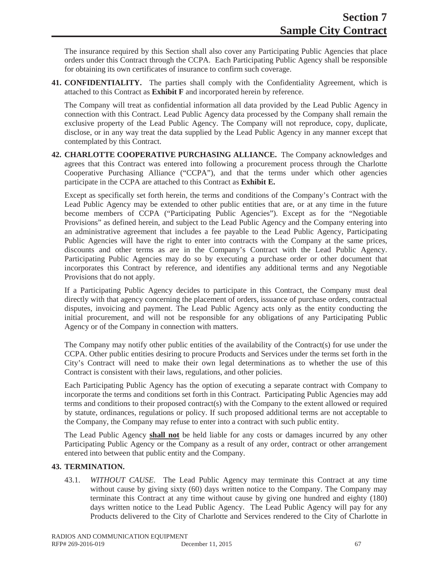The insurance required by this Section shall also cover any Participating Public Agencies that place orders under this Contract through the CCPA. Each Participating Public Agency shall be responsible for obtaining its own certificates of insurance to confirm such coverage.

**41. CONFIDENTIALITY.** The parties shall comply with the Confidentiality Agreement, which is attached to this Contract as **Exhibit F** and incorporated herein by reference.

The Company will treat as confidential information all data provided by the Lead Public Agency in connection with this Contract. Lead Public Agency data processed by the Company shall remain the exclusive property of the Lead Public Agency. The Company will not reproduce, copy, duplicate, disclose, or in any way treat the data supplied by the Lead Public Agency in any manner except that contemplated by this Contract.

**42. CHARLOTTE COOPERATIVE PURCHASING ALLIANCE.** The Company acknowledges and agrees that this Contract was entered into following a procurement process through the Charlotte Cooperative Purchasing Alliance ("CCPA"), and that the terms under which other agencies participate in the CCPA are attached to this Contract as **Exhibit E.**

Except as specifically set forth herein, the terms and conditions of the Company's Contract with the Lead Public Agency may be extended to other public entities that are, or at any time in the future become members of CCPA ("Participating Public Agencies"). Except as for the "Negotiable Provisions" as defined herein, and subject to the Lead Public Agency and the Company entering into an administrative agreement that includes a fee payable to the Lead Public Agency, Participating Public Agencies will have the right to enter into contracts with the Company at the same prices, discounts and other terms as are in the Company's Contract with the Lead Public Agency. Participating Public Agencies may do so by executing a purchase order or other document that incorporates this Contract by reference, and identifies any additional terms and any Negotiable Provisions that do not apply.

If a Participating Public Agency decides to participate in this Contract, the Company must deal directly with that agency concerning the placement of orders, issuance of purchase orders, contractual disputes, invoicing and payment. The Lead Public Agency acts only as the entity conducting the initial procurement, and will not be responsible for any obligations of any Participating Public Agency or of the Company in connection with matters.

The Company may notify other public entities of the availability of the Contract(s) for use under the CCPA. Other public entities desiring to procure Products and Services under the terms set forth in the City's Contract will need to make their own legal determinations as to whether the use of this Contract is consistent with their laws, regulations, and other policies.

Each Participating Public Agency has the option of executing a separate contract with Company to incorporate the terms and conditions set forth in this Contract. Participating Public Agencies may add terms and conditions to their proposed contract(s) with the Company to the extent allowed or required by statute, ordinances, regulations or policy. If such proposed additional terms are not acceptable to the Company, the Company may refuse to enter into a contract with such public entity.

The Lead Public Agency **shall not** be held liable for any costs or damages incurred by any other Participating Public Agency or the Company as a result of any order, contract or other arrangement entered into between that public entity and the Company.

# **43. TERMINATION.**

43.1. *WITHOUT CAUSE*. The Lead Public Agency may terminate this Contract at any time without cause by giving sixty (60) days written notice to the Company. The Company may terminate this Contract at any time without cause by giving one hundred and eighty (180) days written notice to the Lead Public Agency. The Lead Public Agency will pay for any Products delivered to the City of Charlotte and Services rendered to the City of Charlotte in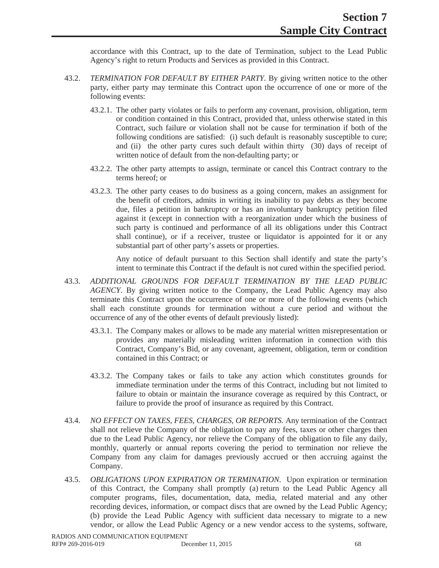accordance with this Contract, up to the date of Termination, subject to the Lead Public Agency's right to return Products and Services as provided in this Contract.

- 43.2. *TERMINATION FOR DEFAULT BY EITHER PARTY.* By giving written notice to the other party, either party may terminate this Contract upon the occurrence of one or more of the following events:
	- 43.2.1. The other party violates or fails to perform any covenant, provision, obligation, term or condition contained in this Contract, provided that, unless otherwise stated in this Contract, such failure or violation shall not be cause for termination if both of the following conditions are satisfied: (i) such default is reasonably susceptible to cure; and (ii) the other party cures such default within thirty (30) days of receipt of written notice of default from the non-defaulting party; or
	- 43.2.2. The other party attempts to assign, terminate or cancel this Contract contrary to the terms hereof; or
	- 43.2.3. The other party ceases to do business as a going concern, makes an assignment for the benefit of creditors, admits in writing its inability to pay debts as they become due, files a petition in bankruptcy or has an involuntary bankruptcy petition filed against it (except in connection with a reorganization under which the business of such party is continued and performance of all its obligations under this Contract shall continue), or if a receiver, trustee or liquidator is appointed for it or any substantial part of other party's assets or properties.

Any notice of default pursuant to this Section shall identify and state the party's intent to terminate this Contract if the default is not cured within the specified period.

- 43.3. *ADDITIONAL GROUNDS FOR DEFAULT TERMINATION BY THE LEAD PUBLIC AGENCY*. By giving written notice to the Company, the Lead Public Agency may also terminate this Contract upon the occurrence of one or more of the following events (which shall each constitute grounds for termination without a cure period and without the occurrence of any of the other events of default previously listed):
	- 43.3.1. The Company makes or allows to be made any material written misrepresentation or provides any materially misleading written information in connection with this Contract, Company's Bid, or any covenant, agreement, obligation, term or condition contained in this Contract; or
	- 43.3.2. The Company takes or fails to take any action which constitutes grounds for immediate termination under the terms of this Contract, including but not limited to failure to obtain or maintain the insurance coverage as required by this Contract, or failure to provide the proof of insurance as required by this Contract.
- 43.4. *NO EFFECT ON TAXES, FEES, CHARGES, OR REPORTS*. Any termination of the Contract shall not relieve the Company of the obligation to pay any fees, taxes or other charges then due to the Lead Public Agency, nor relieve the Company of the obligation to file any daily, monthly, quarterly or annual reports covering the period to termination nor relieve the Company from any claim for damages previously accrued or then accruing against the Company.
- 43.5. *OBLIGATIONS UPON EXPIRATION OR TERMINATION*. Upon expiration or termination of this Contract, the Company shall promptly (a) return to the Lead Public Agency all computer programs, files, documentation, data, media, related material and any other recording devices, information, or compact discs that are owned by the Lead Public Agency; (b) provide the Lead Public Agency with sufficient data necessary to migrate to a new vendor, or allow the Lead Public Agency or a new vendor access to the systems, software,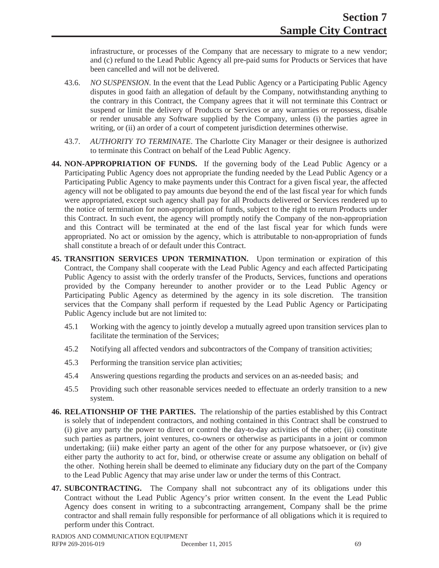infrastructure, or processes of the Company that are necessary to migrate to a new vendor; and (c) refund to the Lead Public Agency all pre-paid sums for Products or Services that have been cancelled and will not be delivered.

- 43.6. *NO SUSPENSION.* In the event that the Lead Public Agency or a Participating Public Agency disputes in good faith an allegation of default by the Company, notwithstanding anything to the contrary in this Contract, the Company agrees that it will not terminate this Contract or suspend or limit the delivery of Products or Services or any warranties or repossess, disable or render unusable any Software supplied by the Company, unless (i) the parties agree in writing, or (ii) an order of a court of competent jurisdiction determines otherwise.
- 43.7. *AUTHORITY TO TERMINATE*. The Charlotte City Manager or their designee is authorized to terminate this Contract on behalf of the Lead Public Agency.
- **44. NON-APPROPRIATION OF FUNDS.** If the governing body of the Lead Public Agency or a Participating Public Agency does not appropriate the funding needed by the Lead Public Agency or a Participating Public Agency to make payments under this Contract for a given fiscal year, the affected agency will not be obligated to pay amounts due beyond the end of the last fiscal year for which funds were appropriated, except such agency shall pay for all Products delivered or Services rendered up to the notice of termination for non-appropriation of funds, subject to the right to return Products under this Contract. In such event, the agency will promptly notify the Company of the non-appropriation and this Contract will be terminated at the end of the last fiscal year for which funds were appropriated. No act or omission by the agency, which is attributable to non-appropriation of funds shall constitute a breach of or default under this Contract.
- **45. TRANSITION SERVICES UPON TERMINATION.** Upon termination or expiration of this Contract, the Company shall cooperate with the Lead Public Agency and each affected Participating Public Agency to assist with the orderly transfer of the Products, Services, functions and operations provided by the Company hereunder to another provider or to the Lead Public Agency or Participating Public Agency as determined by the agency in its sole discretion. The transition services that the Company shall perform if requested by the Lead Public Agency or Participating Public Agency include but are not limited to:
	- 45.1 Working with the agency to jointly develop a mutually agreed upon transition services plan to facilitate the termination of the Services;
	- 45.2 Notifying all affected vendors and subcontractors of the Company of transition activities;
	- 45.3 Performing the transition service plan activities;
	- 45.4 Answering questions regarding the products and services on an as-needed basis; and
	- 45.5 Providing such other reasonable services needed to effectuate an orderly transition to a new system.
- **46. RELATIONSHIP OF THE PARTIES.** The relationship of the parties established by this Contract is solely that of independent contractors, and nothing contained in this Contract shall be construed to (i) give any party the power to direct or control the day-to-day activities of the other; (ii) constitute such parties as partners, joint ventures, co-owners or otherwise as participants in a joint or common undertaking; (iii) make either party an agent of the other for any purpose whatsoever, or (iv) give either party the authority to act for, bind, or otherwise create or assume any obligation on behalf of the other. Nothing herein shall be deemed to eliminate any fiduciary duty on the part of the Company to the Lead Public Agency that may arise under law or under the terms of this Contract.
- **47. SUBCONTRACTING.** The Company shall not subcontract any of its obligations under this Contract without the Lead Public Agency's prior written consent. In the event the Lead Public Agency does consent in writing to a subcontracting arrangement, Company shall be the prime contractor and shall remain fully responsible for performance of all obligations which it is required to perform under this Contract.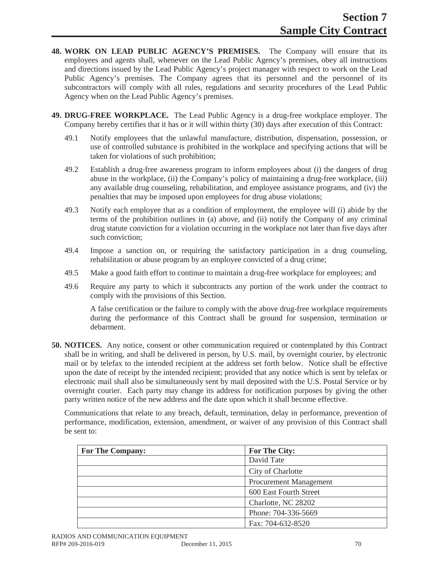- **48. WORK ON LEAD PUBLIC AGENCY'S PREMISES.** The Company will ensure that its employees and agents shall, whenever on the Lead Public Agency's premises, obey all instructions and directions issued by the Lead Public Agency's project manager with respect to work on the Lead Public Agency's premises. The Company agrees that its personnel and the personnel of its subcontractors will comply with all rules, regulations and security procedures of the Lead Public Agency when on the Lead Public Agency's premises.
- **49. DRUG-FREE WORKPLACE.** The Lead Public Agency is a drug-free workplace employer. The Company hereby certifies that it has or it will within thirty (30) days after execution of this Contract:
	- 49.1 Notify employees that the unlawful manufacture, distribution, dispensation, possession, or use of controlled substance is prohibited in the workplace and specifying actions that will be taken for violations of such prohibition;
	- 49.2 Establish a drug-free awareness program to inform employees about (i) the dangers of drug abuse in the workplace, (ii) the Company's policy of maintaining a drug-free workplace, (iii) any available drug counseling, rehabilitation, and employee assistance programs, and (iv) the penalties that may be imposed upon employees for drug abuse violations;
	- 49.3 Notify each employee that as a condition of employment, the employee will (i) abide by the terms of the prohibition outlines in (a) above, and (ii) notify the Company of any criminal drug statute conviction for a violation occurring in the workplace not later than five days after such conviction;
	- 49.4 Impose a sanction on, or requiring the satisfactory participation in a drug counseling, rehabilitation or abuse program by an employee convicted of a drug crime;
	- 49.5 Make a good faith effort to continue to maintain a drug-free workplace for employees; and
	- 49.6 Require any party to which it subcontracts any portion of the work under the contract to comply with the provisions of this Section.

A false certification or the failure to comply with the above drug-free workplace requirements during the performance of this Contract shall be ground for suspension, termination or debarment.

**50. NOTICES.** Any notice, consent or other communication required or contemplated by this Contract shall be in writing, and shall be delivered in person, by U.S. mail, by overnight courier, by electronic mail or by telefax to the intended recipient at the address set forth below. Notice shall be effective upon the date of receipt by the intended recipient; provided that any notice which is sent by telefax or electronic mail shall also be simultaneously sent by mail deposited with the U.S. Postal Service or by overnight courier. Each party may change its address for notification purposes by giving the other party written notice of the new address and the date upon which it shall become effective.

Communications that relate to any breach, default, termination, delay in performance, prevention of performance, modification, extension, amendment, or waiver of any provision of this Contract shall be sent to:

| <b>For The Company:</b> | For The City:                 |
|-------------------------|-------------------------------|
|                         | David Tate                    |
|                         | City of Charlotte             |
|                         | <b>Procurement Management</b> |
|                         | 600 East Fourth Street        |
|                         | Charlotte, NC 28202           |
|                         | Phone: 704-336-5669           |
|                         | Fax: 704-632-8520             |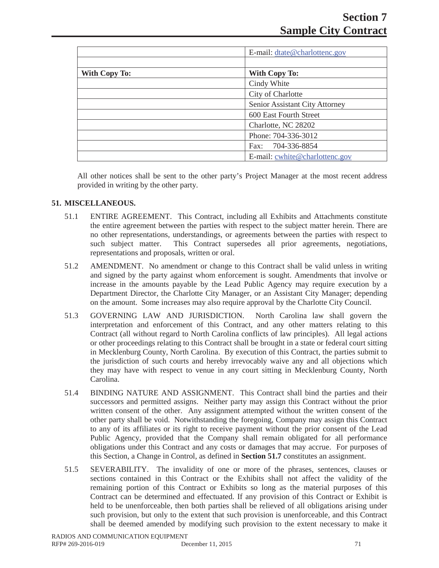|                      | E-mail: dtate@charlottenc.gov  |
|----------------------|--------------------------------|
|                      |                                |
| <b>With Copy To:</b> | <b>With Copy To:</b>           |
|                      | Cindy White                    |
|                      | City of Charlotte              |
|                      | Senior Assistant City Attorney |
|                      | 600 East Fourth Street         |
|                      | Charlotte, NC 28202            |
|                      | Phone: 704-336-3012            |
|                      | 704-336-8854<br>Fax:           |
|                      | E-mail: cwhite@charlottenc.gov |

All other notices shall be sent to the other party's Project Manager at the most recent address provided in writing by the other party.

# **51. MISCELLANEOUS.**

- 51.1 ENTIRE AGREEMENT. This Contract, including all Exhibits and Attachments constitute the entire agreement between the parties with respect to the subject matter herein. There are no other representations, understandings, or agreements between the parties with respect to such subject matter. This Contract supersedes all prior agreements, negotiations, representations and proposals, written or oral.
- 51.2 AMENDMENT. No amendment or change to this Contract shall be valid unless in writing and signed by the party against whom enforcement is sought. Amendments that involve or increase in the amounts payable by the Lead Public Agency may require execution by a Department Director, the Charlotte City Manager, or an Assistant City Manager; depending on the amount. Some increases may also require approval by the Charlotte City Council.
- 51.3 GOVERNING LAW AND JURISDICTION. North Carolina law shall govern the interpretation and enforcement of this Contract, and any other matters relating to this Contract (all without regard to North Carolina conflicts of law principles). All legal actions or other proceedings relating to this Contract shall be brought in a state or federal court sitting in Mecklenburg County, North Carolina. By execution of this Contract, the parties submit to the jurisdiction of such courts and hereby irrevocably waive any and all objections which they may have with respect to venue in any court sitting in Mecklenburg County, North Carolina.
- 51.4 BINDING NATURE AND ASSIGNMENT. This Contract shall bind the parties and their successors and permitted assigns. Neither party may assign this Contract without the prior written consent of the other. Any assignment attempted without the written consent of the other party shall be void. Notwithstanding the foregoing, Company may assign this Contract to any of its affiliates or its right to receive payment without the prior consent of the Lead Public Agency, provided that the Company shall remain obligated for all performance obligations under this Contract and any costs or damages that may accrue. For purposes of this Section, a Change in Control, as defined in **Section 51.7** constitutes an assignment.
- 51.5 SEVERABILITY. The invalidity of one or more of the phrases, sentences, clauses or sections contained in this Contract or the Exhibits shall not affect the validity of the remaining portion of this Contract or Exhibits so long as the material purposes of this Contract can be determined and effectuated. If any provision of this Contract or Exhibit is held to be unenforceable, then both parties shall be relieved of all obligations arising under such provision, but only to the extent that such provision is unenforceable, and this Contract shall be deemed amended by modifying such provision to the extent necessary to make it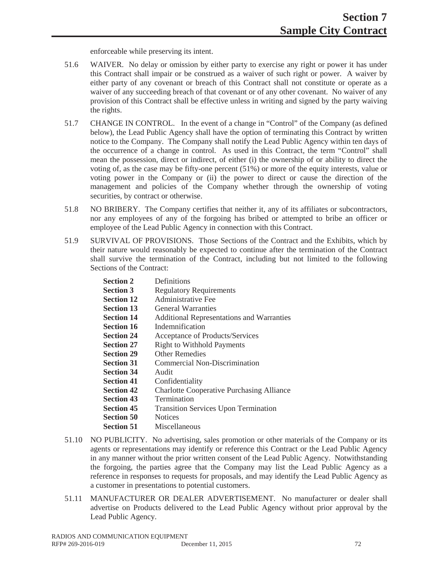enforceable while preserving its intent.

- 51.6 WAIVER. No delay or omission by either party to exercise any right or power it has under this Contract shall impair or be construed as a waiver of such right or power. A waiver by either party of any covenant or breach of this Contract shall not constitute or operate as a waiver of any succeeding breach of that covenant or of any other covenant. No waiver of any provision of this Contract shall be effective unless in writing and signed by the party waiving the rights.
- 51.7 CHANGE IN CONTROL. In the event of a change in "Control" of the Company (as defined below), the Lead Public Agency shall have the option of terminating this Contract by written notice to the Company. The Company shall notify the Lead Public Agency within ten days of the occurrence of a change in control. As used in this Contract, the term "Control" shall mean the possession, direct or indirect, of either (i) the ownership of or ability to direct the voting of, as the case may be fifty-one percent (51%) or more of the equity interests, value or voting power in the Company or (ii) the power to direct or cause the direction of the management and policies of the Company whether through the ownership of voting securities, by contract or otherwise.
- 51.8 NO BRIBERY. The Company certifies that neither it, any of its affiliates or subcontractors, nor any employees of any of the forgoing has bribed or attempted to bribe an officer or employee of the Lead Public Agency in connection with this Contract.
- 51.9 SURVIVAL OF PROVISIONS. Those Sections of the Contract and the Exhibits, which by their nature would reasonably be expected to continue after the termination of the Contract shall survive the termination of the Contract, including but not limited to the following Sections of the Contract:

| <b>Section 2</b>  | Definitions                                      |
|-------------------|--------------------------------------------------|
| <b>Section 3</b>  | <b>Regulatory Requirements</b>                   |
| <b>Section 12</b> | <b>Administrative Fee</b>                        |
| <b>Section 13</b> | <b>General Warranties</b>                        |
| <b>Section 14</b> | <b>Additional Representations and Warranties</b> |
| <b>Section 16</b> | Indemnification                                  |
| <b>Section 24</b> | Acceptance of Products/Services                  |
| <b>Section 27</b> | <b>Right to Withhold Payments</b>                |
| <b>Section 29</b> | <b>Other Remedies</b>                            |
| <b>Section 31</b> | <b>Commercial Non-Discrimination</b>             |
| <b>Section 34</b> | Audit                                            |
| <b>Section 41</b> | Confidentiality                                  |
| <b>Section 42</b> | <b>Charlotte Cooperative Purchasing Alliance</b> |
| <b>Section 43</b> | Termination                                      |
| <b>Section 45</b> | <b>Transition Services Upon Termination</b>      |
| <b>Section 50</b> | <b>Notices</b>                                   |
| <b>Section 51</b> | Miscellaneous                                    |
|                   | $\mathbf{D}$                                     |

- 51.10 NO PUBLICITY. No advertising, sales promotion or other materials of the Company or its agents or representations may identify or reference this Contract or the Lead Public Agency in any manner without the prior written consent of the Lead Public Agency. Notwithstanding the forgoing, the parties agree that the Company may list the Lead Public Agency as a reference in responses to requests for proposals, and may identify the Lead Public Agency as a customer in presentations to potential customers.
- 51.11 MANUFACTURER OR DEALER ADVERTISEMENT. No manufacturer or dealer shall advertise on Products delivered to the Lead Public Agency without prior approval by the Lead Public Agency.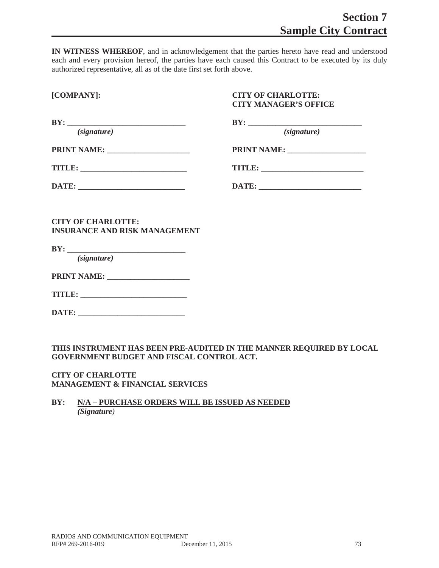**IN WITNESS WHEREOF**, and in acknowledgement that the parties hereto have read and understood each and every provision hereof, the parties have each caused this Contract to be executed by its duly authorized representative, all as of the date first set forth above.

# **[COMPANY]: CITY OF CHARLOTTE: CITY MANAGER'S OFFICE**

| BY:<br>(signature)                                                                                                                                                                                                                                                                                                                                                                                                                                                           | (signature) |
|------------------------------------------------------------------------------------------------------------------------------------------------------------------------------------------------------------------------------------------------------------------------------------------------------------------------------------------------------------------------------------------------------------------------------------------------------------------------------|-------------|
|                                                                                                                                                                                                                                                                                                                                                                                                                                                                              |             |
| $\textbf{TIME:} \begin{tabular}{ c c c c } \hline \multicolumn{3}{ c }{ \multicolumn{3}{c }{ \multicolumn{3}{c }{ \multicolumn{3}{c }{ \multicolumn{3}{c }{ \multicolumn{3}{c }{ \multicolumn{3}{c}}{ \multicolumn{3}{c} \multicolumn{3}{c} \multicolumn{3}{c} \multicolumn{3}{c} \multicolumn{3}{c} \multicolumn{3}{c} \multicolumn{3}{c} \multicolumn{3}{c} \multicolumn{3}{c} \multicolumn{3}{c} \multicolumn{3}{c} \multicolumn{3}{c} \multicolumn{3}{c} \multicolumn{3$ |             |
|                                                                                                                                                                                                                                                                                                                                                                                                                                                                              |             |
|                                                                                                                                                                                                                                                                                                                                                                                                                                                                              |             |

**CITY OF CHARLOTTE: INSURANCE AND RISK MANAGEMENT** 

**BY: \_\_\_\_\_\_\_\_\_\_\_\_\_\_\_\_\_\_\_\_\_\_\_\_\_\_\_\_\_\_\_\_\_\_** *(signature)*

**PRINT NAME: \_\_\_\_\_\_\_\_\_\_\_\_\_\_\_\_\_\_\_\_\_**

| TITLE |  |  |  |
|-------|--|--|--|
|-------|--|--|--|

**DATE: \_\_\_\_\_\_\_\_\_\_\_\_\_\_\_\_\_\_\_\_\_\_\_\_\_\_\_**

**THIS INSTRUMENT HAS BEEN PRE-AUDITED IN THE MANNER REQUIRED BY LOCAL GOVERNMENT BUDGET AND FISCAL CONTROL ACT.**

**CITY OF CHARLOTTE MANAGEMENT & FINANCIAL SERVICES**

# **BY: N/A – PURCHASE ORDERS WILL BE ISSUED AS NEEDED** *(Signature)*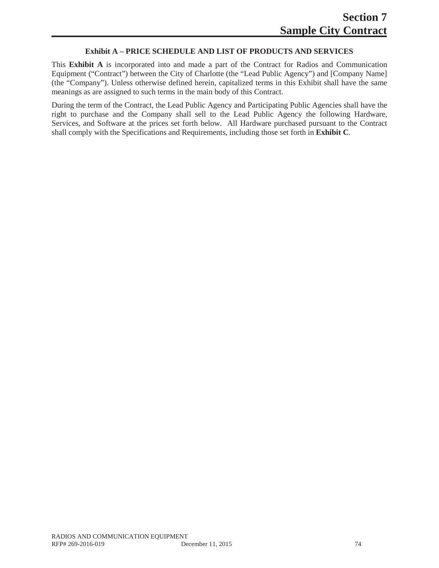### **Exhibit A – PRICE SCHEDULE AND LIST OF PRODUCTS AND SERVICES**

This **Exhibit A** is incorporated into and made a part of the Contract for Radios and Communication Equipment ("Contract") between the City of Charlotte (the "Lead Public Agency") and [Company Name] (the "Company"). Unless otherwise defined herein, capitalized terms in this Exhibit shall have the same meanings as are assigned to such terms in the main body of this Contract.

During the term of the Contract, the Lead Public Agency and Participating Public Agencies shall have the right to purchase and the Company shall sell to the Lead Public Agency the following Hardware, Services, and Software at the prices set forth below. All Hardware purchased pursuant to the Contract shall comply with the Specifications and Requirements, including those set forth in **Exhibit C**.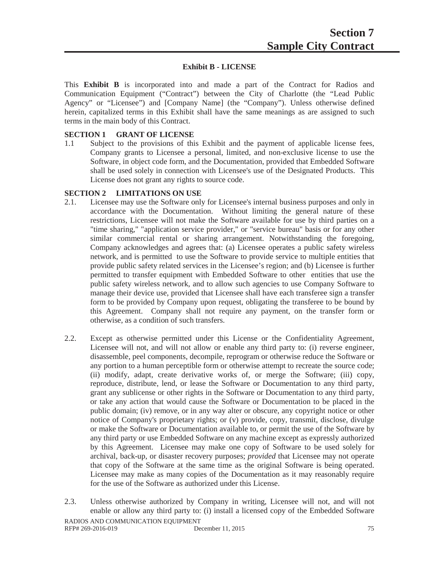#### **Exhibit B - LICENSE**

This **Exhibit B** is incorporated into and made a part of the Contract for Radios and Communication Equipment ("Contract") between the City of Charlotte (the "Lead Public Agency" or "Licensee") and [Company Name] (the "Company"). Unless otherwise defined herein, capitalized terms in this Exhibit shall have the same meanings as are assigned to such terms in the main body of this Contract.

#### **SECTION 1 GRANT OF LICENSE**

1.1 Subject to the provisions of this Exhibit and the payment of applicable license fees, Company grants to Licensee a personal, limited, and non-exclusive license to use the Software, in object code form, and the Documentation, provided that Embedded Software shall be used solely in connection with Licensee's use of the Designated Products. This License does not grant any rights to source code.

#### **SECTION 2 LIMITATIONS ON USE**

- 2.1. Licensee may use the Software only for Licensee's internal business purposes and only in accordance with the Documentation. Without limiting the general nature of these restrictions, Licensee will not make the Software available for use by third parties on a "time sharing," "application service provider," or "service bureau" basis or for any other similar commercial rental or sharing arrangement. Notwithstanding the foregoing, Company acknowledges and agrees that: (a) Licensee operates a public safety wireless network, and is permitted to use the Software to provide service to multiple entities that provide public safety related services in the Licensee's region; and (b) Licensee is further permitted to transfer equipment with Embedded Software to other entities that use the public safety wireless network, and to allow such agencies to use Company Software to manage their device use, provided that Licensee shall have each transferee sign a transfer form to be provided by Company upon request, obligating the transferee to be bound by this Agreement. Company shall not require any payment, on the transfer form or otherwise, as a condition of such transfers.
- 2.2. Except as otherwise permitted under this License or the Confidentiality Agreement, Licensee will not, and will not allow or enable any third party to: (i) reverse engineer, disassemble, peel components, decompile, reprogram or otherwise reduce the Software or any portion to a human perceptible form or otherwise attempt to recreate the source code; (ii) modify, adapt, create derivative works of, or merge the Software; (iii) copy, reproduce, distribute, lend, or lease the Software or Documentation to any third party, grant any sublicense or other rights in the Software or Documentation to any third party, or take any action that would cause the Software or Documentation to be placed in the public domain; (iv) remove, or in any way alter or obscure, any copyright notice or other notice of Company's proprietary rights; or (v) provide, copy, transmit, disclose, divulge or make the Software or Documentation available to, or permit the use of the Software by any third party or use Embedded Software on any machine except as expressly authorized by this Agreement. Licensee may make one copy of Software to be used solely for archival, back-up, or disaster recovery purposes; *provided* that Licensee may not operate that copy of the Software at the same time as the original Software is being operated. Licensee may make as many copies of the Documentation as it may reasonably require for the use of the Software as authorized under this License.
- 2.3. Unless otherwise authorized by Company in writing, Licensee will not, and will not enable or allow any third party to: (i) install a licensed copy of the Embedded Software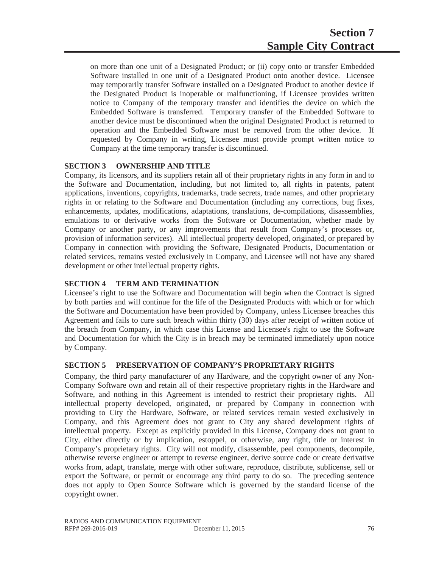on more than one unit of a Designated Product; or (ii) copy onto or transfer Embedded Software installed in one unit of a Designated Product onto another device. Licensee may temporarily transfer Software installed on a Designated Product to another device if the Designated Product is inoperable or malfunctioning, if Licensee provides written notice to Company of the temporary transfer and identifies the device on which the Embedded Software is transferred. Temporary transfer of the Embedded Software to another device must be discontinued when the original Designated Product is returned to operation and the Embedded Software must be removed from the other device. If requested by Company in writing, Licensee must provide prompt written notice to Company at the time temporary transfer is discontinued.

### **SECTION 3 OWNERSHIP AND TITLE**

Company, its licensors, and its suppliers retain all of their proprietary rights in any form in and to the Software and Documentation, including, but not limited to, all rights in patents, patent applications, inventions, copyrights, trademarks, trade secrets, trade names, and other proprietary rights in or relating to the Software and Documentation (including any corrections, bug fixes, enhancements, updates, modifications, adaptations, translations, de-compilations, disassemblies, emulations to or derivative works from the Software or Documentation, whether made by Company or another party, or any improvements that result from Company's processes or, provision of information services). All intellectual property developed, originated, or prepared by Company in connection with providing the Software, Designated Products, Documentation or related services, remains vested exclusively in Company, and Licensee will not have any shared development or other intellectual property rights.

### **SECTION 4 TERM AND TERMINATION**

Licensee's right to use the Software and Documentation will begin when the Contract is signed by both parties and will continue for the life of the Designated Products with which or for which the Software and Documentation have been provided by Company, unless Licensee breaches this Agreement and fails to cure such breach within thirty (30) days after receipt of written notice of the breach from Company, in which case this License and Licensee's right to use the Software and Documentation for which the City is in breach may be terminated immediately upon notice by Company.

# **SECTION 5 PRESERVATION OF COMPANY'S PROPRIETARY RIGHTS**

Company, the third party manufacturer of any Hardware, and the copyright owner of any Non-Company Software own and retain all of their respective proprietary rights in the Hardware and Software, and nothing in this Agreement is intended to restrict their proprietary rights. All intellectual property developed, originated, or prepared by Company in connection with providing to City the Hardware, Software, or related services remain vested exclusively in Company, and this Agreement does not grant to City any shared development rights of intellectual property. Except as explicitly provided in this License, Company does not grant to City, either directly or by implication, estoppel, or otherwise, any right, title or interest in Company's proprietary rights. City will not modify, disassemble, peel components, decompile, otherwise reverse engineer or attempt to reverse engineer, derive source code or create derivative works from, adapt, translate, merge with other software, reproduce, distribute, sublicense, sell or export the Software, or permit or encourage any third party to do so. The preceding sentence does not apply to Open Source Software which is governed by the standard license of the copyright owner.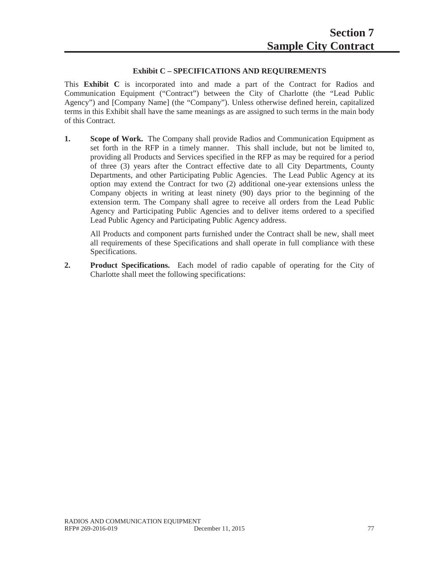# **Exhibit C – SPECIFICATIONS AND REQUIREMENTS**

This **Exhibit C** is incorporated into and made a part of the Contract for Radios and Communication Equipment ("Contract") between the City of Charlotte (the "Lead Public Agency") and [Company Name] (the "Company"). Unless otherwise defined herein, capitalized terms in this Exhibit shall have the same meanings as are assigned to such terms in the main body of this Contract.

**1.** Scope of Work. The Company shall provide Radios and Communication Equipment as set forth in the RFP in a timely manner. This shall include, but not be limited to, providing all Products and Services specified in the RFP as may be required for a period of three (3) years after the Contract effective date to all City Departments, County Departments, and other Participating Public Agencies. The Lead Public Agency at its option may extend the Contract for two (2) additional one-year extensions unless the Company objects in writing at least ninety (90) days prior to the beginning of the extension term. The Company shall agree to receive all orders from the Lead Public Agency and Participating Public Agencies and to deliver items ordered to a specified Lead Public Agency and Participating Public Agency address.

All Products and component parts furnished under the Contract shall be new, shall meet all requirements of these Specifications and shall operate in full compliance with these Specifications.

**2. Product Specifications.** Each model of radio capable of operating for the City of Charlotte shall meet the following specifications: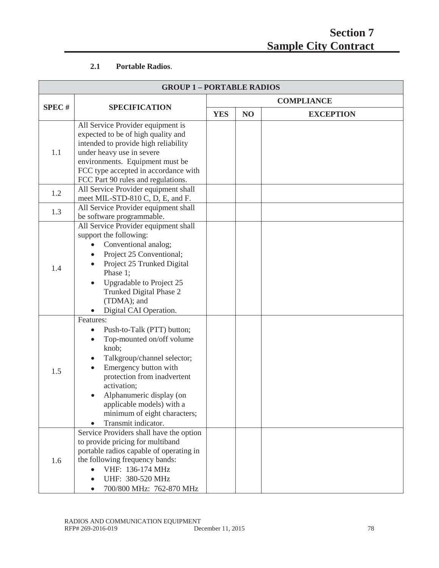# **2.1 Portable Radios**.

| <b>GROUP 1-PORTABLE RADIOS</b> |                                                                                                                                                                                                                                                                                                                                            |                   |    |                  |
|--------------------------------|--------------------------------------------------------------------------------------------------------------------------------------------------------------------------------------------------------------------------------------------------------------------------------------------------------------------------------------------|-------------------|----|------------------|
|                                |                                                                                                                                                                                                                                                                                                                                            | <b>COMPLIANCE</b> |    |                  |
| <b>SPEC#</b>                   | <b>SPECIFICATION</b>                                                                                                                                                                                                                                                                                                                       | <b>YES</b>        | NO | <b>EXCEPTION</b> |
| 1.1                            | All Service Provider equipment is<br>expected to be of high quality and<br>intended to provide high reliability<br>under heavy use in severe<br>environments. Equipment must be<br>FCC type accepted in accordance with<br>FCC Part 90 rules and regulations.                                                                              |                   |    |                  |
| 1.2                            | All Service Provider equipment shall<br>meet MIL-STD-810 C, D, E, and F.                                                                                                                                                                                                                                                                   |                   |    |                  |
| 1.3                            | All Service Provider equipment shall<br>be software programmable.                                                                                                                                                                                                                                                                          |                   |    |                  |
| 1.4                            | All Service Provider equipment shall<br>support the following:<br>Conventional analog;<br>Project 25 Conventional;<br>Project 25 Trunked Digital<br>Phase 1;<br>Upgradable to Project 25<br>Trunked Digital Phase 2<br>(TDMA); and<br>Digital CAI Operation.                                                                               |                   |    |                  |
| 1.5                            | Features:<br>Push-to-Talk (PTT) button;<br>$\bullet$<br>Top-mounted on/off volume<br>$\bullet$<br>knob;<br>Talkgroup/channel selector;<br>$\bullet$<br>Emergency button with<br>protection from inadvertent<br>activation;<br>Alphanumeric display (on<br>applicable models) with a<br>minimum of eight characters;<br>Transmit indicator. |                   |    |                  |
| 1.6                            | Service Providers shall have the option<br>to provide pricing for multiband<br>portable radios capable of operating in<br>the following frequency bands:<br>VHF: 136-174 MHz<br>$\bullet$<br>UHF: 380-520 MHz<br>700/800 MHz: 762-870 MHz                                                                                                  |                   |    |                  |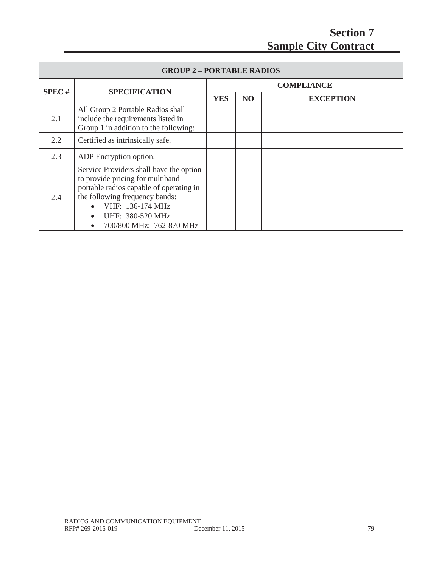| <b>GROUP 2-PORTABLE RADIOS</b> |                                                                                                                                                                                                                              |            |                   |                  |  |  |
|--------------------------------|------------------------------------------------------------------------------------------------------------------------------------------------------------------------------------------------------------------------------|------------|-------------------|------------------|--|--|
| <b>SPEC#</b>                   |                                                                                                                                                                                                                              |            | <b>COMPLIANCE</b> |                  |  |  |
|                                | <b>SPECIFICATION</b>                                                                                                                                                                                                         | <b>YES</b> | N <sub>O</sub>    | <b>EXCEPTION</b> |  |  |
| 2.1                            | All Group 2 Portable Radios shall<br>include the requirements listed in<br>Group 1 in addition to the following:                                                                                                             |            |                   |                  |  |  |
| 2.2                            | Certified as intrinsically safe.                                                                                                                                                                                             |            |                   |                  |  |  |
| 2.3                            | ADP Encryption option.                                                                                                                                                                                                       |            |                   |                  |  |  |
| 2.4                            | Service Providers shall have the option<br>to provide pricing for multiband<br>portable radios capable of operating in<br>the following frequency bands:<br>VHF: 136-174 MHz<br>UHF: 380-520 MHz<br>700/800 MHz: 762-870 MHz |            |                   |                  |  |  |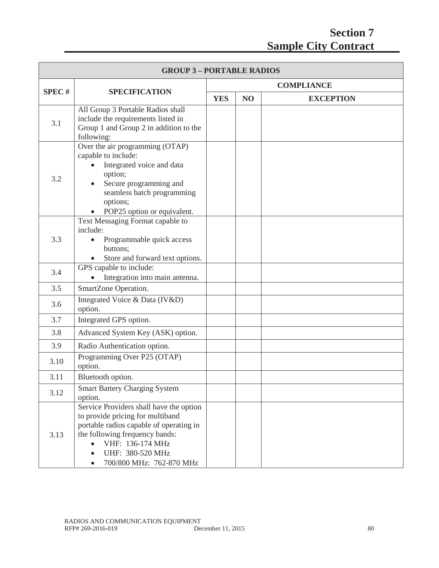| <b>GROUP 3-PORTABLE RADIOS</b> |                                                                                                                                                                                                                                           |            |                |                   |
|--------------------------------|-------------------------------------------------------------------------------------------------------------------------------------------------------------------------------------------------------------------------------------------|------------|----------------|-------------------|
|                                |                                                                                                                                                                                                                                           |            |                | <b>COMPLIANCE</b> |
| <b>SPEC#</b>                   | <b>SPECIFICATION</b>                                                                                                                                                                                                                      | <b>YES</b> | N <sub>O</sub> | <b>EXCEPTION</b>  |
| 3.1                            | All Group 3 Portable Radios shall<br>include the requirements listed in<br>Group 1 and Group 2 in addition to the<br>following:                                                                                                           |            |                |                   |
| 3.2                            | Over the air programming (OTAP)<br>capable to include:<br>Integrated voice and data<br>option;<br>Secure programming and<br>seamless batch programming<br>options;<br>POP25 option or equivalent.                                         |            |                |                   |
| 3.3                            | Text Messaging Format capable to<br>include:<br>Programmable quick access<br>buttons;<br>Store and forward text options.                                                                                                                  |            |                |                   |
| 3.4                            | GPS capable to include:<br>Integration into main antenna.                                                                                                                                                                                 |            |                |                   |
| 3.5                            | SmartZone Operation.                                                                                                                                                                                                                      |            |                |                   |
| 3.6                            | Integrated Voice & Data (IV&D)<br>option.                                                                                                                                                                                                 |            |                |                   |
| 3.7                            | Integrated GPS option.                                                                                                                                                                                                                    |            |                |                   |
| 3.8                            | Advanced System Key (ASK) option.                                                                                                                                                                                                         |            |                |                   |
| 3.9                            | Radio Authentication option.                                                                                                                                                                                                              |            |                |                   |
| 3.10                           | Programming Over P25 (OTAP)<br>option.                                                                                                                                                                                                    |            |                |                   |
| 3.11                           | Bluetooth option.                                                                                                                                                                                                                         |            |                |                   |
| 3.12                           | <b>Smart Battery Charging System</b><br>option.                                                                                                                                                                                           |            |                |                   |
| 3.13                           | Service Providers shall have the option<br>to provide pricing for multiband<br>portable radios capable of operating in<br>the following frequency bands:<br>VHF: 136-174 MHz<br>$\bullet$<br>UHF: 380-520 MHz<br>700/800 MHz: 762-870 MHz |            |                |                   |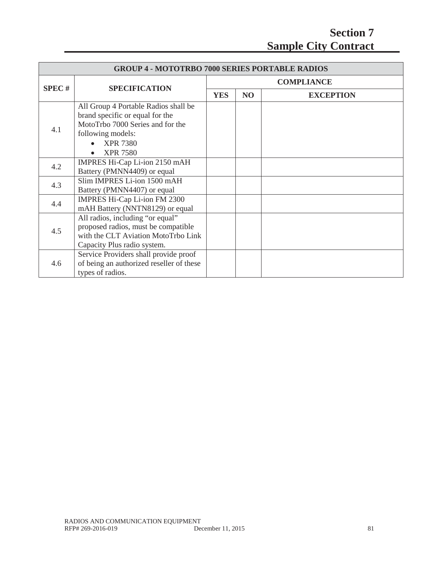| <b>GROUP 4 - MOTOTRBO 7000 SERIES PORTABLE RADIOS</b> |                                                                                                                                                                        |                   |    |                  |  |
|-------------------------------------------------------|------------------------------------------------------------------------------------------------------------------------------------------------------------------------|-------------------|----|------------------|--|
| <b>SPEC#</b>                                          | <b>SPECIFICATION</b>                                                                                                                                                   | <b>COMPLIANCE</b> |    |                  |  |
|                                                       |                                                                                                                                                                        | <b>YES</b>        | NO | <b>EXCEPTION</b> |  |
| 4.1                                                   | All Group 4 Portable Radios shall be<br>brand specific or equal for the<br>MotoTrbo 7000 Series and for the<br>following models:<br><b>XPR 7380</b><br><b>XPR 7580</b> |                   |    |                  |  |
| 4.2                                                   | IMPRES Hi-Cap Li-ion 2150 mAH<br>Battery (PMNN4409) or equal                                                                                                           |                   |    |                  |  |
| 4.3                                                   | Slim IMPRES Li-ion 1500 mAH<br>Battery (PMNN4407) or equal                                                                                                             |                   |    |                  |  |
| 4.4                                                   | IMPRES Hi-Cap Li-ion FM 2300<br>mAH Battery (NNTN8129) or equal                                                                                                        |                   |    |                  |  |
| 4.5                                                   | All radios, including "or equal"<br>proposed radios, must be compatible<br>with the CLT Aviation MotoTrbo Link<br>Capacity Plus radio system.                          |                   |    |                  |  |
| 4.6                                                   | Service Providers shall provide proof<br>of being an authorized reseller of these<br>types of radios.                                                                  |                   |    |                  |  |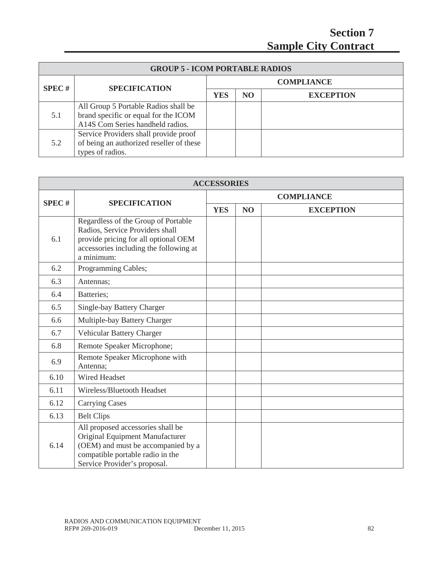| <b>GROUP 5 - ICOM PORTABLE RADIOS</b> |                                          |                   |                 |                  |  |
|---------------------------------------|------------------------------------------|-------------------|-----------------|------------------|--|
| SPEC#                                 | <b>SPECIFICATION</b>                     | <b>COMPLIANCE</b> |                 |                  |  |
|                                       |                                          | <b>YES</b>        | NO <sub>1</sub> | <b>EXCEPTION</b> |  |
|                                       | All Group 5 Portable Radios shall be     |                   |                 |                  |  |
| 5.1                                   | brand specific or equal for the ICOM     |                   |                 |                  |  |
|                                       | A14S Com Series handheld radios.         |                   |                 |                  |  |
|                                       | Service Providers shall provide proof    |                   |                 |                  |  |
| 5.2                                   | of being an authorized reseller of these |                   |                 |                  |  |
|                                       | types of radios.                         |                   |                 |                  |  |

| <b>ACCESSORIES</b> |                                                                                                                                                                                |                   |    |                  |  |
|--------------------|--------------------------------------------------------------------------------------------------------------------------------------------------------------------------------|-------------------|----|------------------|--|
|                    |                                                                                                                                                                                | <b>COMPLIANCE</b> |    |                  |  |
| <b>SPEC#</b>       | <b>SPECIFICATION</b>                                                                                                                                                           | <b>YES</b>        | NO | <b>EXCEPTION</b> |  |
| 6.1                | Regardless of the Group of Portable<br>Radios, Service Providers shall<br>provide pricing for all optional OEM<br>accessories including the following at<br>a minimum:         |                   |    |                  |  |
| 6.2                | Programming Cables;                                                                                                                                                            |                   |    |                  |  |
| 6.3                | Antennas;                                                                                                                                                                      |                   |    |                  |  |
| 6.4                | Batteries:                                                                                                                                                                     |                   |    |                  |  |
| 6.5                | Single-bay Battery Charger                                                                                                                                                     |                   |    |                  |  |
| 6.6                | Multiple-bay Battery Charger                                                                                                                                                   |                   |    |                  |  |
| 6.7                | Vehicular Battery Charger                                                                                                                                                      |                   |    |                  |  |
| 6.8                | Remote Speaker Microphone;                                                                                                                                                     |                   |    |                  |  |
| 6.9                | Remote Speaker Microphone with<br>Antenna;                                                                                                                                     |                   |    |                  |  |
| 6.10               | <b>Wired Headset</b>                                                                                                                                                           |                   |    |                  |  |
| 6.11               | Wireless/Bluetooth Headset                                                                                                                                                     |                   |    |                  |  |
| 6.12               | <b>Carrying Cases</b>                                                                                                                                                          |                   |    |                  |  |
| 6.13               | <b>Belt Clips</b>                                                                                                                                                              |                   |    |                  |  |
| 6.14               | All proposed accessories shall be<br>Original Equipment Manufacturer<br>(OEM) and must be accompanied by a<br>compatible portable radio in the<br>Service Provider's proposal. |                   |    |                  |  |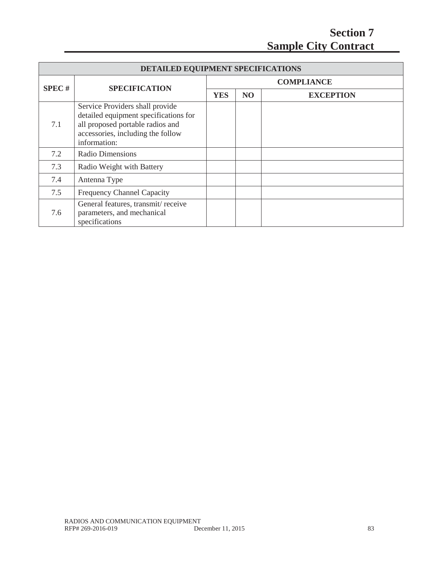| DETAILED EQUIPMENT SPECIFICATIONS |                                                                                                                                                                   |                   |                |                  |  |
|-----------------------------------|-------------------------------------------------------------------------------------------------------------------------------------------------------------------|-------------------|----------------|------------------|--|
| <b>SPEC#</b>                      |                                                                                                                                                                   | <b>COMPLIANCE</b> |                |                  |  |
|                                   | <b>SPECIFICATION</b>                                                                                                                                              | <b>YES</b>        | N <sub>O</sub> | <b>EXCEPTION</b> |  |
| 7.1                               | Service Providers shall provide<br>detailed equipment specifications for<br>all proposed portable radios and<br>accessories, including the follow<br>information: |                   |                |                  |  |
| 7.2                               | <b>Radio Dimensions</b>                                                                                                                                           |                   |                |                  |  |
| 7.3                               | Radio Weight with Battery                                                                                                                                         |                   |                |                  |  |
| 7.4                               | Antenna Type                                                                                                                                                      |                   |                |                  |  |
| 7.5                               | <b>Frequency Channel Capacity</b>                                                                                                                                 |                   |                |                  |  |
| 7.6                               | General features, transmit/receive<br>parameters, and mechanical<br>specifications                                                                                |                   |                |                  |  |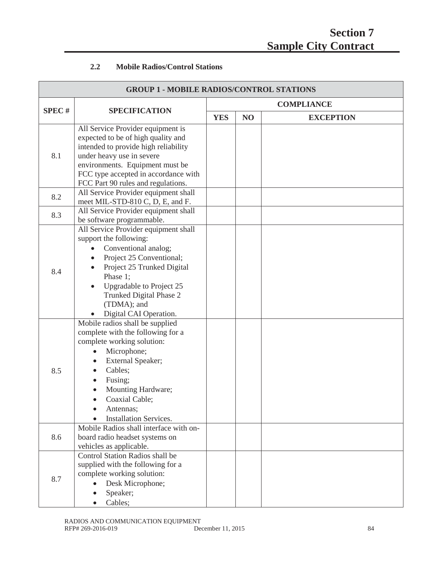# **2.2 Mobile Radios/Control Stations**

| <b>GROUP 1 - MOBILE RADIOS/CONTROL STATIONS</b> |                                                                                                                                                                                                                                                                                        |            |                   |                  |  |
|-------------------------------------------------|----------------------------------------------------------------------------------------------------------------------------------------------------------------------------------------------------------------------------------------------------------------------------------------|------------|-------------------|------------------|--|
|                                                 |                                                                                                                                                                                                                                                                                        |            | <b>COMPLIANCE</b> |                  |  |
| <b>SPEC#</b>                                    | <b>SPECIFICATION</b>                                                                                                                                                                                                                                                                   | <b>YES</b> | NO                | <b>EXCEPTION</b> |  |
| 8.1                                             | All Service Provider equipment is<br>expected to be of high quality and<br>intended to provide high reliability<br>under heavy use in severe<br>environments. Equipment must be<br>FCC type accepted in accordance with<br>FCC Part 90 rules and regulations.                          |            |                   |                  |  |
| 8.2                                             | All Service Provider equipment shall<br>meet MIL-STD-810 C, D, E, and F.                                                                                                                                                                                                               |            |                   |                  |  |
| 8.3                                             | All Service Provider equipment shall<br>be software programmable.                                                                                                                                                                                                                      |            |                   |                  |  |
| 8.4                                             | All Service Provider equipment shall<br>support the following:<br>Conventional analog;<br>$\bullet$<br>Project 25 Conventional;<br>$\bullet$<br>Project 25 Trunked Digital<br>Phase 1;<br>Upgradable to Project 25<br>Trunked Digital Phase 2<br>(TDMA); and<br>Digital CAI Operation. |            |                   |                  |  |
| 8.5                                             | Mobile radios shall be supplied<br>complete with the following for a<br>complete working solution:<br>Microphone;<br>External Speaker;<br>Cables;<br>Fusing;<br>Mounting Hardware;<br>Coaxial Cable;<br>Antennas;<br><b>Installation Services.</b>                                     |            |                   |                  |  |
| 8.6                                             | Mobile Radios shall interface with on-<br>board radio headset systems on<br>vehicles as applicable.                                                                                                                                                                                    |            |                   |                  |  |
| 8.7                                             | Control Station Radios shall be<br>supplied with the following for a<br>complete working solution:<br>Desk Microphone;<br>Speaker;<br>Cables;                                                                                                                                          |            |                   |                  |  |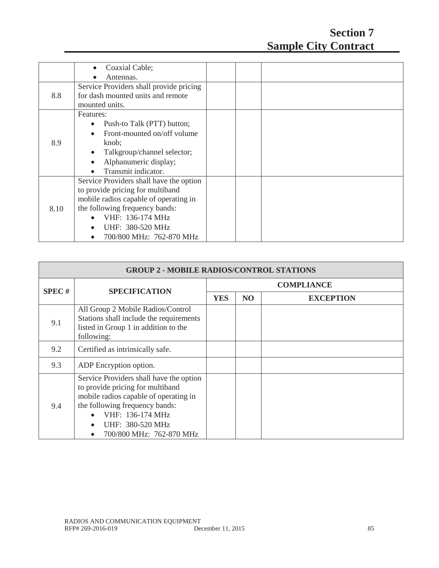|      | Coaxial Cable;<br>$\bullet$             |  |  |
|------|-----------------------------------------|--|--|
|      | Antennas.                               |  |  |
|      | Service Providers shall provide pricing |  |  |
| 8.8  | for dash mounted units and remote       |  |  |
|      | mounted units.                          |  |  |
|      | Features:                               |  |  |
|      | Push-to Talk (PTT) button;              |  |  |
|      | Front-mounted on/off volume             |  |  |
| 8.9  | knob;                                   |  |  |
|      | Talkgroup/channel selector;             |  |  |
|      | Alphanumeric display;                   |  |  |
|      | Transmit indicator.                     |  |  |
|      | Service Providers shall have the option |  |  |
|      | to provide pricing for multiband        |  |  |
| 8.10 | mobile radios capable of operating in   |  |  |
|      | the following frequency bands:          |  |  |
|      | VHF: 136-174 MHz                        |  |  |
|      | UHF: 380-520 MHz                        |  |  |
|      | 700/800 MHz: 762-870 MHz                |  |  |

| <b>GROUP 2 - MOBILE RADIOS/CONTROL STATIONS</b> |                                                                                                                                                                                                                            |                   |                |                  |  |
|-------------------------------------------------|----------------------------------------------------------------------------------------------------------------------------------------------------------------------------------------------------------------------------|-------------------|----------------|------------------|--|
|                                                 | <b>SPECIFICATION</b>                                                                                                                                                                                                       | <b>COMPLIANCE</b> |                |                  |  |
| <b>SPEC#</b>                                    |                                                                                                                                                                                                                            | <b>YES</b>        | N <sub>O</sub> | <b>EXCEPTION</b> |  |
| 9.1                                             | All Group 2 Mobile Radios/Control<br>Stations shall include the requirements<br>listed in Group 1 in addition to the<br>following:                                                                                         |                   |                |                  |  |
| 9.2                                             | Certified as intrinsically safe.                                                                                                                                                                                           |                   |                |                  |  |
| 9.3                                             | ADP Encryption option.                                                                                                                                                                                                     |                   |                |                  |  |
| 9.4                                             | Service Providers shall have the option<br>to provide pricing for multiband<br>mobile radios capable of operating in<br>the following frequency bands:<br>VHF: 136-174 MHz<br>UHF: 380-520 MHz<br>700/800 MHz: 762-870 MHz |                   |                |                  |  |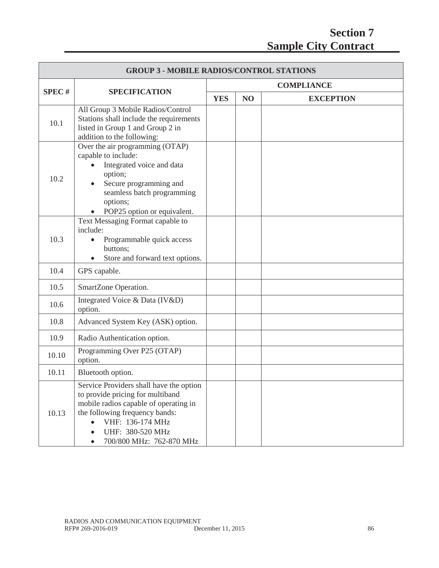| <b>GROUP 3 - MOBILE RADIOS/CONTROL STATIONS</b> |                                                                                                                                                                                                                            |                   |                |                  |  |
|-------------------------------------------------|----------------------------------------------------------------------------------------------------------------------------------------------------------------------------------------------------------------------------|-------------------|----------------|------------------|--|
|                                                 | <b>SPECIFICATION</b>                                                                                                                                                                                                       | <b>COMPLIANCE</b> |                |                  |  |
| <b>SPEC#</b>                                    |                                                                                                                                                                                                                            | <b>YES</b>        | N <sub>O</sub> | <b>EXCEPTION</b> |  |
| 10.1                                            | All Group 3 Mobile Radios/Control<br>Stations shall include the requirements<br>listed in Group 1 and Group 2 in<br>addition to the following:                                                                             |                   |                |                  |  |
| 10.2                                            | Over the air programming (OTAP)<br>capable to include:<br>Integrated voice and data<br>option;<br>Secure programming and<br>seamless batch programming<br>options;<br>POP25 option or equivalent.                          |                   |                |                  |  |
| 10.3                                            | Text Messaging Format capable to<br>include:<br>Programmable quick access<br>$\bullet$<br>buttons;<br>Store and forward text options.                                                                                      |                   |                |                  |  |
| 10.4                                            | GPS capable.                                                                                                                                                                                                               |                   |                |                  |  |
| 10.5                                            | SmartZone Operation.                                                                                                                                                                                                       |                   |                |                  |  |
| 10.6                                            | Integrated Voice & Data (IV&D)<br>option.                                                                                                                                                                                  |                   |                |                  |  |
| 10.8                                            | Advanced System Key (ASK) option.                                                                                                                                                                                          |                   |                |                  |  |
| 10.9                                            | Radio Authentication option.                                                                                                                                                                                               |                   |                |                  |  |
| 10.10                                           | Programming Over P25 (OTAP)<br>option.                                                                                                                                                                                     |                   |                |                  |  |
| 10.11                                           | Bluetooth option.                                                                                                                                                                                                          |                   |                |                  |  |
| 10.13                                           | Service Providers shall have the option<br>to provide pricing for multiband<br>mobile radios capable of operating in<br>the following frequency bands:<br>VHF: 136-174 MHz<br>UHF: 380-520 MHz<br>700/800 MHz: 762-870 MHz |                   |                |                  |  |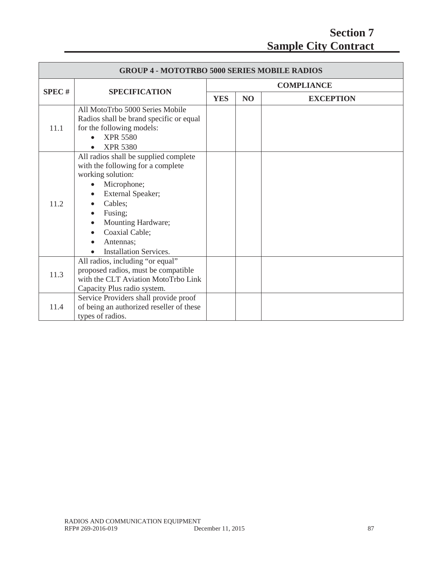| <b>GROUP 4 - MOTOTRBO 5000 SERIES MOBILE RADIOS</b> |                                                                                                                                                                                                                                                                           |                   |           |                  |  |
|-----------------------------------------------------|---------------------------------------------------------------------------------------------------------------------------------------------------------------------------------------------------------------------------------------------------------------------------|-------------------|-----------|------------------|--|
| SPEC#                                               | <b>SPECIFICATION</b>                                                                                                                                                                                                                                                      | <b>COMPLIANCE</b> |           |                  |  |
|                                                     |                                                                                                                                                                                                                                                                           | <b>YES</b>        | <b>NO</b> | <b>EXCEPTION</b> |  |
| 11.1                                                | All MotoTrbo 5000 Series Mobile<br>Radios shall be brand specific or equal<br>for the following models:<br><b>XPR 5580</b><br><b>XPR 5380</b>                                                                                                                             |                   |           |                  |  |
| 11.2                                                | All radios shall be supplied complete<br>with the following for a complete<br>working solution:<br>Microphone;<br>External Speaker;<br>Cables;<br>Fusing;<br>$\bullet$<br>Mounting Hardware;<br>$\bullet$<br>Coaxial Cable;<br>Antennas;<br><b>Installation Services.</b> |                   |           |                  |  |
| 11.3                                                | All radios, including "or equal"<br>proposed radios, must be compatible<br>with the CLT Aviation MotoTrbo Link<br>Capacity Plus radio system.                                                                                                                             |                   |           |                  |  |
| 11.4                                                | Service Providers shall provide proof<br>of being an authorized reseller of these<br>types of radios.                                                                                                                                                                     |                   |           |                  |  |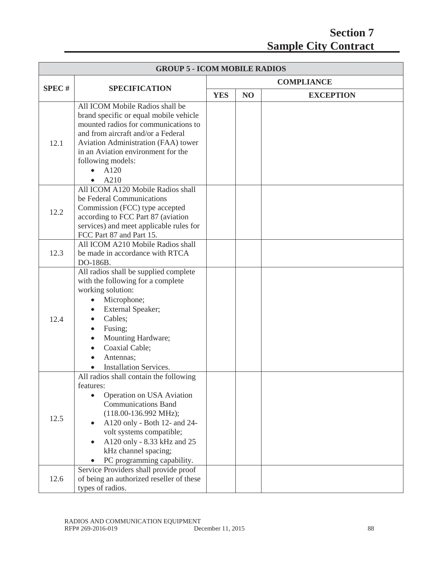| <b>GROUP 5 - ICOM MOBILE RADIOS</b> |                                                                                                                                                                                                                                                                                                                                                          |                   |    |                  |  |
|-------------------------------------|----------------------------------------------------------------------------------------------------------------------------------------------------------------------------------------------------------------------------------------------------------------------------------------------------------------------------------------------------------|-------------------|----|------------------|--|
|                                     |                                                                                                                                                                                                                                                                                                                                                          | <b>COMPLIANCE</b> |    |                  |  |
| <b>SPEC#</b>                        | <b>SPECIFICATION</b>                                                                                                                                                                                                                                                                                                                                     | <b>YES</b>        | NO | <b>EXCEPTION</b> |  |
| 12.1                                | All ICOM Mobile Radios shall be<br>brand specific or equal mobile vehicle<br>mounted radios for communications to<br>and from aircraft and/or a Federal<br>Aviation Administration (FAA) tower<br>in an Aviation environment for the<br>following models:<br>A120<br>$\bullet$<br>A210<br>$\bullet$                                                      |                   |    |                  |  |
| 12.2                                | All ICOM A120 Mobile Radios shall<br>be Federal Communications<br>Commission (FCC) type accepted<br>according to FCC Part 87 (aviation<br>services) and meet applicable rules for<br>FCC Part 87 and Part 15.                                                                                                                                            |                   |    |                  |  |
| 12.3                                | All ICOM A210 Mobile Radios shall<br>be made in accordance with RTCA<br>DO-186B.                                                                                                                                                                                                                                                                         |                   |    |                  |  |
| 12.4                                | All radios shall be supplied complete<br>with the following for a complete<br>working solution:<br>Microphone;<br>$\bullet$<br>External Speaker;<br>$\bullet$<br>Cables;<br>$\bullet$<br>Fusing;<br>$\bullet$<br>Mounting Hardware;<br>$\bullet$<br>Coaxial Cable;<br>$\bullet$<br>Antennas;<br><b>Installation Services.</b>                            |                   |    |                  |  |
| 12.5                                | All radios shall contain the following<br>features:<br>Operation on USA Aviation<br>$\bullet$<br><b>Communications Band</b><br>$(118.00-136.992 \text{ MHz});$<br>A120 only - Both 12- and 24-<br>volt systems compatible;<br>A120 only - 8.33 kHz and 25<br>kHz channel spacing;<br>PC programming capability.<br>Service Providers shall provide proof |                   |    |                  |  |
| 12.6                                | of being an authorized reseller of these<br>types of radios.                                                                                                                                                                                                                                                                                             |                   |    |                  |  |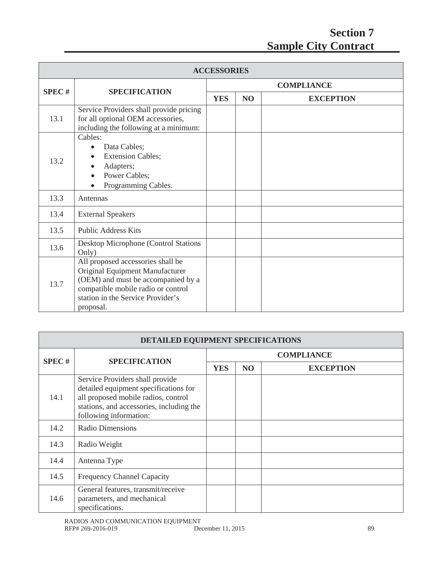| <b>ACCESSORIES</b> |                                                                                                                                                                                                    |                   |                |                  |  |
|--------------------|----------------------------------------------------------------------------------------------------------------------------------------------------------------------------------------------------|-------------------|----------------|------------------|--|
| SPEC#              | <b>SPECIFICATION</b>                                                                                                                                                                               | <b>COMPLIANCE</b> |                |                  |  |
|                    |                                                                                                                                                                                                    | <b>YES</b>        | N <sub>O</sub> | <b>EXCEPTION</b> |  |
| 13.1               | Service Providers shall provide pricing<br>for all optional OEM accessories,<br>including the following at a minimum:                                                                              |                   |                |                  |  |
| 13.2               | Cables:<br>Data Cables;<br>$\bullet$<br><b>Extension Cables;</b><br>$\bullet$<br>Adapters;<br>Power Cables;<br>Programming Cables.                                                                 |                   |                |                  |  |
| 13.3               | Antennas                                                                                                                                                                                           |                   |                |                  |  |
| 13.4               | <b>External Speakers</b>                                                                                                                                                                           |                   |                |                  |  |
| 13.5               | <b>Public Address Kits</b>                                                                                                                                                                         |                   |                |                  |  |
| 13.6               | Desktop Microphone (Control Stations<br>Only)                                                                                                                                                      |                   |                |                  |  |
| 13.7               | All proposed accessories shall be<br>Original Equipment Manufacturer<br>(OEM) and must be accompanied by a<br>compatible mobile radio or control<br>station in the Service Provider's<br>proposal. |                   |                |                  |  |

| DETAILED EQUIPMENT SPECIFICATIONS |                                                                                                                                                                                       |                   |                 |                  |  |
|-----------------------------------|---------------------------------------------------------------------------------------------------------------------------------------------------------------------------------------|-------------------|-----------------|------------------|--|
| <b>SPEC#</b>                      | <b>SPECIFICATION</b>                                                                                                                                                                  | <b>COMPLIANCE</b> |                 |                  |  |
|                                   |                                                                                                                                                                                       | <b>YES</b>        | NO <sub>1</sub> | <b>EXCEPTION</b> |  |
| 14.1                              | Service Providers shall provide<br>detailed equipment specifications for<br>all proposed mobile radios, control<br>stations, and accessories, including the<br>following information: |                   |                 |                  |  |
| 14.2                              | <b>Radio Dimensions</b>                                                                                                                                                               |                   |                 |                  |  |
| 14.3                              | Radio Weight                                                                                                                                                                          |                   |                 |                  |  |
| 14.4                              | Antenna Type                                                                                                                                                                          |                   |                 |                  |  |
| 14.5                              | <b>Frequency Channel Capacity</b>                                                                                                                                                     |                   |                 |                  |  |
| 14.6                              | General features, transmit/receive<br>parameters, and mechanical<br>specifications.                                                                                                   |                   |                 |                  |  |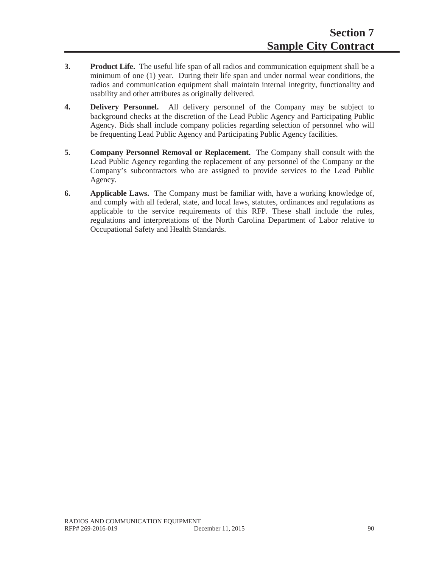- **3. Product Life.** The useful life span of all radios and communication equipment shall be a minimum of one (1) year. During their life span and under normal wear conditions, the radios and communication equipment shall maintain internal integrity, functionality and usability and other attributes as originally delivered.
- **4. Delivery Personnel.** All delivery personnel of the Company may be subject to background checks at the discretion of the Lead Public Agency and Participating Public Agency. Bids shall include company policies regarding selection of personnel who will be frequenting Lead Public Agency and Participating Public Agency facilities.
- **5. Company Personnel Removal or Replacement.** The Company shall consult with the Lead Public Agency regarding the replacement of any personnel of the Company or the Company's subcontractors who are assigned to provide services to the Lead Public Agency.
- **6. Applicable Laws.** The Company must be familiar with, have a working knowledge of, and comply with all federal, state, and local laws, statutes, ordinances and regulations as applicable to the service requirements of this RFP. These shall include the rules, regulations and interpretations of the North Carolina Department of Labor relative to Occupational Safety and Health Standards.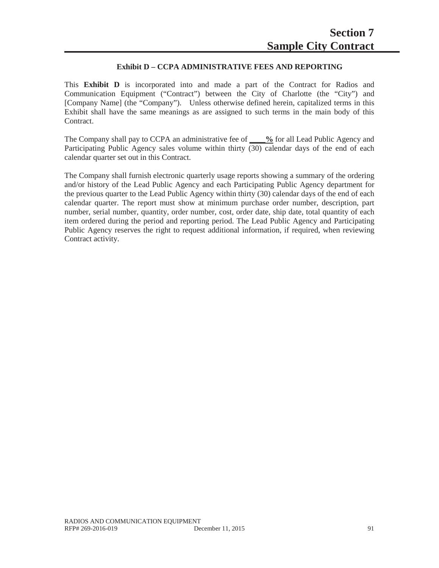### **Exhibit D – CCPA ADMINISTRATIVE FEES AND REPORTING**

This **Exhibit D** is incorporated into and made a part of the Contract for Radios and Communication Equipment ("Contract") between the City of Charlotte (the "City") and [Company Name] (the "Company"). Unless otherwise defined herein, capitalized terms in this Exhibit shall have the same meanings as are assigned to such terms in the main body of this Contract.

The Company shall pay to CCPA an administrative fee of **\_\_\_\_%** for all Lead Public Agency and Participating Public Agency sales volume within thirty (30) calendar days of the end of each calendar quarter set out in this Contract.

The Company shall furnish electronic quarterly usage reports showing a summary of the ordering and/or history of the Lead Public Agency and each Participating Public Agency department for the previous quarter to the Lead Public Agency within thirty (30) calendar days of the end of each calendar quarter. The report must show at minimum purchase order number, description, part number, serial number, quantity, order number, cost, order date, ship date, total quantity of each item ordered during the period and reporting period. The Lead Public Agency and Participating Public Agency reserves the right to request additional information, if required, when reviewing Contract activity.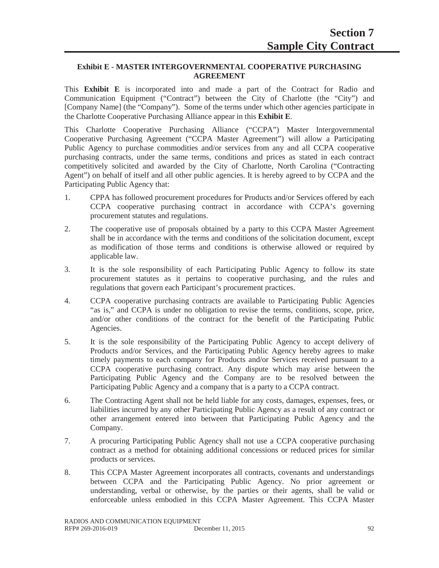### **Exhibit E - MASTER INTERGOVERNMENTAL COOPERATIVE PURCHASING AGREEMENT**

This **Exhibit E** is incorporated into and made a part of the Contract for Radio and Communication Equipment ("Contract") between the City of Charlotte (the "City") and [Company Name] (the "Company"). Some of the terms under which other agencies participate in the Charlotte Cooperative Purchasing Alliance appear in this **Exhibit E**.

This Charlotte Cooperative Purchasing Alliance ("CCPA") Master Intergovernmental Cooperative Purchasing Agreement ("CCPA Master Agreement") will allow a Participating Public Agency to purchase commodities and/or services from any and all CCPA cooperative purchasing contracts, under the same terms, conditions and prices as stated in each contract competitively solicited and awarded by the City of Charlotte, North Carolina ("Contracting Agent") on behalf of itself and all other public agencies. It is hereby agreed to by CCPA and the Participating Public Agency that:

- 1. CPPA has followed procurement procedures for Products and/or Services offered by each CCPA cooperative purchasing contract in accordance with CCPA's governing procurement statutes and regulations.
- 2. The cooperative use of proposals obtained by a party to this CCPA Master Agreement shall be in accordance with the terms and conditions of the solicitation document, except as modification of those terms and conditions is otherwise allowed or required by applicable law.
- 3. It is the sole responsibility of each Participating Public Agency to follow its state procurement statutes as it pertains to cooperative purchasing, and the rules and regulations that govern each Participant's procurement practices.
- 4. CCPA cooperative purchasing contracts are available to Participating Public Agencies "as is," and CCPA is under no obligation to revise the terms, conditions, scope, price, and/or other conditions of the contract for the benefit of the Participating Public Agencies.
- 5. It is the sole responsibility of the Participating Public Agency to accept delivery of Products and/or Services, and the Participating Public Agency hereby agrees to make timely payments to each company for Products and/or Services received pursuant to a CCPA cooperative purchasing contract. Any dispute which may arise between the Participating Public Agency and the Company are to be resolved between the Participating Public Agency and a company that is a party to a CCPA contract.
- 6. The Contracting Agent shall not be held liable for any costs, damages, expenses, fees, or liabilities incurred by any other Participating Public Agency as a result of any contract or other arrangement entered into between that Participating Public Agency and the Company.
- 7. A procuring Participating Public Agency shall not use a CCPA cooperative purchasing contract as a method for obtaining additional concessions or reduced prices for similar products or services.
- 8. This CCPA Master Agreement incorporates all contracts, covenants and understandings between CCPA and the Participating Public Agency. No prior agreement or understanding, verbal or otherwise, by the parties or their agents, shall be valid or enforceable unless embodied in this CCPA Master Agreement. This CCPA Master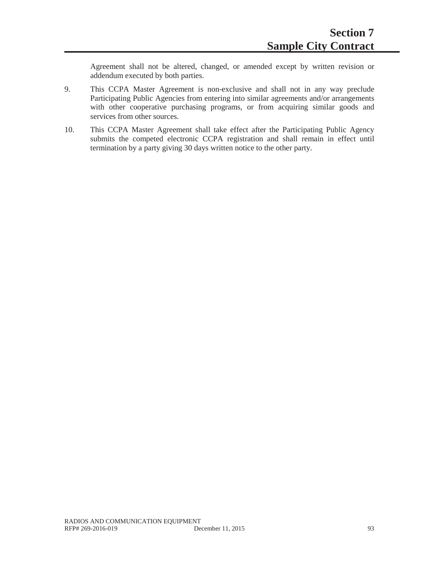Agreement shall not be altered, changed, or amended except by written revision or addendum executed by both parties.

- 9. This CCPA Master Agreement is non-exclusive and shall not in any way preclude Participating Public Agencies from entering into similar agreements and/or arrangements with other cooperative purchasing programs, or from acquiring similar goods and services from other sources.
- 10. This CCPA Master Agreement shall take effect after the Participating Public Agency submits the competed electronic CCPA registration and shall remain in effect until termination by a party giving 30 days written notice to the other party.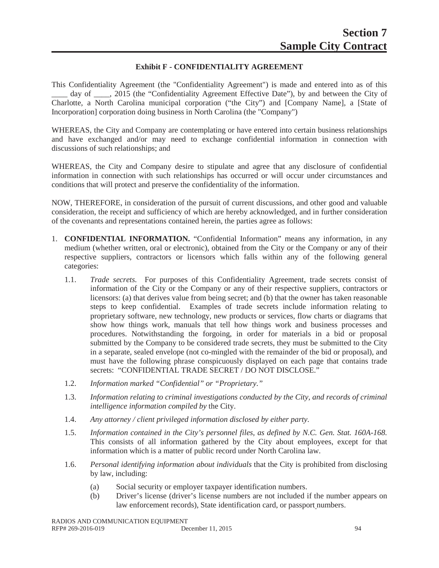### **Exhibit F - CONFIDENTIALITY AGREEMENT**

This Confidentiality Agreement (the "Confidentiality Agreement") is made and entered into as of this day of cases, 2015 (the "Confidentiality Agreement Effective Date"), by and between the City of Charlotte, a North Carolina municipal corporation ("the City") and [Company Name], a [State of Incorporation] corporation doing business in North Carolina (the "Company")

WHEREAS, the City and Company are contemplating or have entered into certain business relationships and have exchanged and/or may need to exchange confidential information in connection with discussions of such relationships; and

WHEREAS, the City and Company desire to stipulate and agree that any disclosure of confidential information in connection with such relationships has occurred or will occur under circumstances and conditions that will protect and preserve the confidentiality of the information.

NOW, THEREFORE, in consideration of the pursuit of current discussions, and other good and valuable consideration, the receipt and sufficiency of which are hereby acknowledged, and in further consideration of the covenants and representations contained herein, the parties agree as follows:

- 1. **CONFIDENTIAL INFORMATION.** "Confidential Information" means any information, in any medium (whether written, oral or electronic), obtained from the City or the Company or any of their respective suppliers, contractors or licensors which falls within any of the following general categories:
	- 1.1. *Trade secrets.* For purposes of this Confidentiality Agreement, trade secrets consist of information of the City or the Company or any of their respective suppliers, contractors or licensors: (a) that derives value from being secret; and (b) that the owner has taken reasonable steps to keep confidential. Examples of trade secrets include information relating to proprietary software, new technology, new products or services, flow charts or diagrams that show how things work, manuals that tell how things work and business processes and procedures. Notwithstanding the forgoing, in order for materials in a bid or proposal submitted by the Company to be considered trade secrets, they must be submitted to the City in a separate, sealed envelope (not co-mingled with the remainder of the bid or proposal), and must have the following phrase conspicuously displayed on each page that contains trade secrets: "CONFIDENTIAL TRADE SECRET / DO NOT DISCLOSE."
	- 1.2. *Information marked "Confidential" or "Proprietary."*
	- 1.3. *Information relating to criminal investigations conducted by the City, and records of criminal intelligence information compiled by* the City.
	- 1.4. *Any attorney / client privileged information disclosed by either party.*
	- 1.5. *Information contained in the City's personnel files, as defined by N.C. Gen. Stat. 160A-168.* This consists of all information gathered by the City about employees, except for that information which is a matter of public record under North Carolina law.
	- 1.6. *Personal identifying information about individuals* that the City is prohibited from disclosing by law, including:
		- (a) Social security or employer taxpayer identification numbers.
		- (b) Driver's license (driver's license numbers are not included if the number appears on law enforcement records), State identification card, or passport numbers.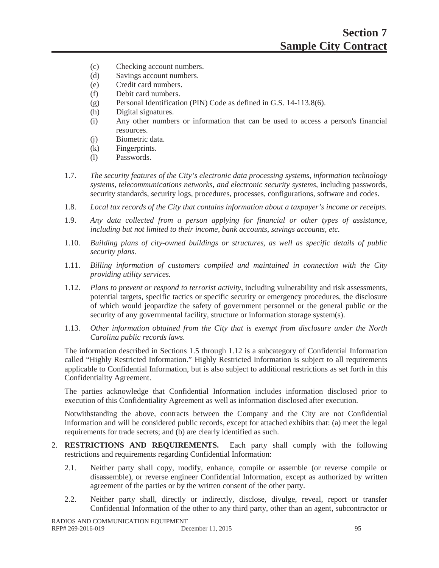- (c) Checking account numbers.
- (d) Savings account numbers.
- (e) Credit card numbers.
- (f) Debit card numbers.
- (g) Personal Identification (PIN) Code as defined in G.S. 14-113.8(6).
- (h) Digital signatures.
- (i) Any other numbers or information that can be used to access a person's financial resources.
- (j) Biometric data.
- (k) Fingerprints.
- (l) Passwords.
- 1.7. *The security features of the City's electronic data processing systems*, *information technology systems, telecommunications networks, and electronic security systems*, including passwords, security standards, security logs, procedures, processes, configurations, software and codes.
- 1.8. *Local tax records of the City that contains information about a taxpayer's income or receipts.*
- 1.9. *Any data collected from a person applying for financial or other types of assistance, including but not limited to their income, bank accounts, savings accounts, etc.*
- 1.10. *Building plans of city-owned buildings or structures, as well as specific details of public security plans.*
- 1.11. *Billing information of customers compiled and maintained in connection with the City providing utility services.*
- 1.12. *Plans to prevent or respond to terrorist activity*, including vulnerability and risk assessments, potential targets, specific tactics or specific security or emergency procedures, the disclosure of which would jeopardize the safety of government personnel or the general public or the security of any governmental facility, structure or information storage system(s).
- 1.13. *Other information obtained from the City that is exempt from disclosure under the North Carolina public records laws.*

The information described in Sections 1.5 through 1.12 is a subcategory of Confidential Information called "Highly Restricted Information." Highly Restricted Information is subject to all requirements applicable to Confidential Information, but is also subject to additional restrictions as set forth in this Confidentiality Agreement.

The parties acknowledge that Confidential Information includes information disclosed prior to execution of this Confidentiality Agreement as well as information disclosed after execution.

Notwithstanding the above, contracts between the Company and the City are not Confidential Information and will be considered public records, except for attached exhibits that: (a) meet the legal requirements for trade secrets; and (b) are clearly identified as such.

- 2. **RESTRICTIONS AND REQUIREMENTS.** Each party shall comply with the following restrictions and requirements regarding Confidential Information:
	- 2.1. Neither party shall copy, modify, enhance, compile or assemble (or reverse compile or disassemble), or reverse engineer Confidential Information, except as authorized by written agreement of the parties or by the written consent of the other party.
	- 2.2. Neither party shall, directly or indirectly, disclose, divulge, reveal, report or transfer Confidential Information of the other to any third party, other than an agent, subcontractor or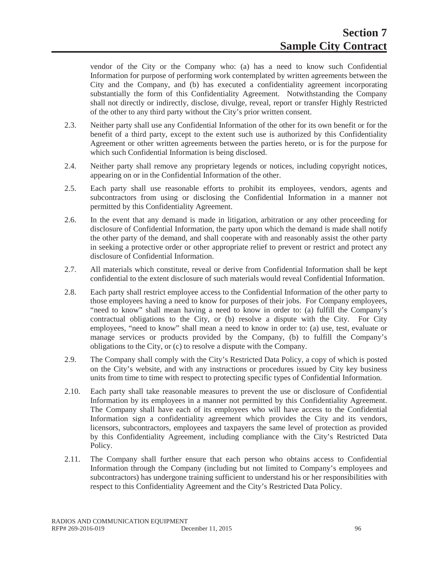vendor of the City or the Company who: (a) has a need to know such Confidential Information for purpose of performing work contemplated by written agreements between the City and the Company, and (b) has executed a confidentiality agreement incorporating substantially the form of this Confidentiality Agreement. Notwithstanding the Company shall not directly or indirectly, disclose, divulge, reveal, report or transfer Highly Restricted of the other to any third party without the City's prior written consent.

- 2.3. Neither party shall use any Confidential Information of the other for its own benefit or for the benefit of a third party, except to the extent such use is authorized by this Confidentiality Agreement or other written agreements between the parties hereto, or is for the purpose for which such Confidential Information is being disclosed.
- 2.4. Neither party shall remove any proprietary legends or notices, including copyright notices, appearing on or in the Confidential Information of the other.
- 2.5. Each party shall use reasonable efforts to prohibit its employees, vendors, agents and subcontractors from using or disclosing the Confidential Information in a manner not permitted by this Confidentiality Agreement.
- 2.6. In the event that any demand is made in litigation, arbitration or any other proceeding for disclosure of Confidential Information, the party upon which the demand is made shall notify the other party of the demand, and shall cooperate with and reasonably assist the other party in seeking a protective order or other appropriate relief to prevent or restrict and protect any disclosure of Confidential Information.
- 2.7. All materials which constitute, reveal or derive from Confidential Information shall be kept confidential to the extent disclosure of such materials would reveal Confidential Information.
- 2.8. Each party shall restrict employee access to the Confidential Information of the other party to those employees having a need to know for purposes of their jobs. For Company employees, "need to know" shall mean having a need to know in order to: (a) fulfill the Company's contractual obligations to the City, or (b) resolve a dispute with the City. For City employees, "need to know" shall mean a need to know in order to: (a) use, test, evaluate or manage services or products provided by the Company, (b) to fulfill the Company's obligations to the City, or (c) to resolve a dispute with the Company.
- 2.9. The Company shall comply with the City's Restricted Data Policy, a copy of which is posted on the City's website, and with any instructions or procedures issued by City key business units from time to time with respect to protecting specific types of Confidential Information.
- 2.10. Each party shall take reasonable measures to prevent the use or disclosure of Confidential Information by its employees in a manner not permitted by this Confidentiality Agreement. The Company shall have each of its employees who will have access to the Confidential Information sign a confidentiality agreement which provides the City and its vendors, licensors, subcontractors, employees and taxpayers the same level of protection as provided by this Confidentiality Agreement, including compliance with the City's Restricted Data Policy.
- 2.11. The Company shall further ensure that each person who obtains access to Confidential Information through the Company (including but not limited to Company's employees and subcontractors) has undergone training sufficient to understand his or her responsibilities with respect to this Confidentiality Agreement and the City's Restricted Data Policy.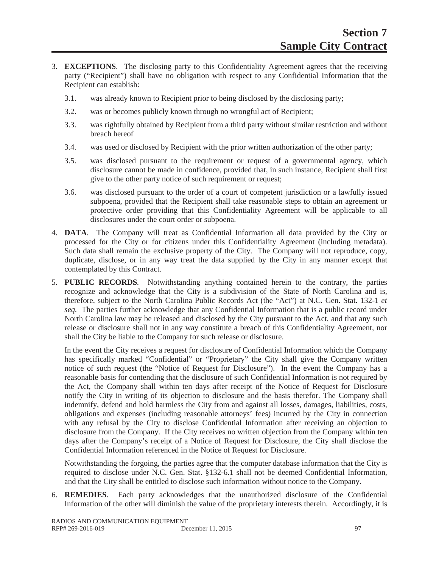- 3. **EXCEPTIONS**. The disclosing party to this Confidentiality Agreement agrees that the receiving party ("Recipient") shall have no obligation with respect to any Confidential Information that the Recipient can establish:
	- 3.1. was already known to Recipient prior to being disclosed by the disclosing party;
	- 3.2. was or becomes publicly known through no wrongful act of Recipient;
	- 3.3. was rightfully obtained by Recipient from a third party without similar restriction and without breach hereof
	- 3.4. was used or disclosed by Recipient with the prior written authorization of the other party;
	- 3.5. was disclosed pursuant to the requirement or request of a governmental agency, which disclosure cannot be made in confidence, provided that, in such instance, Recipient shall first give to the other party notice of such requirement or request;
	- 3.6. was disclosed pursuant to the order of a court of competent jurisdiction or a lawfully issued subpoena, provided that the Recipient shall take reasonable steps to obtain an agreement or protective order providing that this Confidentiality Agreement will be applicable to all disclosures under the court order or subpoena.
- 4. **DATA**. The Company will treat as Confidential Information all data provided by the City or processed for the City or for citizens under this Confidentiality Agreement (including metadata). Such data shall remain the exclusive property of the City. The Company will not reproduce, copy, duplicate, disclose, or in any way treat the data supplied by the City in any manner except that contemplated by this Contract.
- 5. **PUBLIC RECORDS***.* Notwithstanding anything contained herein to the contrary, the parties recognize and acknowledge that the City is a subdivision of the State of North Carolina and is, therefore, subject to the North Carolina Public Records Act (the "Act") at N.C. Gen. Stat. 132-1 *et seq.* The parties further acknowledge that any Confidential Information that is a public record under North Carolina law may be released and disclosed by the City pursuant to the Act, and that any such release or disclosure shall not in any way constitute a breach of this Confidentiality Agreement, nor shall the City be liable to the Company for such release or disclosure.

In the event the City receives a request for disclosure of Confidential Information which the Company has specifically marked "Confidential" or "Proprietary" the City shall give the Company written notice of such request (the "Notice of Request for Disclosure"). In the event the Company has a reasonable basis for contending that the disclosure of such Confidential Information is not required by the Act, the Company shall within ten days after receipt of the Notice of Request for Disclosure notify the City in writing of its objection to disclosure and the basis therefor. The Company shall indemnify, defend and hold harmless the City from and against all losses, damages, liabilities, costs, obligations and expenses (including reasonable attorneys' fees) incurred by the City in connection with any refusal by the City to disclose Confidential Information after receiving an objection to disclosure from the Company. If the City receives no written objection from the Company within ten days after the Company's receipt of a Notice of Request for Disclosure, the City shall disclose the Confidential Information referenced in the Notice of Request for Disclosure.

Notwithstanding the forgoing, the parties agree that the computer database information that the City is required to disclose under N.C. Gen. Stat. §132-6.1 shall not be deemed Confidential Information, and that the City shall be entitled to disclose such information without notice to the Company.

6. **REMEDIES**. Each party acknowledges that the unauthorized disclosure of the Confidential Information of the other will diminish the value of the proprietary interests therein. Accordingly, it is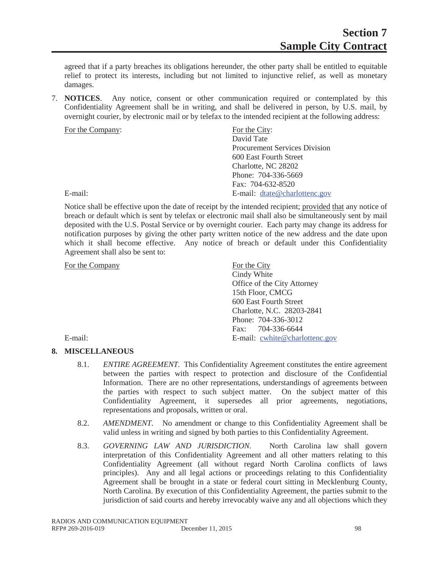agreed that if a party breaches its obligations hereunder, the other party shall be entitled to equitable relief to protect its interests, including but not limited to injunctive relief, as well as monetary damages.

7. **NOTICES**. Any notice, consent or other communication required or contemplated by this Confidentiality Agreement shall be in writing, and shall be delivered in person, by U.S. mail, by overnight courier, by electronic mail or by telefax to the intended recipient at the following address:

| For the Company: | For the City:                        |
|------------------|--------------------------------------|
|                  | David Tate                           |
|                  | <b>Procurement Services Division</b> |
|                  | 600 East Fourth Street               |
|                  | Charlotte, NC 28202                  |
|                  | Phone: 704-336-5669                  |
|                  | Fax: 704-632-8520                    |
| E-mail:          | E-mail: dtate@charlottenc.gov        |
|                  |                                      |

Notice shall be effective upon the date of receipt by the intended recipient; provided that any notice of breach or default which is sent by telefax or electronic mail shall also be simultaneously sent by mail deposited with the U.S. Postal Service or by overnight courier. Each party may change its address for notification purposes by giving the other party written notice of the new address and the date upon which it shall become effective. Any notice of breach or default under this Confidentiality Agreement shall also be sent to:

For the Company For the City

| For the Company | For the City                   |
|-----------------|--------------------------------|
|                 | Cindy White                    |
|                 | Office of the City Attorney    |
|                 | 15th Floor, CMCG               |
|                 | 600 East Fourth Street         |
|                 | Charlotte, N.C. 28203-2841     |
|                 | Phone: 704-336-3012            |
|                 | Fax: 704-336-6644              |
| E-mail:         | E-mail: cwhite@charlottenc.gov |
|                 |                                |

## **8. MISCELLANEOUS**

- 8.1. *ENTIRE AGREEMENT.* This Confidentiality Agreement constitutes the entire agreement between the parties with respect to protection and disclosure of the Confidential Information. There are no other representations, understandings of agreements between the parties with respect to such subject matter. On the subject matter of this Confidentiality Agreement, it supersedes all prior agreements, negotiations, representations and proposals, written or oral.
- 8.2. *AMENDMENT*. No amendment or change to this Confidentiality Agreement shall be valid unless in writing and signed by both parties to this Confidentiality Agreement.
- 8.3. *GOVERNING LAW AND JURISDICTION.* North Carolina law shall govern interpretation of this Confidentiality Agreement and all other matters relating to this Confidentiality Agreement (all without regard North Carolina conflicts of laws principles). Any and all legal actions or proceedings relating to this Confidentiality Agreement shall be brought in a state or federal court sitting in Mecklenburg County, North Carolina. By execution of this Confidentiality Agreement, the parties submit to the jurisdiction of said courts and hereby irrevocably waive any and all objections which they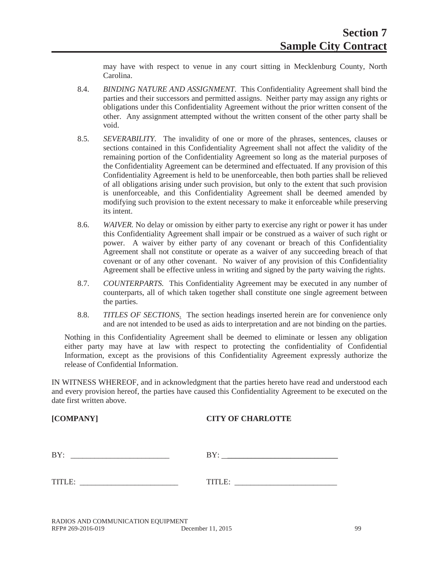may have with respect to venue in any court sitting in Mecklenburg County, North Carolina.

- 8.4. *BINDING NATURE AND ASSIGNMENT.* This Confidentiality Agreement shall bind the parties and their successors and permitted assigns. Neither party may assign any rights or obligations under this Confidentiality Agreement without the prior written consent of the other. Any assignment attempted without the written consent of the other party shall be void.
- 8.5. *SEVERABILITY.* The invalidity of one or more of the phrases, sentences, clauses or sections contained in this Confidentiality Agreement shall not affect the validity of the remaining portion of the Confidentiality Agreement so long as the material purposes of the Confidentiality Agreement can be determined and effectuated. If any provision of this Confidentiality Agreement is held to be unenforceable, then both parties shall be relieved of all obligations arising under such provision, but only to the extent that such provision is unenforceable, and this Confidentiality Agreement shall be deemed amended by modifying such provision to the extent necessary to make it enforceable while preserving its intent.
- 8.6. *WAIVER.* No delay or omission by either party to exercise any right or power it has under this Confidentiality Agreement shall impair or be construed as a waiver of such right or power. A waiver by either party of any covenant or breach of this Confidentiality Agreement shall not constitute or operate as a waiver of any succeeding breach of that covenant or of any other covenant. No waiver of any provision of this Confidentiality Agreement shall be effective unless in writing and signed by the party waiving the rights.
- 8.7. *COUNTERPARTS.* This Confidentiality Agreement may be executed in any number of counterparts, all of which taken together shall constitute one single agreement between the parties.
- 8.8. *TITLES OF SECTIONS*. The section headings inserted herein are for convenience only and are not intended to be used as aids to interpretation and are not binding on the parties.

Nothing in this Confidentiality Agreement shall be deemed to eliminate or lessen any obligation either party may have at law with respect to protecting the confidentiality of Confidential Information, except as the provisions of this Confidentiality Agreement expressly authorize the release of Confidential Information.

IN WITNESS WHEREOF, and in acknowledgment that the parties hereto have read and understood each and every provision hereof, the parties have caused this Confidentiality Agreement to be executed on the date first written above.

#### **[COMPANY] CITY OF CHARLOTTE**

BY: \_\_\_\_\_\_\_\_\_\_\_\_\_\_\_\_\_\_\_\_\_\_\_\_\_ BY: \_\_\_\_\_\_\_\_\_\_\_\_\_\_\_\_\_\_\_\_\_\_\_\_\_\_\_\_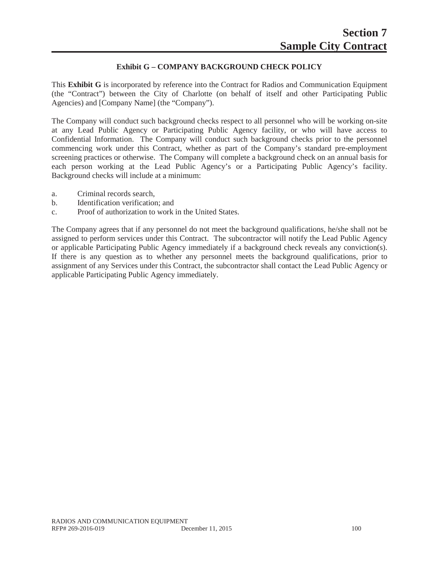# **Exhibit G – COMPANY BACKGROUND CHECK POLICY**

This **Exhibit G** is incorporated by reference into the Contract for Radios and Communication Equipment (the "Contract") between the City of Charlotte (on behalf of itself and other Participating Public Agencies) and [Company Name] (the "Company").

The Company will conduct such background checks respect to all personnel who will be working on-site at any Lead Public Agency or Participating Public Agency facility, or who will have access to Confidential Information. The Company will conduct such background checks prior to the personnel commencing work under this Contract, whether as part of the Company's standard pre-employment screening practices or otherwise. The Company will complete a background check on an annual basis for each person working at the Lead Public Agency's or a Participating Public Agency's facility. Background checks will include at a minimum:

- a. Criminal records search,
- b. Identification verification; and
- c. Proof of authorization to work in the United States.

The Company agrees that if any personnel do not meet the background qualifications, he/she shall not be assigned to perform services under this Contract. The subcontractor will notify the Lead Public Agency or applicable Participating Public Agency immediately if a background check reveals any conviction(s). If there is any question as to whether any personnel meets the background qualifications, prior to assignment of any Services under this Contract, the subcontractor shall contact the Lead Public Agency or applicable Participating Public Agency immediately.